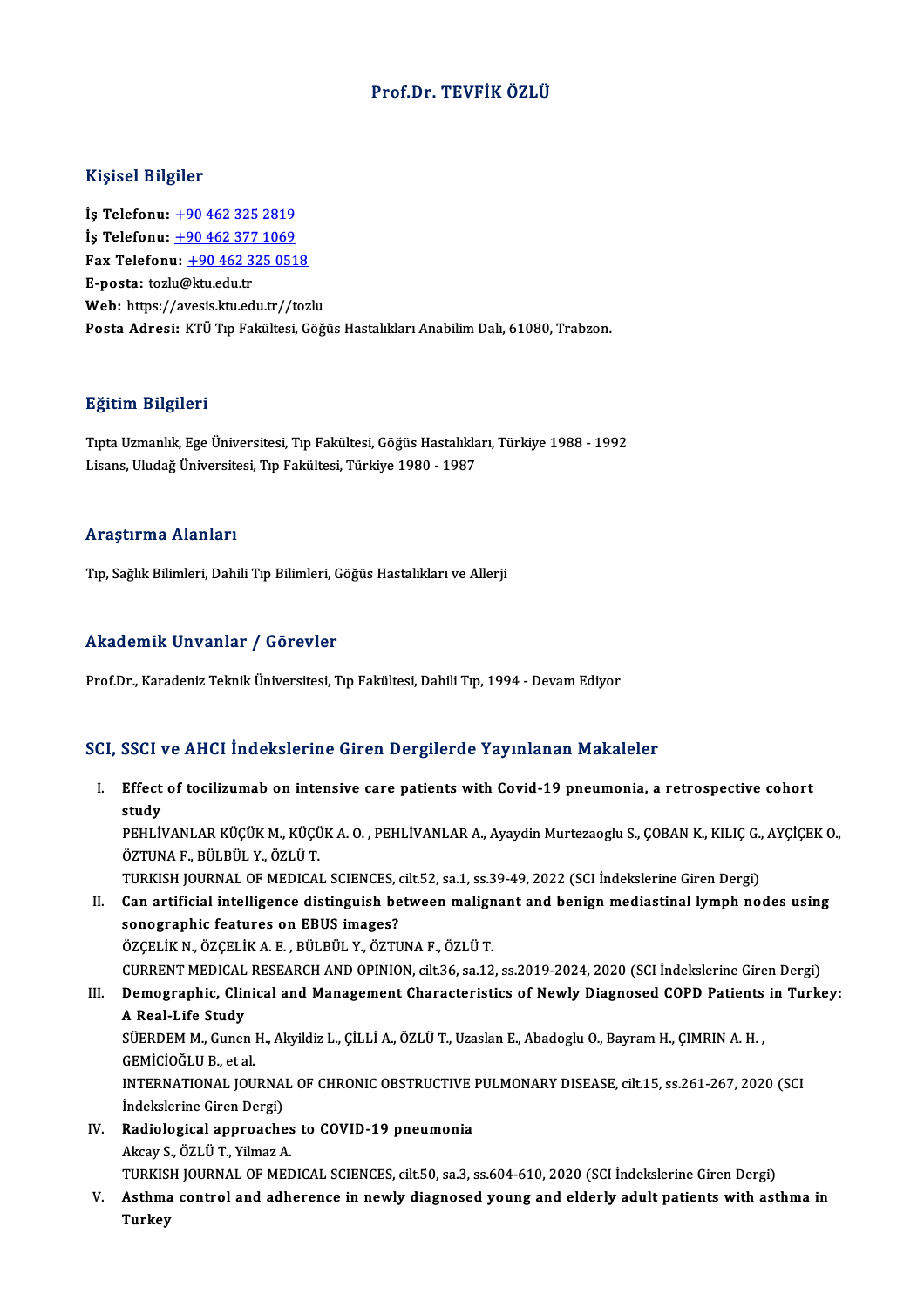### Prof.Dr. TEVFİK ÖZLÜ

### Kişisel Bilgiler

İş Telefonu: +90 462 325 2819 1191001 2119101<br>İş Telefonu: <u>+90 462 325 2819</u><br>İş Telefonu: <u>+90 462 377 [1069](tel:+90 462 325 2819)</u><br>Fax Telefonu: +90 462 325 051 İş Telefonu: <u>+90 462 325 2819</u><br>İş Telefonu: <u>+90 462 377 1069</u><br>Fax Telefonu: <u>+90 462 325 0518</u><br>E nosta: taşlu@ku edu tr İş Telefonu: <u>+90 462 377</u><br>Fax Telefonu: <u>+90 462 3</u><br>E-posta: tozl[u@ktu.edu.tr](tel:+90 462 377 1069)<br>Web: https://avesis.ltu.ed Fax Telefonu: <u>+90 462 325 0518</u><br>E-posta: tozlu@ktu.edu.tr<br>Web: https://a[vesis.ktu.edu.tr//toz](tel:+90 462 325 0518)lu Posta Adresi: KTÜ Tıp Fakültesi, Göğüs Hastalıkları Anabilim Dalı, 61080, Trabzon.

### Eğitim Bilgileri

TıptaUzmanlık,EgeÜniversitesi,Tıp Fakültesi,GöğüsHastalıkları,Türkiye 1988 -1992 Lisans,UludağÜniversitesi,Tıp Fakültesi,Türkiye 1980 -1987

### Araştırma Alanları

Tıp, Sağlık Bilimleri, Dahili Tıp Bilimleri, Göğüs Hastalıkları ve Allerji

### Akademik Unvanlar / Görevler

Prof.Dr., Karadeniz Teknik Üniversitesi, Tıp Fakültesi, Dahili Tıp, 1994 - Devam Ediyor

### SCI, SSCI ve AHCI İndekslerine Giren Dergilerde Yayınlanan Makaleler

- CI, SSCI ve AHCI İndekslerine Giren Dergilerde Yayınlanan Makaleler<br>I. Effect of tocilizumab on intensive care patients with Covid-19 pneumonia, a retrospective cohort<br>etydy sser<br>Effect<br>study<br><sup>DEUI iv</sup> Effect of tocilizumab on intensive care patients with Covid-19 pneumonia, a retrospective cohort<br>study<br>PEHLİVANLAR KÜÇÜK M., KÜÇÜK A. O. , PEHLİVANLAR A., Ayaydin Murtezaoglu S., ÇOBAN K., KILIÇ G., AYÇİÇEK O.,<br>ÖZTUNA E. P <mark>study</mark><br>PEHLİVANLAR KÜÇÜK M., KÜÇÜ<br>ÖZTUNA F., BÜLBÜL Y., ÖZLÜ T.<br>TURKISH JOUPNAL OF MEDICAl PEHLİVANLAR KÜÇÜK M., KÜÇÜK A. O. , PEHLİVANLAR A., Ayaydin Murtezaoglu S., ÇOBAN K., KILIÇ G.,<br>ÖZTUNA F., BÜLBÜL Y., ÖZLÜ T.<br>TURKISH JOURNAL OF MEDICAL SCIENCES, cilt.52, sa.1, ss.39-49, 2022 (SCI İndekslerine Giren Dergi ÖZTUNA F., BÜLBÜL Y., ÖZLÜ T.<br>TURKISH JOURNAL OF MEDICAL SCIENCES, cilt.52, sa.1, ss.39-49, 2022 (SCI İndekslerine Giren Dergi)<br>II. Can artificial intelligence distinguish between malignant and benign mediastinal lymph nod TURKISH JOURNAL OF MEDICAL SCIENCES, on artificial intelligence distinguish be<br>sonographic features on EBUS images?<br>ÖZCELİK N. ÖZCELİK A. E. PÜLPÜL V. ÖZTU
- II. Can artificial intelligence distinguish between malignant and benign mediastinal lymph nodes using<br>sonographic features on EBUS images?<br>ÖZÇELİK N., ÖZÇELİK A. E. , BÜLBÜL Y., ÖZTUNA F., ÖZLÜ T. sonographic features on EBUS images?<br>ÖZÇELİK N., ÖZÇELİK A. E. , BÜLBÜL Y., ÖZTUNA F., ÖZLÜ T.<br>CURRENT MEDICAL RESEARCH AND OPINION, cilt.36, sa.12, ss.2019-2024, 2020 (SCI İndekslerine Giren Dergi)<br>Demographic, Clinical a ÖZÇELİK N., ÖZÇELİK A. E. , BÜLBÜL Y., ÖZTUNA F., ÖZLÜ T.<br>CURRENT MEDICAL RESEARCH AND OPINION, cilt.36, sa.12, ss.2019-2024, 2020 (SCI İndekslerine Giren Dergi)<br>III. Demographic, Clinical and Management Characteristic
- CURRENT MEDICAL<br>Demographic, Clin<br>A Real-Life Study<br>SüEPDEM M. Cuner Demographic, Clinical and Management Characteristics of Newly Diagnosed COPD Patients<br>A Real-Life Study<br>SÜERDEM M., Gunen H., Akyildiz L., ÇİLLİ A., ÖZLÜ T., Uzaslan E., Abadoglu O., Bayram H., ÇIMRIN A. H. ,<br>CEMİCİOČLU B.

A Real-Life Study<br>SÜERDEM M., Gunen<br>GEMİCİOĞLU B., et al.<br>INTERNATIONAL JOU SÜERDEM M., Gunen H., Akyildiz L., ÇİLLİ A., ÖZLÜ T., Uzaslan E., Abadoglu O., Bayram H., ÇIMRIN A. H. ,<br>GEMİCİOĞLU B., et al.<br>INTERNATIONAL JOURNAL OF CHRONIC OBSTRUCTIVE PULMONARY DISEASE, cilt.15, ss.261-267, 2020 (SCI<br> GEMİCİOĞLU B., et al.<br>INTERNATIONAL JOURNAL OF CHRONIC OBSTRUCTIVE PULMONARY DISEASE, cilt.15, ss.261-267, 2020 (SCI<br>İndekslerine Giren Dergi)

INTERNATIONAL JOURNAL OF CHRONIC OBSTRUCTIVE<br>
indekslerine Giren Dergi)<br>
IV. Radiological approaches to COVID-19 pneumonia<br>
Alsou S. ÖZLÜ T. Vilmes A

- İndekslerine Giren Dergi)<br>Radiological approaches<br>Akcay S., ÖZLÜ T., Yilmaz A.<br>TURKISH JOURNAL OF MET Akcay S., ÖZLÜ T., Yilmaz A.<br>TURKISH JOURNAL OF MEDICAL SCIENCES, cilt.50, sa.3, ss.604-610, 2020 (SCI İndekslerine Giren Dergi)
- Akcay S., ÖZLÜ T., Yilmaz A.<br>TURKISH JOURNAL OF MEDICAL SCIENCES, cilt.50, sa.3, ss.604-610, 2020 (SCI İndekslerine Giren Dergi)<br>V. Asthma control and adherence in newly diagnosed young and elderly adult patients with a TURKIS<br><mark>Asthm</mark>a<br>Turkey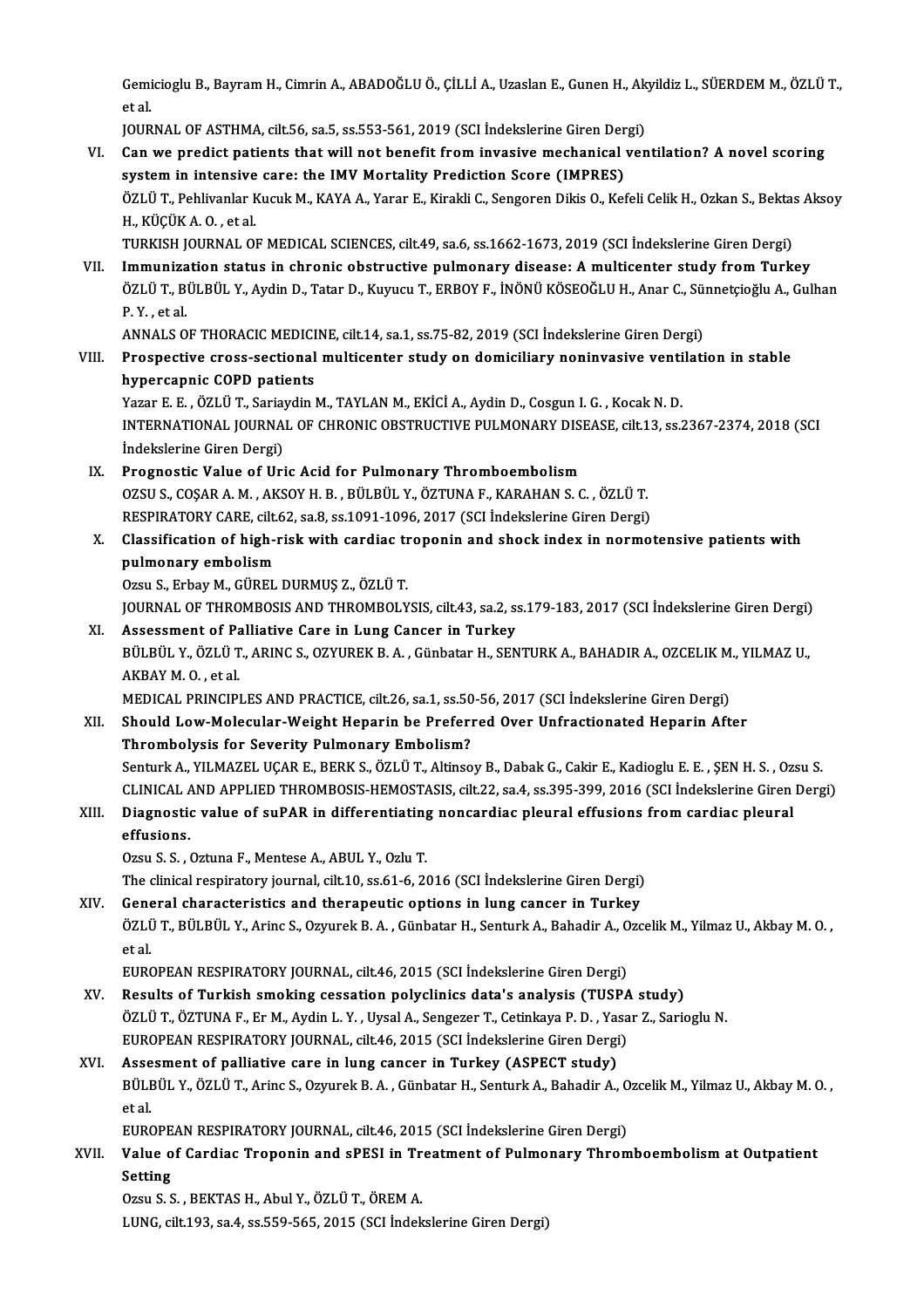Gemicioglu B., Bayram H., Cimrin A., ABADOĞLU Ö., ÇİLLİ A., Uzaslan E., Gunen H., Akyildiz L., SÜERDEM M., ÖZLÜ T.,<br>et el Gemi<br>et al<br>بین Gemicioglu B., Bayram H., Cimrin A., ABADOĞLU Ö., ÇİLLİ A., Uzaslan E., Gunen H., Ak<br>et al.<br>JOURNAL OF ASTHMA, cilt.56, sa.5, ss.553-561, 2019 (SCI İndekslerine Giren Dergi)<br>Can uva prodist patienta that will not banafit f

JOURNAL OF ASTHMA, cilt.56, sa.5, ss.553-561, 2019 (SCI Indekslerine Giren Dergi)

et al.<br>JOURNAL OF ASTHMA, cilt56, sa.5, ss.553-561, 2019 (SCI İndekslerine Giren Dergi)<br>VI. Can we predict patients that will not benefit from invasive mechanical ventilation? A novel scoring Can we predict patients that will not benefit from invasive mechanical ventilation? A novel scoring<br>system in intensive care: the IMV Mortality Prediction Score (IMPRES)<br>ÖZLÜ T., Pehlivanlar Kucuk M., KAYA A., Yarar E., Ki system in intensive care: the IMV Mortality Prediction Score (IMPRES)<br>ÖZLÜ T., Pehlivanlar Kucuk M., KAYA A., Yarar E., Kirakli C., Sengoren Dikis O., Kefeli Celik H., Ozkan S., Bekta<br>H., KÜÇÜK A. O. , et al.<br>TURKISH JOURN ÖZLÜ T., Pehlivanlar Kucuk M., KAYA A., Yarar E., Kirakli C., Sengoren Dikis O., Kefeli Celik H., Ozkan S., Bektas<br>H., KÜÇÜK A. O. , et al.<br>TURKISH JOURNAL OF MEDICAL SCIENCES, cilt.49, sa.6, ss.1662-1673, 2019 (SCI İndeks VII. Immunization status in chronic obstructive pulmonary disease: A multicenter study from Turkey TURKISH JOURNAL OF MEDICAL SCIENCES, cilt.49, sa.6, ss.1662-1673, 2019 (SCI İndekslerine Giren Dergi)<br>Immunization status in chronic obstructive pulmonary disease: A multicenter study from Turkey<br>ÖZLÜ T., BÜLBÜL Y., Aydin I<mark>mmuniza</mark><br>ÖZLÜ T., B<sup>1</sup><br>P. Y. , et al.<br>ANNAI S.O ÖZLÜ T., BÜLBÜL Y., Aydin D., Tatar D., Kuyucu T., ERBOY F., İNÖNÜ KÖSEOĞLU H., Anar C., Sü:<br>P. Y. , et al.<br>ANNALS OF THORACIC MEDICINE, cilt.14, sa.1, ss.75-82, 2019 (SCI İndekslerine Giren Dergi)<br>Prospective sress, secti P. Y. , et al.<br>ANNALS OF THORACIC MEDICINE, cilt.14, sa.1, ss.75-82, 2019 (SCI İndekslerine Giren Dergi)<br>VIII. Prospective cross-sectional multicenter study on domiciliary noninvasive ventilation in stable hypercapnic COPD patients Yazar E. E., ÖZLÜ T., Sariaydin M., TAYLAN M., EKİCİ A., Aydin D., Cosgun I. G., Kocak N. D. hypercapnic COPD patients<br>Yazar E. E. , ÖZLÜ T., Sariaydin M., TAYLAN M., EKİCİ A., Aydin D., Cosgun I. G. , Kocak N. D.<br>INTERNATIONAL JOURNAL OF CHRONIC OBSTRUCTIVE PULMONARY DISEASE, cilt.13, ss.2367-2374, 2018 (SCI Yazar E. E. , ÖZLÜ T., Saria<br>INTERNATIONAL JOURNA<br>İndekslerine Giren Dergi)<br>Prognostio Voluo of Uri IX. Prognostic Value of Uric Acid for Pulmonary Thromboembolism OZSUS.,COŞARA.M. ,AKSOYH.B. ,BÜLBÜL Y.,ÖZTUNAF.,KARAHANS.C. ,ÖZLÜT. Prognostic Value of Uric Acid for Pulmonary Thromboembolism<br>OZSU S., COŞAR A. M. , AKSOY H. B. , BÜLBÜL Y., ÖZTUNA F., KARAHAN S. C. , ÖZLÜ T.<br>RESPIRATORY CARE, cilt.62, sa.8, ss.1091-1096, 2017 (SCI İndekslerine Giren Der X. Classification of high-risk with cardiac troponin and shock index in normotensive patients with pulmonary embolism RESPIRATORY CARE, cilt.<br>Classification of high-<br>pulmonary embolism<br>Orsu S. Erbou M. C<sup>inper</sup> Ozsu S., Erbay M., GÜREL DURMUŞ Z., ÖZLÜ T. pulmonary embolism<br>Ozsu S., Erbay M., GÜREL DURMUŞ Z., ÖZLÜ T.<br>JOURNAL OF THROMBOSIS AND THROMBOLYSIS, cilt.43, sa.2, ss.179-183, 2017 (SCI İndekslerine Giren Dergi)<br>Assessment of Palliative Care in Lung Caneer in Turkey. Ozsu S., Erbay M., GÜREL DURMUŞ Z., ÖZLÜ T.<br>JOURNAL OF THROMBOSIS AND THROMBOLYSIS, cilt.43, sa.2, s:<br>XI. Assessment of Palliative Care in Lung Cancer in Turkey<br>PULPUL V. ÖZLÜ T. APING S. OZYUPEK R.A., Günbatar H. SEN JOURNAL OF THROMBOSIS AND THROMBOLYSIS, cilt.43, sa.2, ss.179-183, 2017 (SCI İndekslerine Giren Dergi)<br>Assessment of Palliative Care in Lung Cancer in Turkey<br>BÜLBÜL Y., ÖZLÜ T., ARINC S., OZYUREK B. A. , Günbatar H., SENTU Assessment of Pa<br>BÜLBÜL Y., ÖZLÜ T<br>AKBAY M. O. , et al.<br>MEDICAL PRINCIPI BÜLBÜL Y., ÖZLÜ T., ARINC S., OZYUREK B. A. , Günbatar H., SENTURK A., BAHADIR A., OZCELIK M<br>AKBAY M. O. , et al.<br>MEDICAL PRINCIPLES AND PRACTICE, cilt.26, sa.1, ss.50-56, 2017 (SCI İndekslerine Giren Dergi)<br>Shauld Law Mal AKBAY M. O., et al.<br>MEDICAL PRINCIPLES AND PRACTICE, cilt.26, sa.1, ss.50-56, 2017 (SCI İndekslerine Giren Dergi)<br>XII. Should Low-Molecular-Weight Heparin be Preferred Over Unfractionated Heparin After<br>Thrombolygis for Sov MEDICAL PRINCIPLES AND PRACTICE, cilt.26, sa.1, ss.50<br>Should Low-Molecular-Weight Heparin be Preferi<br>Thrombolysis for Severity Pulmonary Embolism?<br>Senturk A, VII MAZEL UCAR E, BERK S, ÖZLÜ T, Altinee Should Low-Molecular-Weight Heparin be Preferred Over Unfractionated Heparin After<br>Thrombolysis for Severity Pulmonary Embolism?<br>Senturk A., YILMAZEL UÇAR E., BERK S., ÖZLÜ T., Altinsoy B., Dabak G., Cakir E., Kadioglu E. Thrombolysis for Severity Pulmonary Embolism?<br>Senturk A., YILMAZEL UÇAR E., BERK S., ÖZLÜ T., Altinsoy B., Dabak G., Cakir E., Kadioglu E. E. , ŞEN H. S. , Ozsu S<br>CLINICAL AND APPLIED THROMBOSIS-HEMOSTASIS, cilt.22, sa.4, Senturk A., YILMAZEL UÇAR E., BERK S., ÖZLÜ T., Altinsoy B., Dabak G., Cakir E., Kadioglu E. E. , ŞEN H. S. , Oz:<br>CLINICAL AND APPLIED THROMBOSIS-HEMOSTASIS, cilt.22, sa.4, ss.395-399, 2016 (SCI İndekslerine Giren<br>XIII. Di CLINICAL A<br>Diagnostic<br>effusions. XIII. Diagnostic value of suPAR in differentiating noncardiac pleural effusions from cardiac pleural effusions.<br>
Ozsu S. S. , Oztuna F., Mentese A., ABUL Y., Ozlu T. The clinical respiratory journal, cilt.10, ss.61-6, 2016 (SCI İndekslerine Giren Dergi) XIV. General characteristics and therapeutic options in lung cancer in Turkey The clinical respiratory journal, cilt.10, ss.61-6, 2016 (SCI İndekslerine Giren Dergi)<br>General characteristics and therapeutic options in lung cancer in Turkey<br>ÖZLÜ T., BÜLBÜL Y., Arinc S., Ozyurek B. A. , Günbatar H., Se **Gene<br>ÖZLÜ<br>et al.**<br>EUPC ÖZLÜ T., BÜLBÜL Y., Arinc S., Ozyurek B. A. , Günbatar H., Senturk A., Bahadir A., O<br>et al.<br>EUROPEAN RESPIRATORY JOURNAL, cilt.46, 2015 (SCI İndekslerine Giren Dergi)<br>Besults ef Turkish smaking sessation polyeliniss dataks et al.<br>EUROPEAN RESPIRATORY JOURNAL, cilt.46, 2015 (SCI İndekslerine Giren Dergi)<br>XV. Results of Turkish smoking cessation polyclinics data's analysis (TUSPA study)<br>ÖZLÜ T. ÖZTUNA E. Er.M. Aydin L.V. Uygal A. Senggger T. C EUROPEAN RESPIRATORY JOURNAL, cilt.46, 2015 (SCI İndekslerine Giren Dergi)<br>Results of Turkish smoking cessation polyclinics data's analysis (TUSPA study)<br>ÖZLÜ T., ÖZTUNA F., Er M., Aydin L. Y. , Uysal A., Sengezer T., Ceti Results of Turkish smoking cessation polyclinics data's analysis (TUSPA<br>ÖZLÜ T., ÖZTUNA F., Er M., Aydin L. Y. , Uysal A., Sengezer T., Cetinkaya P. D. , Yasa<br>EUROPEAN RESPIRATORY JOURNAL, cilt.46, 2015 (SCI İndekslerine G ÖZLÜ T., ÖZTUNA F., Er M., Aydin L. Y., Uysal A., Sengezer T., Cetinkaya P. D., Ya:<br>EUROPEAN RESPIRATORY JOURNAL, cilt.46, 2015 (SCI İndekslerine Giren Dergi<br>XVI. Assesment of palliative care in lung cancer in Turkey (ASPE EUROPEAN RESPIRATORY JOURNAL, cilt.46, 2015 (SCI İndekslerine Giren Dergi)<br>Assesment of palliative care in lung cancer in Turkey (ASPECT study)<br>BÜLBÜL Y., ÖZLÜ T., Arinc S., Ozyurek B.A., Günbatar H., Senturk A., Bahadir A Assesment of palliative care in lung cancer in Turkey (ASPECT study) BÜLBÜL Y., ÖZLÜ T., Arinc S., Ozyurek B. A. , Günbatar H., Senturk A., Bahadir A., O<br>et al.<br>EUROPEAN RESPIRATORY JOURNAL, cilt.46, 2015 (SCI İndekslerine Giren Dergi)<br>Value ef Cardiae Trananin and ePESL in Treatment ef Bul et al.<br>EUROPEAN RESPIRATORY JOURNAL, cilt.46, 2015 (SCI İndekslerine Giren Dergi)<br>XVII. Value of Cardiac Troponin and sPESI in Treatment of Pulmonary Thromboembolism at Outpatient<br>Setting EUROPE<br>Value o<br>Setting Value of Cardiac Troponin and sPESI in Tr<br>Setting<br>Ozsu S. S., BEKTAS H., Abul Y., ÖZLÜ T., ÖREM A.<br>UING sik193.534 ss E59 565-2015 (SGLindek Setting<br>Ozsu S. S. , BEKTAS H., Abul Y., ÖZLÜ T., ÖREM A.<br>LUNG, cilt.193, sa.4, ss.559-565, 2015 (SCI İndekslerine Giren Dergi)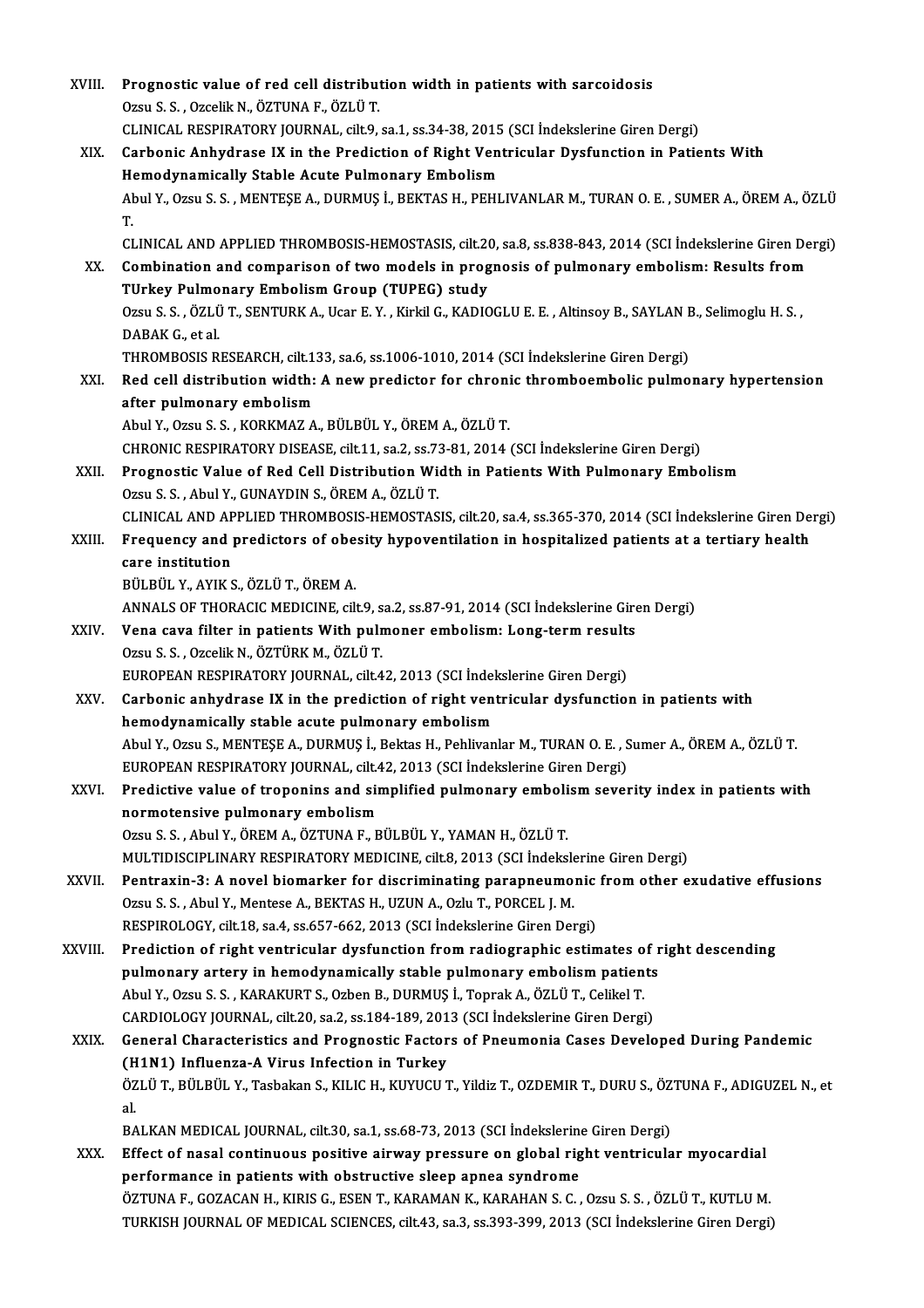| XVIII.      | Prognostic value of red cell distribution width in patients with sarcoidosis                                                                                                       |
|-------------|------------------------------------------------------------------------------------------------------------------------------------------------------------------------------------|
|             | Ozsu S. S., Ozcelik N., ÖZTUNA F., ÖZLÜ T.                                                                                                                                         |
|             | CLINICAL RESPIRATORY JOURNAL, cilt.9, sa.1, ss.34-38, 2015 (SCI Indekslerine Giren Dergi)                                                                                          |
| XIX.        | Carbonic Anhydrase IX in the Prediction of Right Ventricular Dysfunction in Patients With                                                                                          |
|             | Hemodynamically Stable Acute Pulmonary Embolism                                                                                                                                    |
|             | Abul Y., Ozsu S. S. , MENTEŞE A., DURMUŞ İ., BEKTAS H., PEHLIVANLAR M., TURAN O. E. , SUMER A., ÖREM A., ÖZLÜ                                                                      |
|             | T.<br>CLINICAL AND APPLIED THROMBOSIS-HEMOSTASIS, cilt.20, sa.8, ss.838-843, 2014 (SCI İndekslerine Giren Dergi)                                                                   |
| XX.         | Combination and comparison of two models in prognosis of pulmonary embolism: Results from                                                                                          |
|             | TUrkey Pulmonary Embolism Group (TUPEG) study                                                                                                                                      |
|             | Ozsu S. S., ÖZLÜ T., SENTURK A., Ucar E. Y., Kirkil G., KADIOGLU E. E., Altinsoy B., SAYLAN B., Selimoglu H. S.,                                                                   |
|             | DABAK G, et al.                                                                                                                                                                    |
|             | THROMBOSIS RESEARCH, cilt.133, sa.6, ss.1006-1010, 2014 (SCI Indekslerine Giren Dergi)                                                                                             |
| XXI.        | Red cell distribution width: A new predictor for chronic thromboembolic pulmonary hypertension                                                                                     |
|             | after pulmonary embolism                                                                                                                                                           |
|             | Abul Y., Ozsu S. S., KORKMAZ A., BÜLBÜL Y., ÖREM A., ÖZLÜ T.                                                                                                                       |
|             | CHRONIC RESPIRATORY DISEASE, cilt.11, sa.2, ss.73-81, 2014 (SCI İndekslerine Giren Dergi)                                                                                          |
| XXII.       | Prognostic Value of Red Cell Distribution Width in Patients With Pulmonary Embolism                                                                                                |
|             | Ozsu S. S., Abul Y., GUNAYDIN S., ÖREM A., ÖZLÜ T.                                                                                                                                 |
|             | CLINICAL AND APPLIED THROMBOSIS-HEMOSTASIS, cilt.20, sa.4, ss.365-370, 2014 (SCI İndekslerine Giren Dergi)                                                                         |
| XXIII.      | Frequency and predictors of obesity hypoventilation in hospitalized patients at a tertiary health                                                                                  |
|             | care institution                                                                                                                                                                   |
|             | BÜLBÜL Y., AYIK S., ÖZLÜ T., ÖREM A.                                                                                                                                               |
|             | ANNALS OF THORACIC MEDICINE, cilt.9, sa.2, ss.87-91, 2014 (SCI Indekslerine Giren Dergi)                                                                                           |
| <b>XXIV</b> | Vena cava filter in patients With pulmoner embolism: Long-term results                                                                                                             |
|             | Ozsu S. S., Ozcelik N., ÖZTÜRK M., ÖZLÜ T.                                                                                                                                         |
|             | EUROPEAN RESPIRATORY JOURNAL, cilt.42, 2013 (SCI İndekslerine Giren Dergi)                                                                                                         |
| XXV.        | Carbonic anhydrase IX in the prediction of right ventricular dysfunction in patients with                                                                                          |
|             | hemodynamically stable acute pulmonary embolism                                                                                                                                    |
|             | Abul Y., Ozsu S., MENTESE A., DURMUS İ., Bektas H., Pehlivanlar M., TURAN O. E., Sumer A., ÖREM A., ÖZLÜ T.                                                                        |
|             | EUROPEAN RESPIRATORY JOURNAL, cilt.42, 2013 (SCI İndekslerine Giren Dergi)                                                                                                         |
| XXVI.       | Predictive value of troponins and simplified pulmonary embolism severity index in patients with                                                                                    |
|             | normotensive pulmonary embolism                                                                                                                                                    |
|             | Ozsu S. S., Abul Y., ÖREM A., ÖZTUNA F., BÜLBÜL Y., YAMAN H., ÖZLÜ T.                                                                                                              |
|             | MULTIDISCIPLINARY RESPIRATORY MEDICINE, cilt.8, 2013 (SCI İndekslerine Giren Dergi)                                                                                                |
| XXVII.      | Pentraxin-3: A novel biomarker for discriminating parapneumonic from other exudative effusions                                                                                     |
|             | Ozsu S. S., Abul Y., Mentese A., BEKTAS H., UZUN A., Ozlu T., PORCEL J. M.                                                                                                         |
|             | RESPIROLOGY, cilt.18, sa.4, ss.657-662, 2013 (SCI Indekslerine Giren Dergi)                                                                                                        |
| XXVIII.     | Prediction of right ventricular dysfunction from radiographic estimates of right descending                                                                                        |
|             | pulmonary artery in hemodynamically stable pulmonary embolism patients                                                                                                             |
|             | Abul Y., Ozsu S. S., KARAKURT S., Ozben B., DURMUŞ İ., Toprak A., ÖZLÜ T., Celikel T.                                                                                              |
|             | CARDIOLOGY JOURNAL, cilt.20, sa.2, ss.184-189, 2013 (SCI İndekslerine Giren Dergi)                                                                                                 |
| XXIX.       | General Characteristics and Prognostic Factors of Pneumonia Cases Developed During Pandemic                                                                                        |
|             | (H1N1) Influenza-A Virus Infection in Turkey                                                                                                                                       |
|             | ÖZLÜ T., BÜLBÜL Y., Tasbakan S., KILIC H., KUYUCU T., Yildiz T., OZDEMIR T., DURU S., ÖZTUNA F., ADIGUZEL N., et                                                                   |
|             | al.                                                                                                                                                                                |
| XXX.        | BALKAN MEDICAL JOURNAL, cilt.30, sa.1, ss.68-73, 2013 (SCI Indekslerine Giren Dergi)<br>Effect of nasal continuous positive airway pressure on global right ventricular myocardial |
|             | performance in patients with obstructive sleep apnea syndrome                                                                                                                      |
|             | ÖZTUNA F., GOZACAN H., KIRIS G., ESEN T., KARAMAN K., KARAHAN S. C. , Ozsu S. S. , ÖZLÜ T., KUTLU M.                                                                               |
|             | TURKISH JOURNAL OF MEDICAL SCIENCES, cilt.43, sa.3, ss.393-399, 2013 (SCI İndekslerine Giren Dergi)                                                                                |
|             |                                                                                                                                                                                    |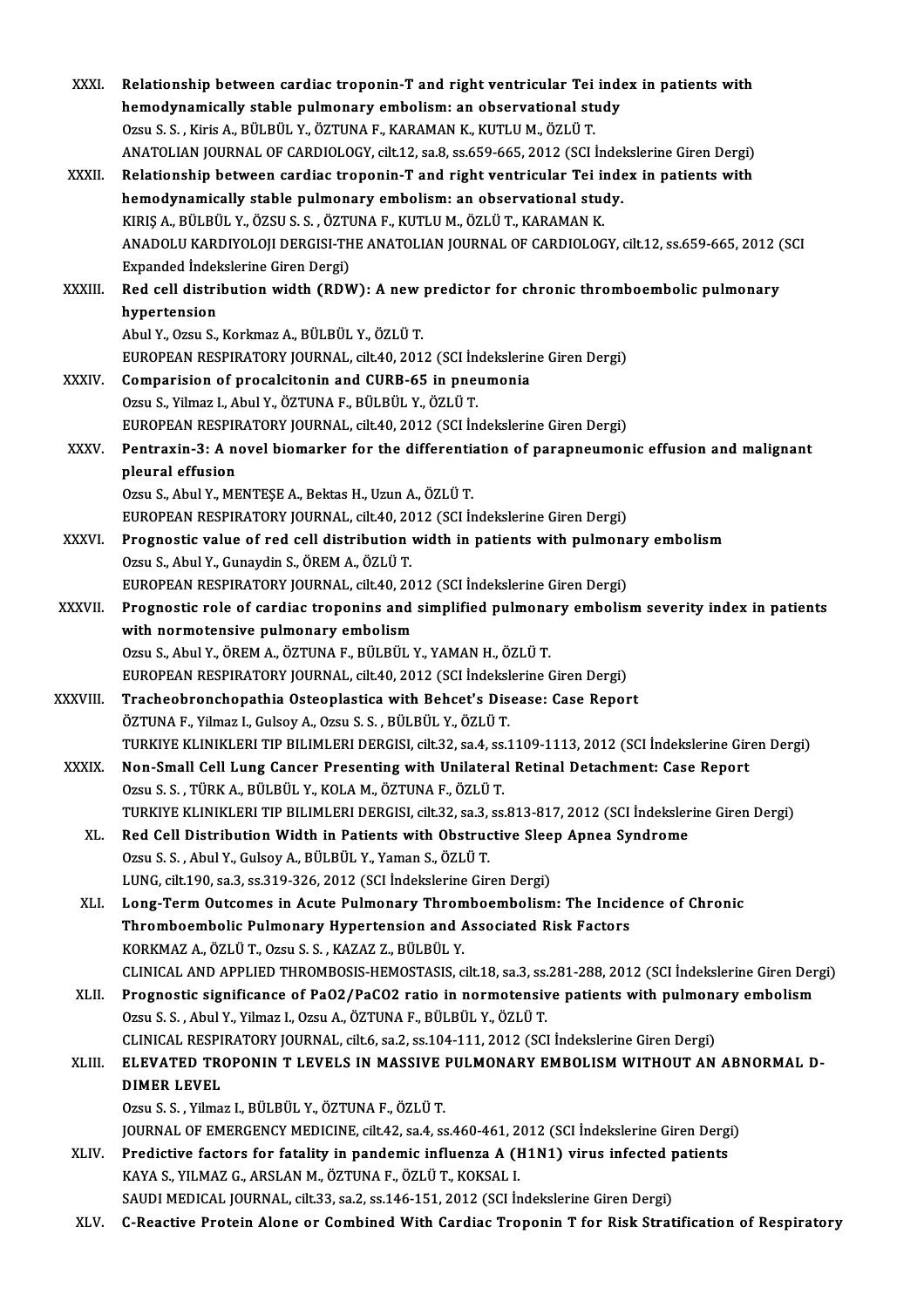| XXXI.         | Relationship between cardiac troponin-T and right ventricular Tei index in patients with                                                              |
|---------------|-------------------------------------------------------------------------------------------------------------------------------------------------------|
|               | hemodynamically stable pulmonary embolism: an observational study                                                                                     |
|               | Ozsu S. S., Kiris A., BÜLBÜL Y., ÖZTUNA F., KARAMAN K., KUTLU M., ÖZLÜ T.                                                                             |
|               | ANATOLIAN JOURNAL OF CARDIOLOGY, cilt.12, sa.8, ss.659-665, 2012 (SCI İndekslerine Giren Dergi)                                                       |
| XXXII.        | Relationship between cardiac troponin-T and right ventricular Tei index in patients with                                                              |
|               | hemodynamically stable pulmonary embolism: an observational study.                                                                                    |
|               | KIRIŞ A., BÜLBÜL Y., ÖZSU S. S. , ÖZTUNA F., KUTLU M., ÖZLÜ T., KARAMAN K.                                                                            |
|               | ANADOLU KARDIYOLOJI DERGISI-THE ANATOLIAN JOURNAL OF CARDIOLOGY, cilt.12, ss.659-665, 2012 (SCI<br>Expanded Indekslerine Giren Dergi)                 |
| <b>XXXIII</b> | Red cell distribution width (RDW): A new predictor for chronic thromboembolic pulmonary                                                               |
|               | hypertension                                                                                                                                          |
|               | Abul Y., Ozsu S., Korkmaz A., BÜLBÜL Y., ÖZLÜ T.                                                                                                      |
|               | EUROPEAN RESPIRATORY JOURNAL, cilt.40, 2012 (SCI İndekslerine Giren Dergi)                                                                            |
| <b>XXXIV</b>  | Comparision of procalcitonin and CURB-65 in pneumonia                                                                                                 |
|               | Ozsu S., Yilmaz I., Abul Y., ÖZTUNA F., BÜLBÜL Y., ÖZLÜ T.                                                                                            |
|               | EUROPEAN RESPIRATORY JOURNAL, cilt.40, 2012 (SCI İndekslerine Giren Dergi)                                                                            |
| <b>XXXV</b>   | Pentraxin-3: A novel biomarker for the differentiation of parapneumonic effusion and malignant                                                        |
|               | pleural effusion                                                                                                                                      |
|               | Ozsu S., Abul Y., MENTEȘE A., Bektas H., Uzun A., ÖZLÜ T.                                                                                             |
|               | EUROPEAN RESPIRATORY JOURNAL, cilt.40, 2012 (SCI İndekslerine Giren Dergi)                                                                            |
| XXXVI.        | Prognostic value of red cell distribution width in patients with pulmonary embolism                                                                   |
|               | Ozsu S., Abul Y., Gunaydin S., ÖREM A., ÖZLÜ T.                                                                                                       |
|               | EUROPEAN RESPIRATORY JOURNAL, cilt.40, 2012 (SCI İndekslerine Giren Dergi)                                                                            |
| <b>XXXVII</b> | Prognostic role of cardiac troponins and simplified pulmonary embolism severity index in patients                                                     |
|               | with normotensive pulmonary embolism                                                                                                                  |
|               | Ozsu S., Abul Y., ÖREM A., ÖZTUNA F., BÜLBÜL Y., YAMAN H., ÖZLÜ T.                                                                                    |
|               | EUROPEAN RESPIRATORY JOURNAL, cilt.40, 2012 (SCI İndekslerine Giren Dergi)<br>Tracheobronchopathia Osteoplastica with Behcet's Disease: Case Report   |
| XXXVIII.      | ÖZTUNA F., Yilmaz I., Gulsoy A., Ozsu S. S., BÜLBÜL Y., ÖZLÜ T.                                                                                       |
|               | TURKIYE KLINIKLERI TIP BILIMLERI DERGISI, cilt.32, sa.4, ss.1109-1113, 2012 (SCI İndekslerine Giren Dergi)                                            |
| <b>XXXIX</b>  | Non-Small Cell Lung Cancer Presenting with Unilateral Retinal Detachment: Case Report                                                                 |
|               | Ozsu S. S., TÜRK A., BÜLBÜL Y., KOLA M., ÖZTUNA F., ÖZLÜ T.                                                                                           |
|               | TURKIYE KLINIKLERI TIP BILIMLERI DERGISI, cilt.32, sa.3, ss.813-817, 2012 (SCI İndekslerine Giren Dergi)                                              |
| XL.           | Red Cell Distribution Width in Patients with Obstructive Sleep Apnea Syndrome                                                                         |
|               | Ozsu S. S., Abul Y., Gulsoy A., BÜLBÜL Y., Yaman S., ÖZLÜ T.                                                                                          |
|               | LUNG, cilt.190, sa.3, ss.319-326, 2012 (SCI Indekslerine Giren Dergi)                                                                                 |
| XLI.          | Long-Term Outcomes in Acute Pulmonary Thromboembolism: The Incidence of Chronic                                                                       |
|               | Thromboembolic Pulmonary Hypertension and Associated Risk Factors                                                                                     |
|               | KORKMAZ A., ÖZLÜ T., Ozsu S. S., KAZAZ Z., BÜLBÜL Y.                                                                                                  |
|               | CLINICAL AND APPLIED THROMBOSIS-HEMOSTASIS, cilt.18, sa.3, ss.281-288, 2012 (SCI İndekslerine Giren Dergi)                                            |
| XLII.         | Prognostic significance of PaO2/PaCO2 ratio in normotensive patients with pulmonary embolism                                                          |
|               | Ozsu S. S., Abul Y., Yilmaz I., Ozsu A., ÖZTUNA F., BÜLBÜL Y., ÖZLÜ T.                                                                                |
|               | CLINICAL RESPIRATORY JOURNAL, cilt.6, sa.2, ss.104-111, 2012 (SCI İndekslerine Giren Dergi)                                                           |
| XLIII.        | ELEVATED TROPONIN T LEVELS IN MASSIVE PULMONARY EMBOLISM WITHOUT AN ABNORMAL D-                                                                       |
|               | <b>DIMER LEVEL</b>                                                                                                                                    |
|               | Ozsu S. S., Yilmaz I., BÜLBÜL Y., ÖZTUNA F., ÖZLÜ T.                                                                                                  |
|               | JOURNAL OF EMERGENCY MEDICINE, cilt.42, sa.4, ss.460-461, 2012 (SCI Indekslerine Giren Dergi)                                                         |
| XLIV.         | Predictive factors for fatality in pandemic influenza A (H1N1) virus infected patients                                                                |
|               | KAYA S., YILMAZ G., ARSLAN M., ÖZTUNA F., ÖZLÜ T., KOKSAL I.<br>SAUDI MEDICAL JOURNAL, cilt.33, sa.2, ss.146-151, 2012 (SCI İndekslerine Giren Dergi) |
| XLV.          | C-Reactive Protein Alone or Combined With Cardiac Troponin T for Risk Stratification of Respiratory                                                   |
|               |                                                                                                                                                       |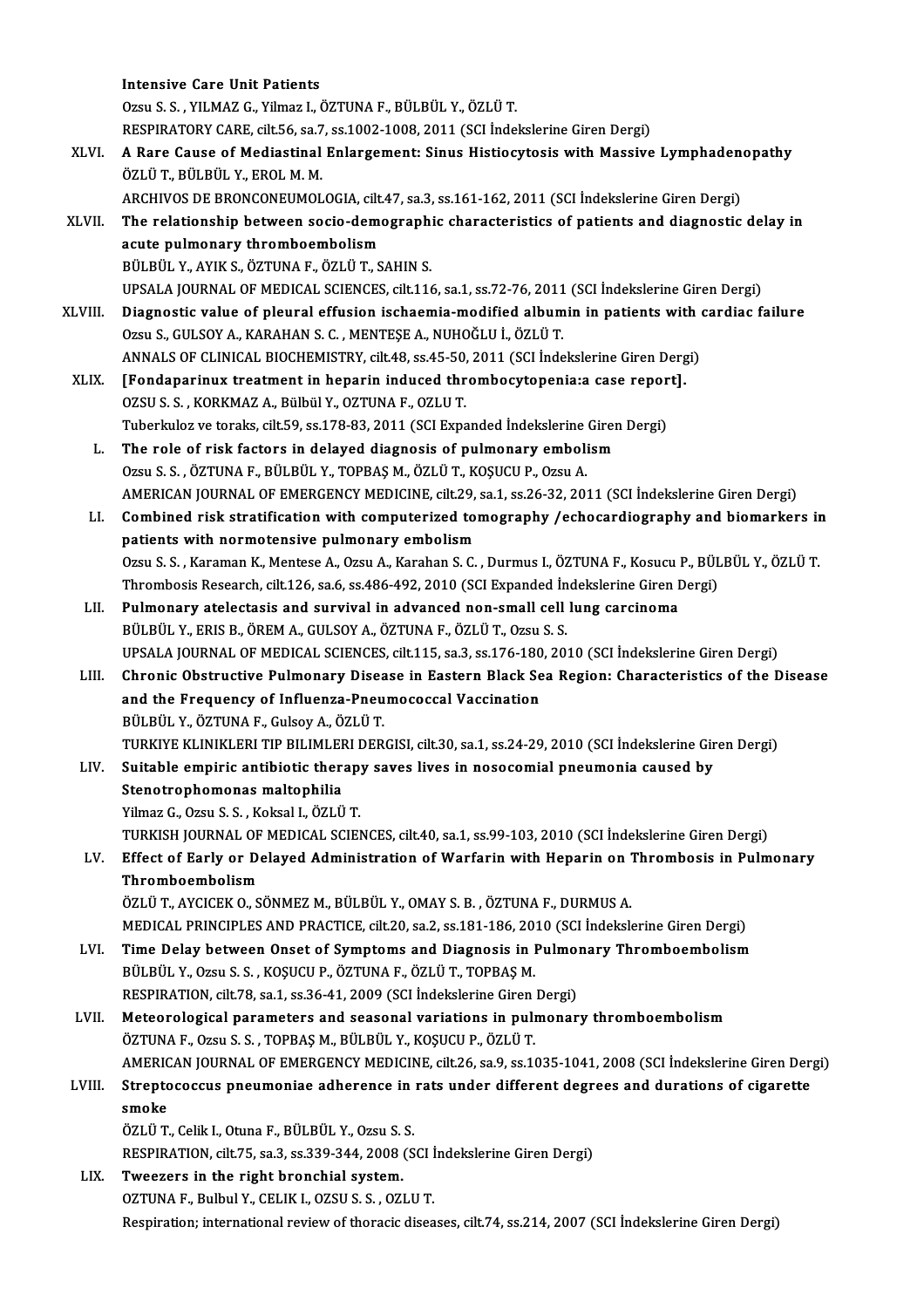|         | <b>Intensive Care Unit Patients</b>                                                                                                                         |
|---------|-------------------------------------------------------------------------------------------------------------------------------------------------------------|
|         | Ozsu S. S., YILMAZ G., Yilmaz I., ÖZTUNA F., BÜLBÜL Y., ÖZLÜ T.                                                                                             |
|         | RESPIRATORY CARE, cilt.56, sa.7, ss.1002-1008, 2011 (SCI Indekslerine Giren Dergi)                                                                          |
| XLVI.   | A Rare Cause of Mediastinal Enlargement: Sinus Histiocytosis with Massive Lymphadenopathy                                                                   |
|         | ÖZLÜ T., BÜLBÜL Y., EROL M. M.                                                                                                                              |
|         | ARCHIVOS DE BRONCONEUMOLOGIA, cilt.47, sa.3, ss.161-162, 2011 (SCI İndekslerine Giren Dergi)                                                                |
| XLVII.  | The relationship between socio-demographic characteristics of patients and diagnostic delay in                                                              |
|         | acute pulmonary thromboembolism                                                                                                                             |
|         | BÜLBÜL Y., AYIK S., ÖZTUNA F., ÖZLÜ T., SAHIN S.                                                                                                            |
|         | UPSALA JOURNAL OF MEDICAL SCIENCES, cilt.116, sa.1, ss.72-76, 2011 (SCI İndekslerine Giren Dergi)                                                           |
| XLVIII. | Diagnostic value of pleural effusion ischaemia-modified albumin in patients with cardiac failure                                                            |
|         | Ozsu S., GULSOY A., KARAHAN S. C., MENTESE A., NUHOĞLU İ., ÖZLÜ T.                                                                                          |
|         | ANNALS OF CLINICAL BIOCHEMISTRY, cilt.48, ss.45-50, 2011 (SCI Indekslerine Giren Dergi)                                                                     |
| XLIX.   | [Fondaparinux treatment in heparin induced thrombocytopenia:a case report].                                                                                 |
|         | OZSU S. S., KORKMAZ A., Bülbül Y., OZTUNA F., OZLU T.                                                                                                       |
|         | Tuberkuloz ve toraks, cilt.59, ss.178-83, 2011 (SCI Expanded İndekslerine Giren Dergi)                                                                      |
| L.      | The role of risk factors in delayed diagnosis of pulmonary embolism                                                                                         |
|         | Ozsu S. S., ÖZTUNA F., BÜLBÜL Y., TOPBAŞ M., ÖZLÜ T., KOŞUCU P., Ozsu A.                                                                                    |
|         | AMERICAN JOURNAL OF EMERGENCY MEDICINE, cilt.29, sa.1, ss.26-32, 2011 (SCI İndekslerine Giren Dergi)                                                        |
| LI.     | Combined risk stratification with computerized tomography /echocardiography and biomarkers in                                                               |
|         | patients with normotensive pulmonary embolism                                                                                                               |
|         | Ozsu S. S., Karaman K., Mentese A., Ozsu A., Karahan S. C., Durmus I., ÖZTUNA F., Kosucu P., BÜLBÜL Y., ÖZLÜ T.                                             |
|         | Thrombosis Research, cilt.126, sa.6, ss.486-492, 2010 (SCI Expanded İndekslerine Giren Dergi)                                                               |
| LII.    | Pulmonary atelectasis and survival in advanced non-small cell lung carcinoma                                                                                |
|         | BÜLBÜL Y., ERIS B., ÖREM A., GULSOY A., ÖZTUNA F., ÖZLÜ T., Ozsu S. S.                                                                                      |
|         | UPSALA JOURNAL OF MEDICAL SCIENCES, cilt.115, sa.3, ss.176-180, 2010 (SCI İndekslerine Giren Dergi)                                                         |
| LIII.   | Chronic Obstructive Pulmonary Disease in Eastern Black Sea Region: Characteristics of the Disease                                                           |
|         | and the Frequency of Influenza-Pneumococcal Vaccination                                                                                                     |
|         | BÜLBÜL Y., ÖZTUNA F., Gulsoy A., ÖZLÜ T.                                                                                                                    |
|         | TURKIYE KLINIKLERI TIP BILIMLERI DERGISI, cilt.30, sa.1, ss.24-29, 2010 (SCI İndekslerine Giren Dergi)                                                      |
| LIV.    | Suitable empiric antibiotic therapy saves lives in nosocomial pneumonia caused by                                                                           |
|         | Stenotrophomonas maltophilia                                                                                                                                |
|         | Yilmaz G., Ozsu S. S., Koksal I., ÖZLÜ T.                                                                                                                   |
|         | TURKISH JOURNAL OF MEDICAL SCIENCES, cilt.40, sa.1, ss.99-103, 2010 (SCI Indekslerine Giren Dergi)                                                          |
| LV.     | Effect of Early or Delayed Administration of Warfarin with Heparin on Thrombosis in Pulmonary                                                               |
|         | Thromboembolism                                                                                                                                             |
|         | ÖZLÜ T., AYCICEK O., SÖNMEZ M., BÜLBÜL Y., OMAY S. B., ÖZTUNA F., DURMUS A.                                                                                 |
|         | MEDICAL PRINCIPLES AND PRACTICE, cilt.20, sa.2, ss.181-186, 2010 (SCI İndekslerine Giren Dergi)                                                             |
| LVI.    | Time Delay between Onset of Symptoms and Diagnosis in Pulmonary Thromboembolism                                                                             |
|         | BÜLBÜL Y., Ozsu S. S., KOŞUCU P., ÖZTUNA F., ÖZLÜ T., TOPBAŞ M.                                                                                             |
|         | RESPIRATION, cilt.78, sa.1, ss.36-41, 2009 (SCI İndekslerine Giren Dergi)<br>Meteorological parameters and seasonal variations in pulmonary thromboembolism |
| LVII.   | ÖZTUNA F., Ozsu S. S., TOPBAŞ M., BÜLBÜL Y., KOŞUCU P., ÖZLÜ T.                                                                                             |
|         | AMERICAN JOURNAL OF EMERGENCY MEDICINE, cilt.26, sa.9, ss.1035-1041, 2008 (SCI İndekslerine Giren Dergi)                                                    |
| LVIII.  | Streptococcus pneumoniae adherence in rats under different degrees and durations of cigarette                                                               |
|         | smoke                                                                                                                                                       |
|         | ÖZLÜ T., Celik I., Otuna F., BÜLBÜL Y., Ozsu S. S.                                                                                                          |
|         | RESPIRATION, cilt.75, sa.3, ss.339-344, 2008 (SCI Indekslerine Giren Dergi)                                                                                 |
| LIX.    | Tweezers in the right bronchial system.                                                                                                                     |
|         | OZTUNA F., Bulbul Y., CELIK I., OZSU S. S., OZLU T.                                                                                                         |
|         | Respiration; international review of thoracic diseases, cilt.74, ss.214, 2007 (SCI Indekslerine Giren Dergi)                                                |
|         |                                                                                                                                                             |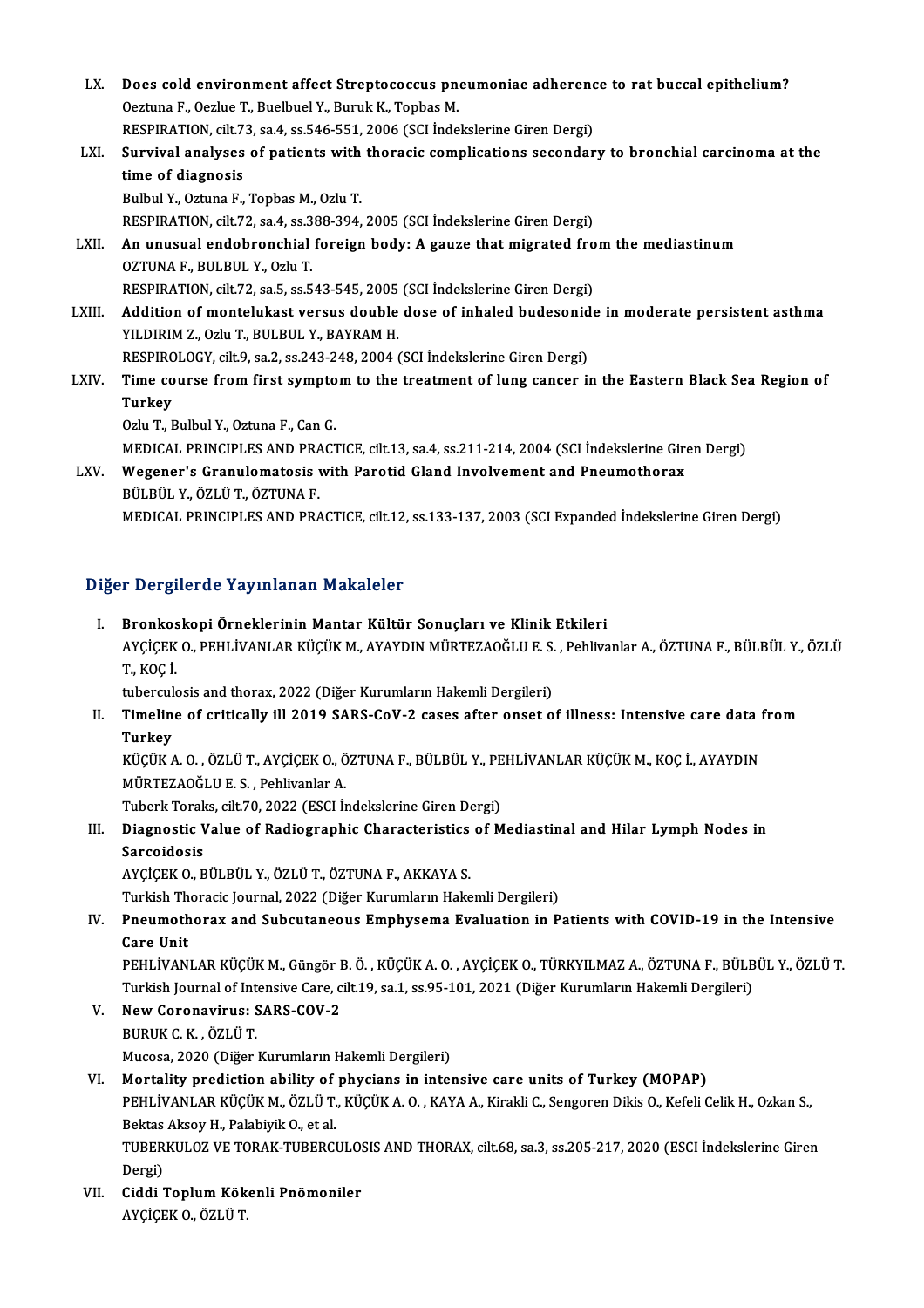- LX. Does cold environment affect Streptococcus pneumoniae adherence to rat buccal epithelium? Does cold environment affect Streptococcus pn<br>Oeztuna F., Oezlue T., Buelbuel Y., Buruk K., Topbas M.<br>RESPIRATION, silt 72, 88 4, 88 546 551, 2006 (SCLInde Does cold environment affect Streptococcus pneumoniae adherenc<br>Oeztuna F., Oezlue T., Buelbuel Y., Buruk K., Topbas M.<br>RESPIRATION, cilt.73, sa.4, ss.546-551, 2006 (SCI İndekslerine Giren Dergi)<br>Sunvival analyses of patien Oeztuna F., Oezlue T., Buelbuel Y., Buruk K., Topbas M.<br>RESPIRATION, cilt.73, sa.4, ss.546-551, 2006 (SCI Indekslerine Giren Dergi)<br>LXI. Survival analyses of patients with thoracic complications secondary to bronchial RESPIRATION, cilt.7.<br>Survival analyses<br>time of diagnosis<br>Pulbul V. Oztuna E Survival analyses of patients with<br>time of diagnosis<br>Bulbul Y., Oztuna F., Topbas M., Ozlu T.<br>PESPIPATION cilt 72, sa 4, ss 299, 294. time of diagnosis<br>Bulbul Y., Oztuna F., Topbas M., Ozlu T.<br>RESPIRATION, cilt.72, sa.4, ss.388-394, 2005 (SCI İndekslerine Giren Dergi)<br>An unusual andehrenshial fareisn bodu. A sauze that misrated fre Bulbul Y., Oztuna F., Topbas M., Ozlu T.<br>RESPIRATION, cilt.72, sa.4, ss.388-394, 2005 (SCI İndekslerine Giren Dergi)<br>LXII. An unusual endobronchial foreign body: A gauze that migrated from the mediastinum<br>OZTUNA F., BULBUL RESPIRATION, cilt.72, sa.4, ss.3<br>An unusual endobronchial<br>OZTUNA F., BULBUL Y., Ozlu T.<br>PESPIPATION cilt.72, sa.5, ss.5 An unusual endobronchial foreign body: A gauze that migrated fro<br>OZTUNA F., BULBUL Y., Ozlu T.<br>RESPIRATION, cilt.72, sa.5, ss.543-545, 2005 (SCI İndekslerine Giren Dergi)<br>Addition of mantalukast varsus dauble dasa of inhal OZTUNA F., BULBUL Y., Ozlu T.<br>RESPIRATION, cilt.72, sa.5, ss.543-545, 2005 (SCI İndekslerine Giren Dergi)<br>LXIII. Addition of montelukast versus double dose of inhaled budesonide in moderate persistent asthma<br>VILDIBIM 7 RESPIRATION, cilt.72, sa.5, ss.543-545, 2005<br>Addition of montelukast versus double<br>YILDIRIM Z., Ozlu T., BULBUL Y., BAYRAM H.<br>BESPIROLOCY silt 9, ss.2, ss.242, 248, 2004. Addition of montelukast versus double dose of inhaled budesonid<br>YILDIRIM Z., Ozlu T., BULBUL Y., BAYRAM H.<br>RESPIROLOGY, cilt.9, sa.2, ss.243-248, 2004 (SCI İndekslerine Giren Dergi)<br>Time seurse from first symptom to the tr YILDIRIM Z., Ozlu T., BULBUL Y., BAYRAM H.<br>RESPIROLOGY, cilt.9, sa.2, ss.243-248, 2004 (SCI İndekslerine Giren Dergi)<br>LXIV. Time course from first symptom to the treatment of lung cancer in the Eastern Black Sea Region RESPIRC<br>Time co<br>Turkey<br><sup>Orly T-E</sup> Time course from first sympto<br>Turkey<br>Ozlu T., Bulbul Y., Oztuna F., Can G.<br>MEDICAL PRINCIPLES AND PRACT Turkey<br>Ozlu T., Bulbul Y., Oztuna F., Can G.<br>MEDICAL PRINCIPLES AND PRACTICE, cilt.13, sa.4, ss.211-214, 2004 (SCI İndekslerine Giren Dergi)<br>Wegener's Cranulemetesis with Penetid Cland Involvement and Pneumetherey. Ozlu T., Bulbul Y., Oztuna F., Can G.<br>MEDICAL PRINCIPLES AND PRACTICE, cilt.13, sa.4, ss.211-214, 2004 (SCI indekslerine Gir<br>LXV. Wegener's Granulomatosis with Parotid Gland Involvement and Pneumothorax<br>BÜLBÜL Y., ÖZLÜ T.,
- MEDICAL PRINCIPLES AND PRA<br>Wegener's Granulomatosis<br>BÜLBÜL Y., ÖZLÜ T., ÖZTUNA F.<br>MEDICAL PRINCIPLES AND PRA MEDICAL PRINCIPLES AND PRACTICE, cilt.12, ss.133-137, 2003 (SCI Expanded Indekslerine Giren Dergi)

### Diğer Dergilerde Yayınlanan Makaleler

I. Bronkoskopi Örneklerinin Mantar Kültür Sonuçları ve Klinik Etkileri A Börgiröfülö Tüy inlunun Mantarolor<br>Bronkoskopi Örneklerinin Mantar Kültür Sonuçları ve Klinik Etkileri<br>AYÇİÇEK O., PEHLİVANLAR KÜÇÜK M., AYAYDIN MÜRTEZAOĞLU E. S. , Pehlivanlar A., ÖZTUNA F., BÜLBÜL Y., ÖZLÜ Bronkos<br>AYÇİÇEK<br>T., KOÇ İ.<br>tubercuk AYÇİÇEK O., PEHLİVANLAR KÜÇÜK M., AYAYDIN MÜRTEZAOĞLU E. S.<br>T., KOÇ İ.<br>tuberculosis and thorax, 2022 (Diğer Kurumların Hakemli Dergileri)<br>Timoline of suitiselly ill 2019 SARS GoV 2 sesse after onset o

T., KOÇ İ.<br>tuberculosis and thorax, 2022 (Diğer Kurumların Hakemli Dergileri)<br>II. Timeline of critically ill 2019 SARS-CoV-2 cases after onset of illness: Intensive care data from<br>Turkey tubercu<mark>l</mark><br>Timelin<br>Turkey<br>*vücüv /* Timeline of critically ill 2019 SARS-CoV-2 cases after onset of illness: Intensive care data f<br>Turkey<br>KÜÇÜK A. O. , ÖZLÜ T., AYÇİÇEK O., ÖZTUNA F., BÜLBÜL Y., PEHLİVANLAR KÜÇÜK M., KOÇ İ., AYAYDIN<br>MÜRTEZAQĞLU E.S., Pehliva

**Turkey<br>KÜÇÜK A. O. , ÖZLÜ T., AYÇİÇEK O., Ö**<br>MÜRTEZAOĞLU E. S. , Pehlivanlar A.<br>Tuberk Tereks, silt 70, 2022 (ESCL b KÜÇÜK A. O. , ÖZLÜ T., AYÇİÇEK O., ÖZTUNA F., BÜLBÜL Y., PE<br>MÜRTEZAOĞLU E. S. , Pehlivanlar A.<br>Tuberk Toraks, cilt.70, 2022 (ESCI İndekslerine Giren Dergi)<br>Diaspestis Valve of Padiespenhis Chapasteristise of M

MÜRTEZAOĞLU E. S. , Pehlivanlar A.<br>Tuberk Toraks, cilt.70, 2022 (ESCI İndekslerine Giren Dergi)<br>III. Diagnostic Value of Radiographic Characteristics of Mediastinal and Hilar Lymph Nodes in<br>Sanacidasia Tuberk Torak<br>Diagnostic V<br>Sarcoidosis<br>AVCICEX O. B Diagnostic Value of Radiographic Characteristics<br>Sarcoidosis<br>AYÇİÇEK O., BÜLBÜL Y., ÖZLÜ T., ÖZTUNA F., AKKAYA S.<br>Turkich Theresis Journal 2022 (Diğer Kurumların Hake Sarcoidosis<br>AYÇİÇEK O., BÜLBÜL Y., ÖZLÜ T., ÖZTUNA F., AKKAYA S.<br>Turkish Thoracic Journal, 2022 (Diğer Kurumların Hakemli Dergileri)<br>Pnaumatherax and Suhautaneeus Emnhysema Evaluation in B

## AYÇİÇEK O., BÜLBÜL Y., ÖZLÜ T., ÖZTUNA F., AKKAYA S.<br>Turkish Thoracic Journal, 2022 (Diğer Kurumların Hakemli Dergileri)<br>IV. Pneumothorax and Subcutaneous Emphysema Evaluation in Patients with COVID-19 in the Intensive Turkish Th<br><mark>Pneumoth</mark><br>Care Unit<br>PEHI İVAN Pneumothorax and Subcutaneous Emphysema Evaluation in Patients with COVID-19 in the Intensive<br>Care Unit<br>PEHLİVANLAR KÜÇÜK M., Güngör B. Ö. , KÜÇÜK A. O. , AYÇİÇEK O., TÜRKYILMAZ A., ÖZTUNA F., BÜLBÜL Y., ÖZLÜ T.<br>Turkish Jo

Care Unit<br>PEHLİVANLAR KÜÇÜK M., Güngör B. Ö. , KÜÇÜK A. O. , AYÇİÇEK O., TÜRKYILMAZ A., ÖZTUNA F., BÜLB<br>Turkish Journal of Intensive Care, cilt.19, sa.1, ss.95-101, 2021 (Diğer Kurumların Hakemli Dergileri)<br>Nav Goronavinus Turkish Journal of Intensive Care, cilt.19, sa.1, ss.95-101, 2021 (Diğer Kurumların Hakemli Dergileri)

- V. New Coronavirus: SARS-COV-2<br>BURUK C. K. . ÖZLÜ T. Mucosa, 2020 (Diğer Kurumların Hakemli Dergileri)
- BURUK C. K. , ÖZLÜ T.<br>Mucosa, 2020 (Diğer Kurumların Hakemli Dergileri)<br>VI. Mortality prediction ability of phycians in intensive care units of Turkey (MOPAP)<br>PEHI İVANI AR KÜÇÜK M. ÖZLÜ T. KÜÇÜK A. O. KAYA A. Kiroldi G. S PEHLİVANLAR KÜÇÜK M., ÖZLÜ T., KÜÇÜK A. O. , KAYA A., Kirakli C., Sengoren Dikis O., Kefeli Celik H., Ozkan S.,<br>Bektas Aksoy H., Palabiyik O., et al. Mortality prediction ability of<br>PEHLİVANLAR KÜÇÜK M., ÖZLÜ T.<br>Bektas Aksoy H., Palabiyik O., et al.<br>TUBERKULOZ VE TORAK TUBERCI PEHLİVANLAR KÜÇÜK M., ÖZLÜ T., KÜÇÜK A. O. , KAYA A., Kirakli C., Sengoren Dikis O., Kefeli Celik H., Ozkan S.,<br>Bektas Aksoy H., Palabiyik O., et al.<br>TUBERKULOZ VE TORAK-TUBERCULOSIS AND THORAX, cilt.68, sa.3, ss.205-217, Bektas<br>TUBER<br>Dergi)<br>Giddi TUBERKULOZ VE TORAK-TUBERCULOS<br>Dergi)<br>VII. Ciddi Toplum Kökenli Pnömoniler<br>AVCİCEK O ÖZLÜ T
- Dergi)<br>VII. Ciddi Toplum Kökenli Pnömoniler<br> AYÇİÇEK O., ÖZLÜ T.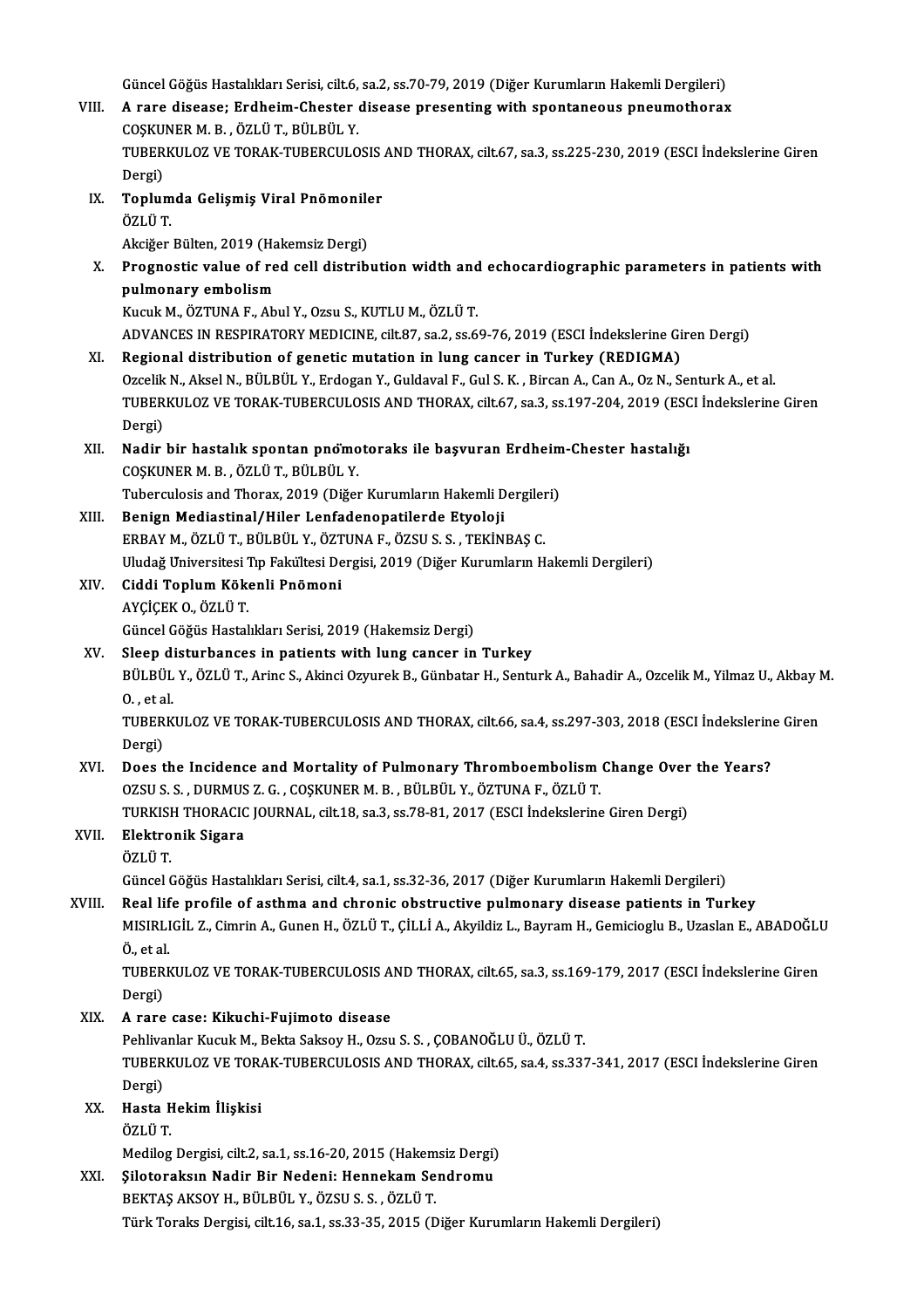Güncel Göğüs Hastalıkları Serisi, cilt.6, sa.2, ss.70-79, 2019 (Diğer Kurumların Hakemli Dergileri)<br>A rana disease: Endheim Chester disease presenting with enentspeeus preumetheren

- Güncel Göğüs Hastalıkları Serisi, cilt.6, sa.2, ss.70-79, 2019 (Diğer Kurumların Hakemli Dergileri)<br>VIII. A rare disease; Erdheim-Chester disease presenting with spontaneous pneumothorax<br>COSKUNER M B ÖZLÜ T, BÜLBÜL V Güncel Göğüs Hastalıkları Serisi, cilt.6,<br>A rare disease; Erdheim-Chester<br>COŞKUNER M. B. , ÖZLÜ T., BÜLBÜL Y.<br>TURERKULOZ VE TORAK TURERCULO A rare disease; Erdheim-Chester disease presenting with spontaneous pneumothorax<br>COSKUNER M. B., ÖZLÜ T., BÜLBÜL Y.<br>TUBERKULOZ VE TORAK-TUBERCULOSIS AND THORAX, cilt.67, sa.3, ss.225-230, 2019 (ESCI İndekslerine Giren<br>Derg COSKUNER M. B., ÖZLÜ T., BÜLBÜL Y. TUBERKULOZ VE TORAK-TUBERCULOSIS<br>Dergi)<br>IX. Toplumda Gelişmiş Viral Pnömoniler<br>ÖZLÜ T
- Dergi)<br><mark>Toplum</mark><br>ÖZLÜ T.<br>Akci<del>ğ</del>er Toplumda Gelişmiş Viral Pnömonile<br>ÖZLÜ T.<br>Akciğer Bülten, 2019 (Hakemsiz Dergi)<br>Prognostis value of rod sell distrib

ÖZLÜ T.<br>Akciğer Bülten, 2019 (Hakemsiz Dergi)<br>X. Prognostic value of red cell distribution width and echocardiographic parameters in patients with<br>nulmenary embelism Akciğer Bülten, 2019 (Ha<br>Prognostic value of re<br>pulmonary embolism<br>Kusuk M. ÖZTUNA E. Ab Prognostic value of red cell distribution width and<br>pulmonary embolism<br>Kucuk M., ÖZTUNA F., Abul Y., Ozsu S., KUTLU M., ÖZLÜ T.<br>ADVANCES IN RESPIRATORY MEDICINE silt 97, 22, 25 6 pulmonary embolism<br>Kucuk M., ÖZTUNA F., Abul Y., Ozsu S., KUTLU M., ÖZLÜ T.<br>ADVANCES IN RESPIRATORY MEDICINE, cilt.87, sa.2, ss.69-76, 2019 (ESCI İndekslerine Giren Dergi)

- XI. Regional distribution of geneticmutation in lung cancer in Turkey (REDIGMA) ADVANCES IN RESPIRATORY MEDICINE, cilt.87, sa.2, ss.69-76, 2019 (ESCI İndekslerine Giren Dergi)<br>Regional distribution of genetic mutation in lung cancer in Turkey (REDIGMA)<br>Ozcelik N., Aksel N., BÜLBÜL Y., Erdogan Y., Guld TUBERKULOZ VE TORAK-TUBERCULOSIS AND THORAX, cilt.67, sa.3, ss.197-204, 2019 (ESCI İndekslerine Giren<br>Dergi) Ozcelik<br>TUBER<br>Dergi)<br>Nodir TUBERKULOZ VE TORAK-TUBERCULOSIS AND THORAX, cilt.67, sa.3, ss.197-204, 2019 (ESC<br>Dergi)<br>XII. Nadir bir hastalık spontan pnömotoraks ile başvuran Erdheim-Chester hastalığı<br>COSKUNER M. B. ÖZLÜ T. BÜLBÜL V
- Dergi)<br>Nadir bir hastalık spontan pnomo<br>COŞKUNER M. B. , ÖZLÜ T., BÜLBÜL Y.<br>Tubergulasis and Tharay, 2010 (Dižar Nadir bir hastalık spontan pnomotoraks ile başvuran Erdheim<br>COŞKUNER M. B., ÖZLÜ T., BÜLBÜL Y.<br>Tuberculosis and Thorax, 2019 (Diğer Kurumların Hakemli Dergileri)<br>Penisn Mediastinal (Hiler Lanfadananatilerde Etyeleji

Tuberculosis and Thorax, 2019 (Diğer Kurumların Hakemli Dergileri)

- COŞKUNER M. B., ÖZLÜ T., BÜLBÜL Y.<br>Tuberculosis and Thorax, 2019 (Diğer Kurumların Hakemli Dergiler<br>XIII. Benign Mediastinal/Hiler Lenfadenopatilerde Etyoloji<br>ERBAY M., ÖZLÜ T., BÜLBÜL Y., ÖZTUNA F., ÖZSU S. S., TEKİNBAŞ C Uludağ Universitesi Tıp Fakültesi Dergisi, 2019 (Diğer Kurumların Hakemli Dergileri) ERBAY M., ÖZLÜ T., BÜLBÜL Y., ÖZT<br>Uludağ Universitesi Tıp Fakültesi De<br>XIV. Ciddi Toplum Kökenli Pnömoni<br>AVCİCEK O. ÖZLÜ T
- Uludağ Universitesi <mark>"</mark><br>Ciddi Toplum Köko<br>AYÇİÇEK O., ÖZLÜ T.<br>Cüncel Cöğüs Hestel Ciddi Toplum Kökenli Pnömoni<br>AYÇİÇEK O., ÖZLÜ T.<br>Güncel Göğüs Hastalıkları Serisi, 2019 (Hakemsiz Dergi)<br>Sleen disturbanses in nationts with lung sanser in AYÇİÇEK O., ÖZLÜ T.<br>Güncel Göğüs Hastalıkları Serisi, 2019 (Hakemsiz Dergi)<br>XV. Sleep disturbances in patients with lung cancer in Turkey<br>Pül Pül V. ÖZLÜ T. Arine S. Akinei Ozuveek B. Günbatar H. Sentr
- Sleep disturbances in patients with lung cancer in Turkey

BÜLBÜL Y., ÖZLÜ T., Arinc S., Akinci Ozyurek B., Günbatar H., Senturk A., Bahadir A., Ozcelik M., Yilmaz U., Akbay M.<br>O. , et al. BÜLBÜL Y., ÖZLÜ T., Arinc S., Akinci Ozyurek B., Günbatar H., Senturk A., Bahadir A., Ozcelik M., Yilmaz U., Akbay M<br>O. , et al.<br>TUBERKULOZ VE TORAK-TUBERCULOSIS AND THORAX, cilt.66, sa.4, ss.297-303, 2018 (ESCI İndeksleri

O. , et a<br>TUBER<br>Dergi)<br>Dees t TUBERKULOZ VE TORAK-TUBERCULOSIS AND THORAX, cilt.66, sa.4, ss.297-303, 2018 (ESCI Indekslerin<br>Dergi)<br>XVI. Does the Incidence and Mortality of Pulmonary Thromboembolism Change Over the Years?<br>Q7SU S. DUPMIS 7. C. COSVINER

Dergi)<br>Does the Incidence and Mortality of Pulmonary Thromboembolism Change Over the Years?<br>OZSU S. S. , DURMUS Z. G. , COŞKUNER M. B. , BÜLBÜL Y., ÖZTUNA F., ÖZLÜ T. Does the Incidence and Mortality of Pulmonary Thromboembolism Change Over<br>OZSU S. S. , DURMUS Z. G. , COŞKUNER M. B. , BÜLBÜL Y., ÖZTUNA F., ÖZLÜ T.<br>TURKISH THORACIC JOURNAL, cilt.18, sa.3, ss.78-81, 2017 (ESCI İndekslerin

## XVII. Elektronik Sigara<br>ÖZLÜ T. TURKISI<br><mark>Elektro</mark><br>ÖZLÜ T.<br>Güncel G

Güncel Göğüs Hastalıkları Serisi, cilt.4, sa.1, ss.32-36, 2017 (Diğer Kurumların Hakemli Dergileri)

### XVIII. Real life profile of asthma and chronic obstructive pulmonary disease patients in Turkey

Güncel Göğüs Hastalıkları Serisi, cilt.4, sa.1, ss.32-36, 2017 (Diğer Kurumların Hakemli Dergileri)<br>Real life profile of asthma and chronic obstructive pulmonary disease patients in Turkey<br>MISIRLIGİL Z., Cimrin A., Gunen H Real lif<br>MISIRLI<br>Ö., et al.<br>TUPFPL MISIRLIGİL Z., Cimrin A., Gunen H., ÖZLÜ T., ÇİLLİ A., Akyildiz L., Bayram H., Gemicioglu B., Uzaslan E., ABADOĞLU<br>Ö., et al.<br>TUBERKULOZ VE TORAK-TUBERCULOSIS AND THORAX, cilt.65, sa.3, ss.169-179, 2017 (ESCI İndekslerine

Ö., et al.<br>TUBERKULOZ VE TORAK-TUBERCULOSIS AND THORAX, cilt.65, sa.3, ss.169-179, 2017 (ESCI İndekslerine Giren<br>Dergi)

XIX. A rare case: Kikuchi-Fujimoto disease

Dergi)<br><mark>A rare case: Kikuchi-Fujimoto disease</mark><br>Pehlivanlar Kucuk M., Bekta Saksoy H., Ozsu S. S. , ÇOBANOĞLU Ü., ÖZLÜ T.<br>TURERKULOZ VE TORAK TURERCULOSIS AND THORAX silt 65-59 Å SS ??? TUBERKULOZ VE TORAK-TUBERCULOSIS AND THORAX, cilt.65, sa.4, ss.337-341, 2017 (ESCI İndekslerine Giren<br>Dergi) Pehliva<br>TUBER<br>Dergi)<br>Heste

XX. Hasta Hekimİlişkisi

ÖZLÜT.

Hasta Hekim İlişkisi<br>ÖZLÜ T.<br>Medilog Dergisi, cilt.2, sa.1, ss.16-20, 2015 (Hakemsiz Dergi)<br>Sileterakay Nadir Bir Nadani: Hannakam Sandromu

## ÖZLÜ T.<br>Medilog Dergisi, cilt.2, sa.1, ss.16-20, 2015 (Hakemsiz Dergi)<br>XXI. §ilotoraksın Nadir Bir Nedeni: Hennekam Sendromu<br>REKTAS AKSOV H. BÜLRÜLY, ÖZSUS S. ÖZLÜ T

Medilog Dergisi, cilt.2, sa.1, ss.16-20, 2015 (Hakem<br>Şilotoraksın Nadir Bir Nedeni: Hennekam Se<br>BEKTAŞ AKSOY H., BÜLBÜL Y., ÖZSU S. S. , ÖZLÜ T.<br>Türk Tenaka Dergisi, silt 16, sa.1, ss.23, 25, 2015 (F.

Şilotoraksın Nadir Bir Nedeni: Hennekam Sendromu<br>BEKTAŞ AKSOY H., BÜLBÜL Y., ÖZSU S. S. , ÖZLÜ T.<br>Türk Toraks Dergisi, cilt.16, sa.1, ss.33-35, 2015 (Diğer Kurumların Hakemli Dergileri)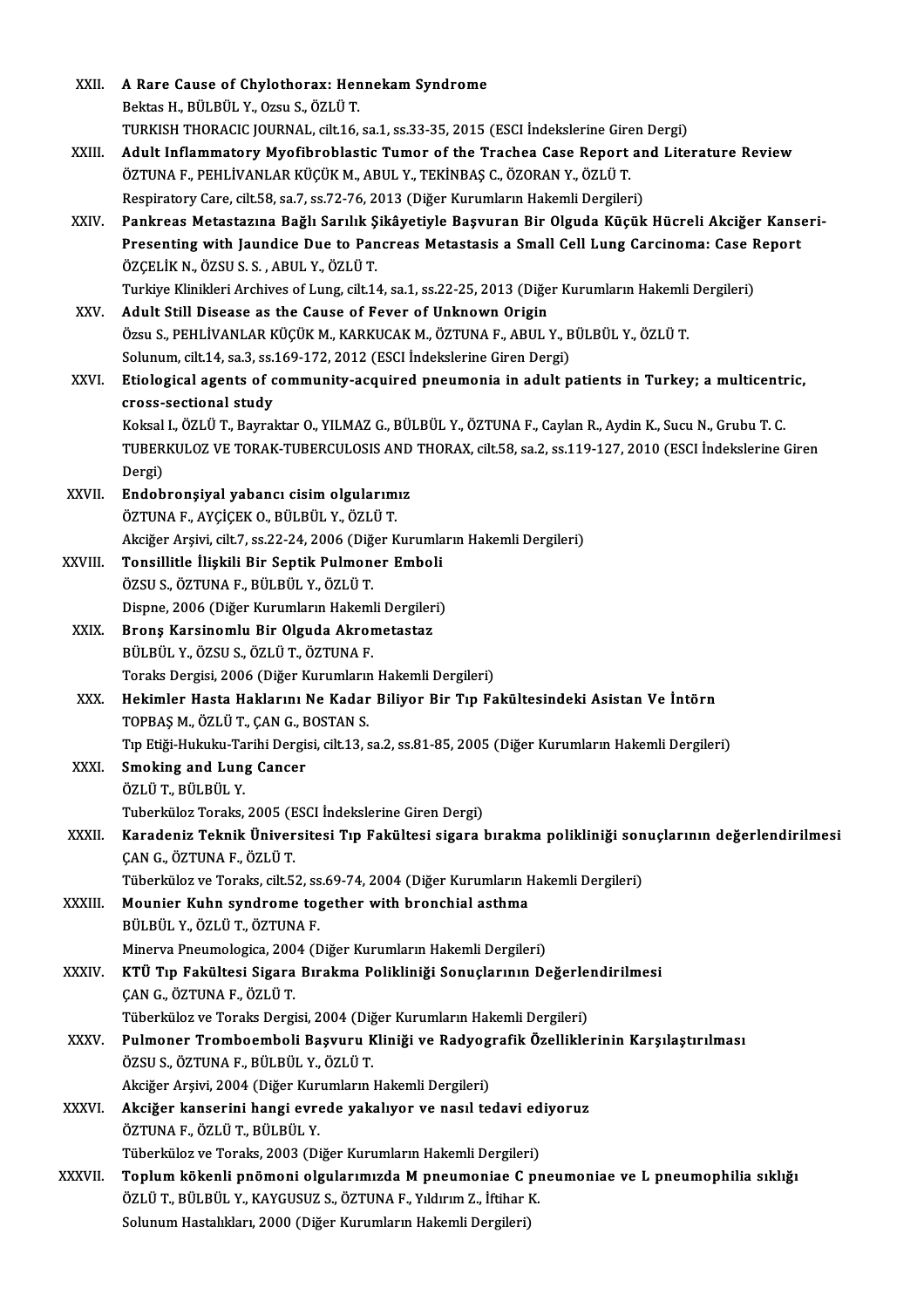| XXII.        | A Rare Cause of Chylothorax: Hennekam Syndrome                                                                                                                                                                                  |
|--------------|---------------------------------------------------------------------------------------------------------------------------------------------------------------------------------------------------------------------------------|
|              | Bektas H., BÜLBÜL Y., Ozsu S., ÖZLÜ T.                                                                                                                                                                                          |
|              | TURKISH THORACIC JOURNAL, cilt.16, sa.1, ss.33-35, 2015 (ESCI Indekslerine Giren Dergi)                                                                                                                                         |
| XXIII.       | Adult Inflammatory Myofibroblastic Tumor of the Trachea Case Report and Literature Review                                                                                                                                       |
|              | ÖZTUNA F., PEHLİVANLAR KÜÇÜK M., ABUL Y., TEKİNBAŞ C., ÖZORAN Y., ÖZLÜ T.                                                                                                                                                       |
|              | Respiratory Care, cilt.58, sa.7, ss.72-76, 2013 (Diğer Kurumların Hakemli Dergileri)                                                                                                                                            |
| XXIV.        | Pankreas Metastazına Bağlı Sarılık Şikâyetiyle Başvuran Bir Olguda Küçük Hücreli Akciğer Kanseri-                                                                                                                               |
|              | Presenting with Jaundice Due to Pancreas Metastasis a Small Cell Lung Carcinoma: Case Report                                                                                                                                    |
|              | ÖZÇELİK N., ÖZSU S. S., ABUL Y., ÖZLÜ T.                                                                                                                                                                                        |
|              | Turkiye Klinikleri Archives of Lung, cilt.14, sa.1, ss.22-25, 2013 (Diğer Kurumların Hakemli Dergileri)                                                                                                                         |
| XXV.         | Adult Still Disease as the Cause of Fever of Unknown Origin                                                                                                                                                                     |
|              | Özsu S., PEHLİVANLAR KÜÇÜK M., KARKUCAK M., ÖZTUNA F., ABUL Y., BÜLBÜL Y., ÖZLÜ T.                                                                                                                                              |
|              | Solunum, cilt 14, sa 3, ss 169-172, 2012 (ESCI İndekslerine Giren Dergi)                                                                                                                                                        |
| XXVI.        | Etiological agents of community-acquired pneumonia in adult patients in Turkey; a multicentric,                                                                                                                                 |
|              | cross-sectional study                                                                                                                                                                                                           |
|              | Koksal I., ÖZLÜ T., Bayraktar O., YILMAZ G., BÜLBÜL Y., ÖZTUNA F., Caylan R., Aydin K., Sucu N., Grubu T. C.<br>TUBERKULOZ VE TORAK-TUBERCULOSIS AND THORAX, cilt.58, sa.2, ss.119-127, 2010 (ESCI İndekslerine Giren<br>Dergi) |
| <b>XXVII</b> | Endobronşiyal yabancı cisim olgularımız                                                                                                                                                                                         |
|              | ÖZTUNA F., AYÇİÇEK O., BÜLBÜL Y., ÖZLÜ T.                                                                                                                                                                                       |
|              | Akciğer Arşivi, cilt.7, ss.22-24, 2006 (Diğer Kurumların Hakemli Dergileri)                                                                                                                                                     |
| XXVIII.      | Tonsillitle İlişkili Bir Septik Pulmoner Emboli                                                                                                                                                                                 |
|              | ÖZSU S., ÖZTUNA F., BÜLBÜL Y., ÖZLÜ T.                                                                                                                                                                                          |
|              | Dispne, 2006 (Diğer Kurumların Hakemli Dergileri)                                                                                                                                                                               |
| XXIX.        | Bronș Karsinomlu Bir Olguda Akrometastaz                                                                                                                                                                                        |
|              | BÜLBÜL Y., ÖZSU S., ÖZLÜ T., ÖZTUNA F.                                                                                                                                                                                          |
|              | Toraks Dergisi, 2006 (Diğer Kurumların Hakemli Dergileri)                                                                                                                                                                       |
| XXX.         | Hekimler Hasta Haklarını Ne Kadar Biliyor Bir Tıp Fakültesindeki Asistan Ve İntörn                                                                                                                                              |
|              | TOPBAS M., ÖZLÜ T., CAN G., BOSTAN S.                                                                                                                                                                                           |
|              | Tıp Etiği-Hukuku-Tarihi Dergisi, cilt.13, sa.2, ss.81-85, 2005 (Diğer Kurumların Hakemli Dergileri)                                                                                                                             |
| <b>XXXI</b>  | <b>Smoking and Lung Cancer</b>                                                                                                                                                                                                  |
|              | ÖZLÜ T, BÜLBÜL Y                                                                                                                                                                                                                |
|              | Tuberküloz Toraks, 2005 (ESCI İndekslerine Giren Dergi)                                                                                                                                                                         |
| XXXII.       | Karadeniz Teknik Üniversitesi Tıp Fakültesi sigara bırakma polikliniği sonuçlarının değerlendirilmesi                                                                                                                           |
|              | ÇAN G., ÖZTUNA F., ÖZLÜ T.                                                                                                                                                                                                      |
|              | Tüberküloz ve Toraks, cilt.52, ss.69-74, 2004 (Diğer Kurumların Hakemli Dergileri)                                                                                                                                              |
| XXXIII.      | Mounier Kuhn syndrome together with bronchial asthma                                                                                                                                                                            |
|              | BÜLBÜL Y., ÖZLÜ T., ÖZTUNA F.                                                                                                                                                                                                   |
|              | Minerva Pneumologica, 2004 (Diğer Kurumların Hakemli Dergileri)                                                                                                                                                                 |
| <b>XXXIV</b> | KTÜ Tıp Fakültesi Sigara Bırakma Polikliniği Sonuçlarının Değerlendirilmesi                                                                                                                                                     |
|              | ÇAN G., ÖZTUNA F., ÖZLÜ T.                                                                                                                                                                                                      |
|              | Tüberküloz ve Toraks Dergisi, 2004 (Diğer Kurumların Hakemli Dergileri)                                                                                                                                                         |
| <b>XXXV</b>  | Pulmoner Tromboemboli Başvuru Kliniği ve Radyografik Özelliklerinin Karşılaştırılması                                                                                                                                           |
|              | ÖZSU S., ÖZTUNA F., BÜLBÜL Y., ÖZLÜ T.                                                                                                                                                                                          |
|              | Akciğer Arşivi, 2004 (Diğer Kurumların Hakemli Dergileri)                                                                                                                                                                       |
| XXXVI.       | Akciğer kanserini hangi evrede yakalıyor ve nasıl tedavi ediyoruz                                                                                                                                                               |
|              | ÖZTUNA F., ÖZLÜ T., BÜLBÜL Y.                                                                                                                                                                                                   |
|              | Tüberküloz ve Toraks, 2003 (Diğer Kurumların Hakemli Dergileri)                                                                                                                                                                 |
| XXXVII.      | Toplum kökenli pnömoni olgularımızda M pneumoniae C pneumoniae ve L pneumophilia sıklığı                                                                                                                                        |
|              | ÖZLÜ T., BÜLBÜL Y., KAYGUSUZ S., ÖZTUNA F., Yıldırım Z., İftihar K.                                                                                                                                                             |
|              | Solunum Hastalıkları, 2000 (Diğer Kurumların Hakemli Dergileri)                                                                                                                                                                 |
|              |                                                                                                                                                                                                                                 |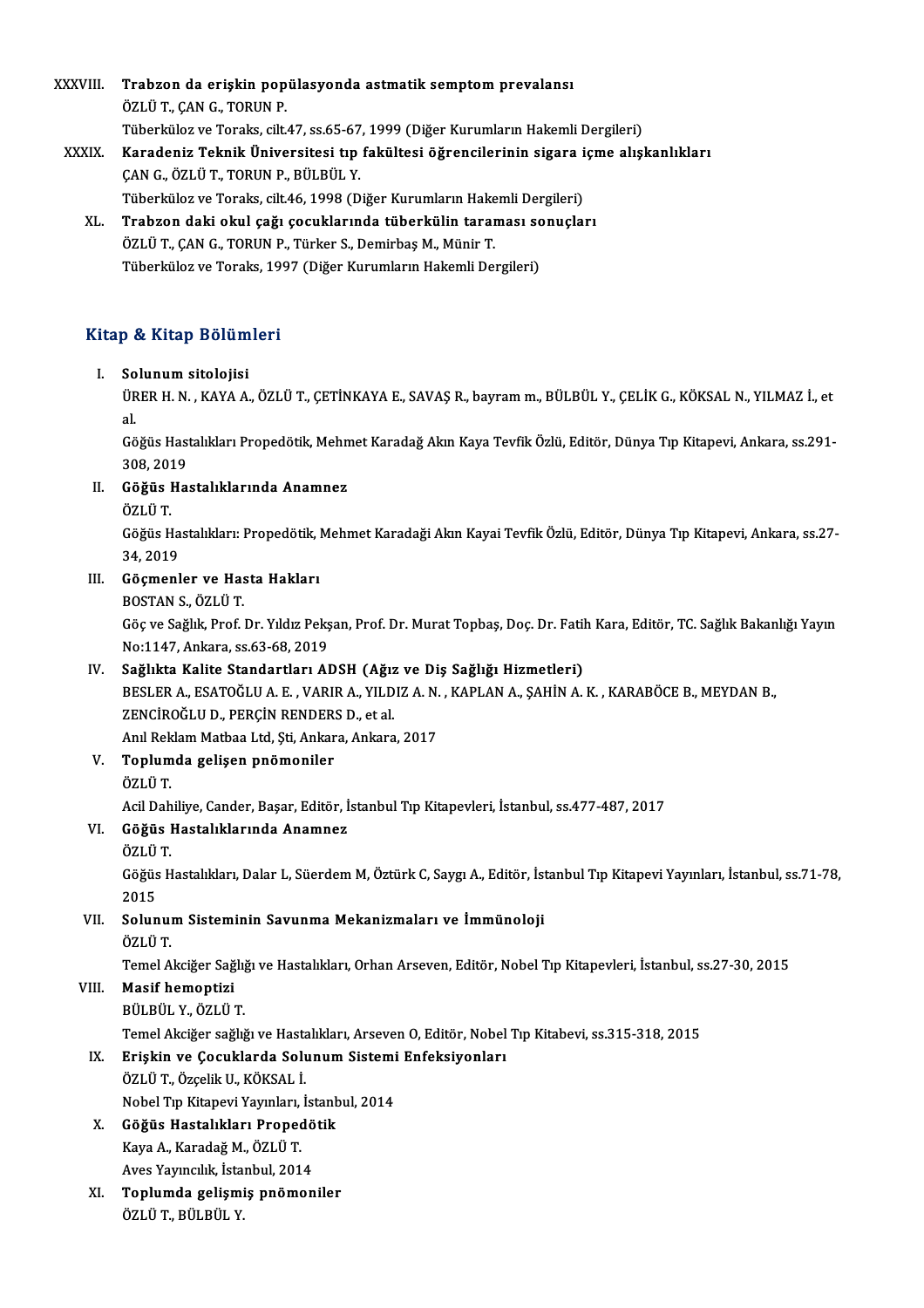XXXVIII. Trabzon da erişkin popülasyonda astmatik semptom prevalansı ÖZLÜ T., ÇAN G., TORUN P. Trabzon da erişkin popülasyonda astmatik semptom prevalansı<br>ÖZLÜ T., ÇAN G., TORUN P.<br>Tüberküloz ve Toraks, cilt.47, ss.65-67, 1999 (Diğer Kurumların Hakemli Dergileri)<br>Kanadanin Teknik Üniversitesi tın fekültesi öğrensile ÖZLÜ T., ÇAN G., TORUN P.<br>Tüberküloz ve Toraks, cilt.47, ss.65-67, 1999 (Diğer Kurumların Hakemli Dergileri)<br>XXXIX. Karadeniz Teknik Üniversitesi tıp fakültesi öğrencilerinin sigara içme alışkanlıkları

## Tüberküloz ve Toraks, cilt.47, ss.65-67<br>Karadeniz Teknik Üniversitesi tıp<br>ÇAN G., ÖZLÜ T., TORUN P., BÜLBÜL Y.<br>Tüberkülaz ve Toraks, silt.46, 1999 (D. Karadeniz Teknik Üniversitesi tıp fakültesi öğrencilerinin sigara i<br>ÇAN G., ÖZLÜ T., TORUN P., BÜLBÜL Y.<br>Tüberküloz ve Toraks, cilt.46, 1998 (Diğer Kurumların Hakemli Dergileri)<br>Trahron daki okul sağı sosuklarında tüherkül

ÇAN G., ÖZLÜ T., TORUN P., BÜLBÜL Y.<br>Tüberküloz ve Toraks, cilt.46, 1998 (Diğer Kurumların Hakemli Dergileri)<br>XL. Trabzon daki okul çağı çocuklarında tüberkülin taraması sonuçları<br>ÖZLÜ T. CAN C. TOBUN B. Türker S. Demi Tüberküloz ve Toraks, cilt.46, 1998 (Diğer Kurumların Hake<br><mark>Trabzon daki okul çağı çocuklarında tüberkülin tara</mark><br>ÖZLÜ T., ÇAN G., TORUN P., Türker S., Demirbaş M., Münir T.<br>Tüberküleg ve Teraks 1997 (Diğer Kurumların Hakem <mark>Trabzon daki okul çağı çocuklarında tüberkülin taraması sc</mark><br>ÖZLÜ T., ÇAN G., TORUN P., Türker S., Demirbaş M., Münir T.<br>Tüberküloz ve Toraks, 1997 (Diğer Kurumların Hakemli Dergileri)

## 1uberkuloz ve Toraks, 19<br>Kitap & Kitap Bölümleri itap & Kitap Bölüm<br>I. Solunum sitolojisi<br>J<sup>üpep u N. KAXAA</sub></sup>

I. Solunum sitolojisi<br>ÜRER H. N. , KAYA A., ÖZLÜ T., ÇETİNKAYA E., SAVAŞ R., bayram m., BÜLBÜL Y., ÇELİK G., KÖKSAL N., YILMAZ İ., et<br>al. So<br>ÜR<br>al. ÜRER H. N. , KAYA A., ÖZLÜ T., ÇETİNKAYA E., SAVAŞ R., bayram m., BÜLBÜL Y., ÇELİK G., KÖKSAL N., YILMAZ İ., et<br>al.<br>Göğüs Hastalıkları Propedötik, Mehmet Karadağ Akın Kaya Tevfik Özlü, Editör, Dünya Tıp Kitapevi, Ankara, s

al.<br>Göğüs Hast<br>308, 2019<br>Göğüs Ha Göğüs Hastalıkları Propedötik, Mehn<br>308, 2019<br>II. Göğüs Hastalıklarında Anamnez<br>ÖZLÜT

## 308, 2019<br>II. Göğüs Hastalıklarında Anamnez<br>ÖZLÜ T.

Göğüs Hastalıklarında Anamnez<br>ÖZLÜ T.<br>Göğüs Hastalıkları: Propedötik, Mehmet Karadaği Akın Kayai Tevfik Özlü, Editör, Dünya Tıp Kitapevi, Ankara, ss.27-ÖZLÜ T.<br>Göğüs Ha<br>34, 2019<br>Gösmanl

## 34, 2019<br>III. Göçmenler ve Hasta Hakları

BOSTANS.,ÖZLÜT.

Göçmenler ve Hasta Hakları<br>BOSTAN S., ÖZLÜ T.<br>Göç ve Sağlık, Prof. Dr. Yıldız Pekşan, Prof. Dr. Murat Topbaş, Doç. Dr. Fatih Kara, Editör, TC. Sağlık Bakanlığı Yayın BOSTAN S., ÖZLÜ T.<br>Göç ve Sağlık, Prof. Dr. Yıldız Pekş<br>No:1147, Ankara, ss.63-68, 2019<br>Sağlıkta Kalita Standartları, AI Göç ve Sağlık, Prof. Dr. Yıldız Pekşan, Prof. Dr. Murat Topbaş, Doç. Dr. Fatil<br>No:1147, Ankara, ss.63-68, 2019<br>IV. Sağlıkta Kalite Standartları ADSH (Ağız ve Diş Sağlığı Hizmetleri)<br>PESLEP A. ESATOĞLU A.E. VARIR A. YU DIZ

## IV. Sağlıkta Kalite Standartları ADSH (Ağız ve Diş Sağlığı Hizmetleri)

No:1147, Ankara, ss.63-68, 2019<br>Sağlıkta Kalite Standartları ADSH (Ağız ve Diş Sağlığı Hizmetleri)<br>BESLER A., ESATOĞLU A. E. , VARIR A., YILDIZ A. N. , KAPLAN A., ŞAHİN A. K. , KARABÖCE B., MEYDAN B.,<br>ZENCİROĞLU D., PERCİN BESLER A., ESATOĞLU A. E. , VARIR A., YILDIZ A. N.<br>ZENCİROĞLU D., PERÇİN RENDERS D., et al.<br>Anıl Reklam Matbaa Ltd, Şti, Ankara, Ankara, 2017<br>Tenlumda gelişen nnömeniler.

## V. Toplumda gelişen pnömoniler Anıl Rek<br><mark>Toplum</mark><br>ÖZLÜ T.

AcilDahiliye,Cander,Başar,Editör, İstanbulTıpKitapevleri, İstanbul, ss.477-487,2017

## ÖZLÜ T.<br>Acil Dahiliye, Cander, Başar, Editör, İ<br>VI. Göğüs Hastalıklarında Anamnez<br>ÖZLÜ T Acil Dah<br><mark>Göğüs 1</mark><br>ÖZLÜ T.<br>Göğüs H

G<mark>öğüs Hastalıklarında Anamnez</mark><br>ÖZLÜ T.<br>Göğüs Hastalıkları, Dalar L, Süerdem M, Öztürk C, Saygı A., Editör, İstanbul Tıp Kitapevi Yayınları, İstanbul, ss.71-78, ÖZLÜ<br>Göğüs<br>2015<br>Solur Göğüs Hastalıkları, Dalar L, Süerdem M, Öztürk C, Saygı A., Editör, İst<br>2015<br>VII. Solunum Sisteminin Savunma Mekanizmaları ve İmmünoloji<br>ÖZLÜ T

## 2015<br>VII. Solunum Sisteminin Savunma Mekanizmaları ve İmmünoloji<br>ÖZLÜ T. Solunum Sisteminin Savunma Mekanizmaları ve İmmünoloji<br>ÖZLÜ T.<br>Temel Akciğer Sağlığı ve Hastalıkları, Orhan Arseven, Editör, Nobel Tıp Kitapevleri, İstanbul, ss.27-30, 2015<br>Masif homontisi

## VIII. Masif hemoptizi<br>BÜLBÜL Y., ÖZLÜ T.

Temel Akciğer Sağlı<mark>)</mark><br>Masif hemoptizi<br>BÜLBÜL Y., ÖZLÜ T.<br>Temel Aksiğer sağlı

Temel Akciğer sağlığı ve Hastalıkları, Arseven O, Editör, Nobel Tıp Kitabevi, ss.315-318, 2015

## BÜLBÜL Y., ÖZLÜ T.<br>Temel Akciğer sağlığı ve Hastalıkları, Arseven O, Editör, Nobel<br>IX. Erişkin ve Çocuklarda Solunum Sistemi Enfeksiyonları<br>ÖZLÜ T. Özeelik U. KÖKSAL İ.

- ÖZLÜT.,ÖzçelikU.,KÖKSAL İ. Erişkin ve Çocuklarda Solunum Sistemi<br>ÖZLÜ T., Özçelik U., KÖKSAL İ.<br>Nobel Tıp Kitapevi Yayınları, İstanbul, 2014<br>Göğüs Hestalıkları, Prenadötik Nobel Tıp Kitapevi Yayınları, İstanbul, 2014
- X. Göğüs Hastalıkları Propedötik G<mark>öğüs Hastalıkları Propedö</mark><br>Kaya A., Karadağ M., ÖZLÜ T.<br>Aves Yayıncılık, İstanbul, 2014<br>Tenlumde gelismiş anğmen
- XI. Toplumda gelişmiş pnömoniler Aves Yayıncılık, İsta<br><mark>Toplumda gelişm</mark>i<br>ÖZLÜ T., BÜLBÜL Y.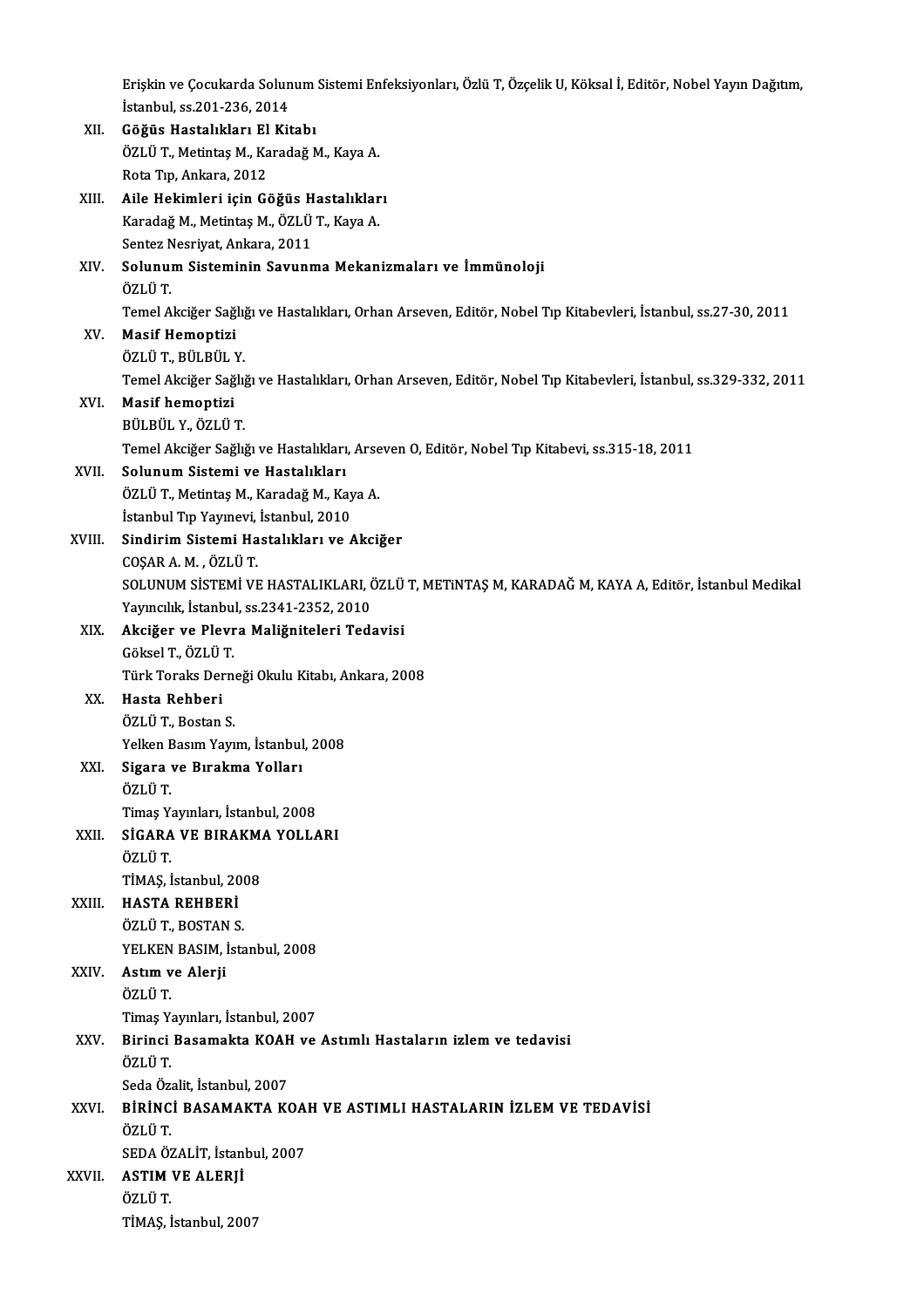Erişkin ve Çocukarda Solunum Sistemi Enfeksiyonları, Özlü T, Özçelik U, Köksal İ, Editör, Nobel Yayın Dağıtım,<br>İstanbul, 23.201.236, 2014 Erişkin ve Çocukarda Solun<br>İstanbul, ss.201-236, 2014<br>Göğüs Hastalıkları El Kit Erişkin ve Çocukarda Solunum<br>İstanbul, ss.201-236, 2014<br>XII. Göğüs Hastalıkları El Kitabı<br>ÖZLÜ T. Metintas M. Kanadağ b İstanbul, ss.201-236, 2014

| XII.   | Göğüs Hastalıkları El Kitabı                                                                                    |
|--------|-----------------------------------------------------------------------------------------------------------------|
|        | ÖZLÜ T., Metintaş M., Karadağ M., Kaya A.                                                                       |
|        | Rota Tıp, Ankara, 2012                                                                                          |
| XIII.  | Aile Hekimleri için Göğüs Hastalıkları                                                                          |
|        | Karadağ M., Metintaş M., ÖZLÜ T., Kaya A.                                                                       |
|        | Sentez Nesriyat, Ankara, 2011                                                                                   |
| XIV.   | Solunum Sisteminin Savunma Mekanizmaları ve İmmünoloji                                                          |
|        | ÖZLÜ T                                                                                                          |
|        | Temel Akciğer Sağlığı ve Hastalıkları, Orhan Arseven, Editör, Nobel Tıp Kitabevleri, İstanbul, ss.27-30, 2011   |
| XV.    | <b>Masif Hemoptizi</b>                                                                                          |
|        | ÖZLÜ T, BÜLBÜL Y.                                                                                               |
|        | Temel Akciğer Sağlığı ve Hastalıkları, Orhan Arseven, Editör, Nobel Tıp Kitabevleri, İstanbul, ss.329-332, 2011 |
| XVI.   | Masif hemoptizi                                                                                                 |
|        | BÜLBÜL Y., ÖZLÜ T.                                                                                              |
|        | Temel Akciğer Sağlığı ve Hastalıkları, Arseven O, Editör, Nobel Tıp Kitabevi, ss.315-18, 2011                   |
| XVII.  | Solunum Sistemi ve Hastalıkları                                                                                 |
|        | ÖZLÜ T., Metintaş M., Karadağ M., Kaya A.                                                                       |
|        | İstanbul Tıp Yayınevi, İstanbul, 2010                                                                           |
| XVIII. | Sindirim Sistemi Hastalıkları ve Akciğer                                                                        |
|        | COȘAR A. M., ÖZLÜ T.                                                                                            |
|        | SOLUNUM SİSTEMİ VE HASTALIKLARI, ÖZLÜ T, METINTAŞ M, KARADAĞ M, KAYA A, Editör, İstanbul Medikal                |
|        | Yayıncılık, İstanbul, ss 2341-2352, 2010                                                                        |
| XIX.   | Akciğer ve Plevra Maliğniteleri Tedavisi                                                                        |
|        | Göksel T., ÖZLÜ T.                                                                                              |
|        | Türk Toraks Derneği Okulu Kitabı, Ankara, 2008                                                                  |
| XX.    | Hasta Rehberi                                                                                                   |
|        | ÖZLÜ T, Bostan S                                                                                                |
|        | Yelken Basım Yayım, İstanbul, 2008                                                                              |
| XXI.   | Sigara ve Bırakma Yolları<br>ÖZLÜ T                                                                             |
|        | Timaş Yayınları, İstanbul, 2008                                                                                 |
| XXII.  | SİGARA VE BIRAKMA YOLLARI                                                                                       |
|        | ÖZLÜ T.                                                                                                         |
|        | TİMAŞ, İstanbul, 2008                                                                                           |
| XXIII. | <b>HASTA REHBERİ</b>                                                                                            |
|        | ÖZLÜ T, BOSTAN S                                                                                                |
|        | YELKEN BASIM, İstanbul, 2008                                                                                    |
| XXIV.  | Astım ve Alerji                                                                                                 |
|        | ÖZLÜ T                                                                                                          |
|        | Timaş Yayınları, İstanbul, 2007                                                                                 |
| XXV.   | Birinci Basamakta KOAH ve Astımlı Hastaların izlem ve tedavisi                                                  |
|        | ÖZLÜ T.                                                                                                         |
|        | Seda Özalit, İstanbul, 2007                                                                                     |
| XXVI.  | BİRİNCİ BASAMAKTA KOAH VE ASTIMLI HASTALARIN İZLEM VE TEDAVİSİ                                                  |
|        | ÖZLÜ T.                                                                                                         |
|        | SEDA ÖZALİT, İstanbul, 2007                                                                                     |
| XXVII. | <b>ASTIM VE ALERJİ</b>                                                                                          |
|        | ÖZLÜ T.                                                                                                         |
|        | TİMAŞ, İstanbul, 2007                                                                                           |
|        |                                                                                                                 |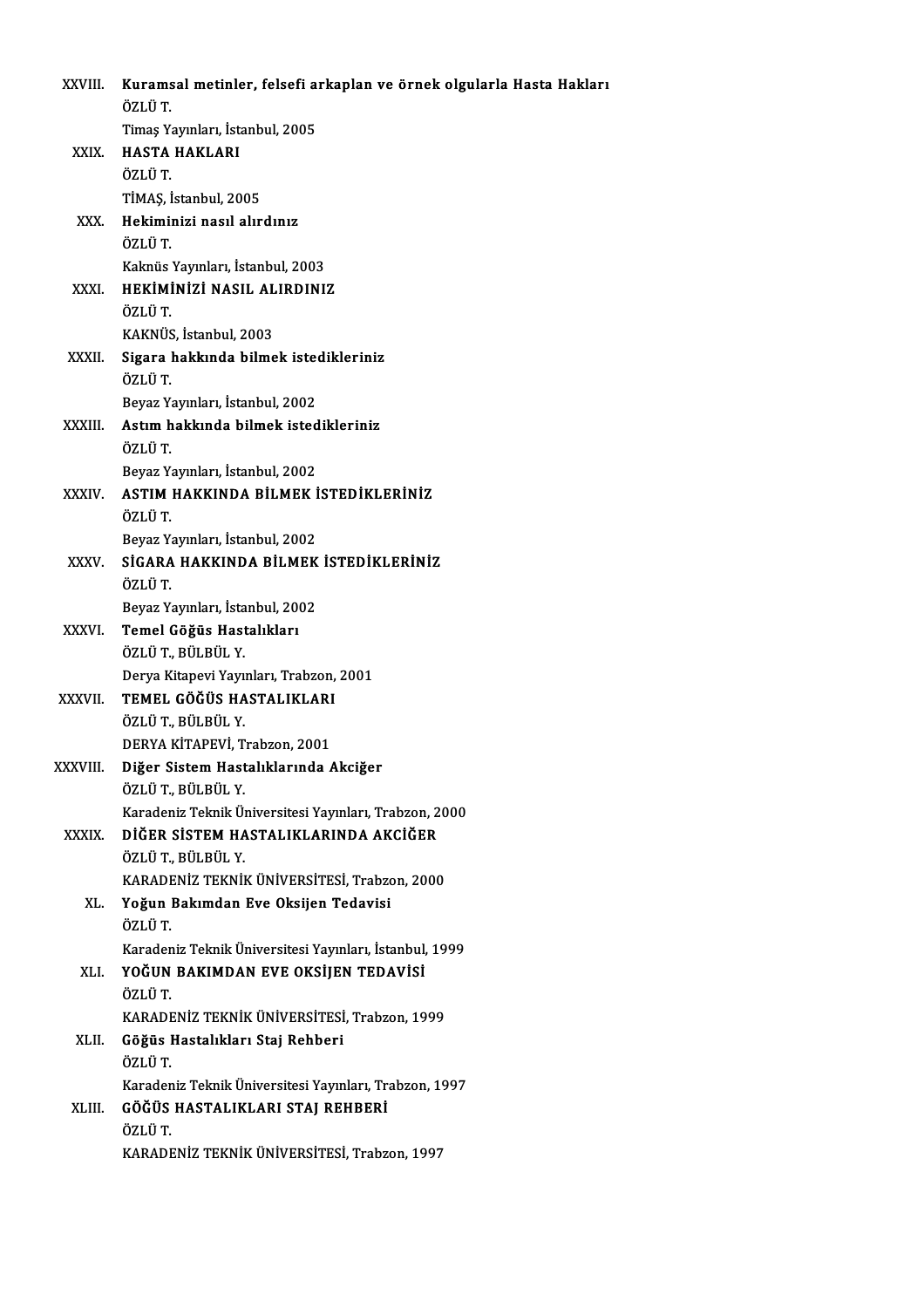| XXVIII.        | Kuramsal metinler, felsefi arkaplan ve örnek olgularla Hasta Hakları<br>ÖZLÜ T |
|----------------|--------------------------------------------------------------------------------|
|                | Timaş Yayınları, İstanbul, 2005                                                |
| XXIX.          | <b>HASTA HAKLARI</b>                                                           |
|                | ÖZLÜ T.                                                                        |
|                | TİMAŞ, İstanbul, 2005                                                          |
| XXX.           | Hekiminizi nasıl alırdınız                                                     |
|                | ÖZLÜ T.                                                                        |
|                | Kaknüs Yayınları, İstanbul, 2003                                               |
| XXXI.          | HEKİMİNİZİ NASIL ALIRDINIZ                                                     |
|                | ÖZLÜ T                                                                         |
|                | KAKNÜS, İstanbul, 2003                                                         |
| XXXII.         | Sigara hakkında bilmek istedikleriniz                                          |
|                | ÖZLÜ T.                                                                        |
|                | Beyaz Yayınları, İstanbul, 2002                                                |
| XXXIII.        | Astım hakkında bilmek istedikleriniz                                           |
|                | ÖZLÜ T.                                                                        |
|                | Beyaz Yayınları, İstanbul, 2002<br>ASTIM HAKKINDA BİLMEK İSTEDİKLERİNİZ        |
| XXXIV.         | ÖZLÜ T.                                                                        |
|                | Beyaz Yayınları, İstanbul, 2002                                                |
| <b>XXXV</b>    | SİGARA HAKKINDA BİLMEK İSTEDİKLERİNİZ                                          |
|                | ÖZLÜ T                                                                         |
|                | Beyaz Yayınları, İstanbul, 2002                                                |
| <b>XXXVI</b>   | Temel Göğüs Hastalıkları                                                       |
|                | ÖZLÜ T., BÜLBÜL Y.                                                             |
|                | Derya Kitapevi Yayınları, Trabzon, 2001                                        |
| XXXVII.        | TEMEL GÖĞÜS HASTALIKLARI                                                       |
|                | ÖZLÜ T. BÜLBÜL Y.                                                              |
|                | DERYA KİTAPEVİ, Trabzon, 2001                                                  |
| <b>XXXVIII</b> | Diğer Sistem Hastalıklarında Akciğer                                           |
|                | ÖZLÜ T., BÜLBÜL Y.                                                             |
|                | Karadeniz Teknik Üniversitesi Yayınları, Trabzon, 2000                         |
| <b>XXXIX</b>   | DİĞER SİSTEM HASTALIKLARINDA AKCİĞER                                           |
|                | ÖZLÜ T, BÜLBÜL Y.                                                              |
|                | KARADENİZ TEKNİK ÜNİVERSİTESİ, Trabzon, 2000                                   |
| XL.            | Yoğun Bakımdan Eve Oksijen Tedavisi                                            |
|                | ÖZLÜ T.                                                                        |
|                | Karadeniz Teknik Üniversitesi Yayınları, İstanbul, 1999                        |
| XLI.           | YOĞUN BAKIMDAN EVE OKSİJEN TEDAVİSİ                                            |
|                | ÖZLÜ T                                                                         |
|                | KARADENİZ TEKNİK ÜNİVERSİTESİ, Trabzon, 1999                                   |
| XLII.          | Göğüs Hastalıkları Staj Rehberi                                                |
|                | ÖZLÜ T                                                                         |
|                | Karadeniz Teknik Üniversitesi Yayınları, Trabzon, 1997                         |
| XLIII.         | GÖĞÜS HASTALIKLARI STAJ REHBERİ<br>ÖZLÜ T.                                     |
|                | KARADENİZ TEKNİK ÜNİVERSİTESİ, Trabzon, 1997                                   |
|                |                                                                                |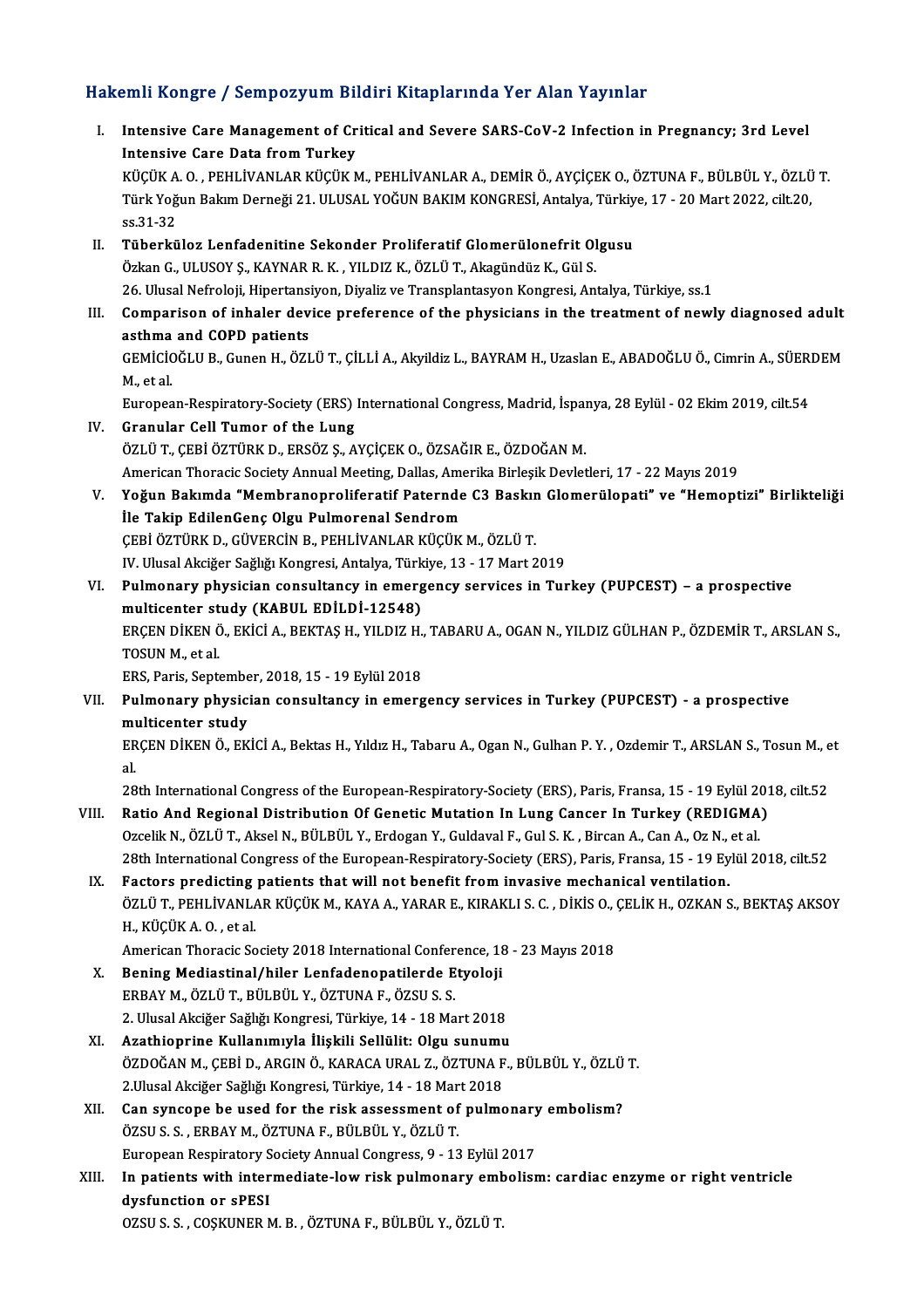### Hakemli Kongre / Sempozyum Bildiri Kitaplarında Yer Alan Yayınlar

akemli Kongre / Sempozyum Bildiri Kitaplarında Yer Alan Yayınlar<br>I. Intensive Care Management of Critical and Severe SARS-CoV-2 Infection in Pregnancy; 3rd Level<br>Intensive Care Data from Turkey Intensive Care Management of Cr<br>Intensive Care Management of Cr<br>Vicity A.O. DEULIVANI AP Vicity A Intensive Care Management of Critical and Severe SARS-CoV-2 Infection in Pregnancy; 3rd Level<br>Intensive Care Data from Turkey<br>KÜÇÜK A. O. , PEHLİVANLAR KÜÇÜK M., PEHLİVANLAR A., DEMİR Ö., AYÇİÇEK O., ÖZTUNA F., BÜLBÜL Y., Intensive Care Data from Turkey<br>KÜÇÜK A. O. , PEHLİVANLAR KÜÇÜK M., PEHLİVANLAR A., DEMİR Ö., AYÇİÇEK O., ÖZTUNA F., BÜLBÜL Y., ÖZLÜ<br>Türk Yoğun Bakım Derneği 21. ULUSAL YOĞUN BAKIM KONGRESİ, Antalya, Türkiye, 17 - 20 Mart KÜÇÜK A<br>Türk Yoğ<br>ss.31-32<br>Tüberkü Türk Yoğun Bakım Derneği 21. ULUSAL YOĞUN BAKIM KONGRESİ, Antalya, Türkiye, 17 - 20 Mart 2022, cilt.20,<br>ss.31-32<br>II. Tüberküloz Lenfadenitine Sekonder Proliferatif Glomerülonefrit Olgusu Özkan G., ULUSOY Ş., KAYNAR R. K., YILDIZ K., ÖZLÜ T., Akagündüz K., Gül S. 26. Ulusal Nefroloji, Hipertansiyon, Diyaliz ve Transplantasyon Kongresi, Antalya, Türkiye, ss.1 Özkan G., ULUSOY Ş., KAYNAR R. K. , YILDIZ K., ÖZLÜ T., Akagündüz K., Gül S.<br>26. Ulusal Nefroloji, Hipertansiyon, Diyaliz ve Transplantasyon Kongresi, Antalya, Türkiye, ss.1<br>III. Comparison of inhaler device preference of 26. Ulusal Nefroloji, Hipertansi<br>Comparison of inhaler dev<br>asthma and COPD patients<br>CEMICIOČLU B. Cunon H. ÖZL Comparison of inhaler device preference of the physicians in the treatment of newly diagnosed adult<br>asthma and COPD patients<br>GEMİCİOĞLU B., Gunen H., ÖZLÜ T., ÇİLLİ A., Akyildiz L., BAYRAM H., Uzaslan E., ABADOĞLU Ö., Cimr asthma<br>GEMICIC<br>M., et al.<br>Europes GEMİCİOĞLU B., Gunen H., ÖZLÜ T., ÇİLLİ A., Akyildiz L., BAYRAM H., Uzaslan E., ABADOĞLU Ö., Cimrin A., SÜERI<br>M., et al.<br>European-Respiratory-Society (ERS) International Congress, Madrid, İspanya, 28 Eylül - 02 Ekim 2019, M., et al.<br>European-Respiratory-Society (ERS) International Congress, Madrid, İspanya, 28 Eylül - 02 Ekim 2019, cilt.54<br>IV. Granular Cell Tumor of the Lung ÖZLÜT.,ÇEBİÖZTÜRKD.,ERSÖZ Ş.,AYÇİÇEKO.,ÖZSAĞIRE.,ÖZDOĞANM. Granular Cell Tumor of the Lung<br>ÖZLÜ T., ÇEBİ ÖZTÜRK D., ERSÖZ Ş., AYÇİÇEK O., ÖZSAĞIR E., ÖZDOĞAN M.<br>American Thoracic Society Annual Meeting, Dallas, Amerika Birleşik Devletleri, 17 - 22 Mayıs 2019<br>Yoğun Bakımda "Mambran ÖZLÜ T., ÇEBİ ÖZTÜRK D., ERSÖZ Ş., AYÇİÇEK O., ÖZSAĞIR E., ÖZDOĞAN M.<br>American Thoracic Society Annual Meeting, Dallas, Amerika Birleşik Devletleri, 17 - 22 Mayıs 2019<br>V. Yoğun Bakımda "Membranoproliferatif Paternde C3 American Thoracic Society Annual Meeting, Dallas, American Thoracic Society Annual Meeting, Dallas, American<br>İle Takip EdilenGenç Olgu Pulmorenal Sendrom<br>CERİ ÖZTÜRK D. CÜVERCİN R. REHLİVANLAR KÜÇÜK Yoğun Bakımda "Membranoproliferatif Paternde C3 Baskır<br>İle Takip EdilenGenç Olgu Pulmorenal Sendrom<br>ÇEBİ ÖZTÜRK D., GÜVERCİN B., PEHLİVANLAR KÜÇÜK M., ÖZLÜ T.<br>IV Ulusal Aksižer Seğliğı Konsresi, Artakısı Türkiye 13, 17 Mer İle Takip EdilenGenç Olgu Pulmorenal Sendrom<br>ÇEBİ ÖZTÜRK D., GÜVERCİN B., PEHLİVANLAR KÜÇÜK M., ÖZLÜ T.<br>IV. Ulusal Akciğer Sağlığı Kongresi, Antalya, Türkiye, 13 - 17 Mart 2019 CEBİ ÖZTÜRK D., GÜVERCİN B., PEHLİVANLAR KÜÇÜK M., ÖZLÜ T.<br>IV. Ulusal Akciğer Sağlığı Kongresi, Antalya, Türkiye, 13 - 17 Mart 2019<br>VI. Pulmonary physician consultancy in emergency services in Turkey (PUPCEST) – a pros IV. Ulusal Akciğer Sağlığı Kongresi, Antalya, Türk<br>Pulmonary physician consultancy in emerg<br>multicenter study (KABUL EDİLDİ-12548)<br>ERCEN DİKENÖ EKİCİ A. PEKTAS H. VU DIZ H Pulmonary physician consultancy in emergency services in Turkey (PUPCEST) – a prospective<br>multicenter study (KABUL EDİLDİ-12548)<br>ERÇEN DİKEN Ö., EKİCİ A., BEKTAŞ H., YILDIZ H., TABARU A., OGAN N., YILDIZ GÜLHAN P., ÖZDEMİR multicenter study (KABUL EDİLDİ-12548)<br>ERÇEN DİKEN Ö., EKİCİ A., BEKTAŞ H., YILDIZ H.<br>TOSUN M., et al.<br>ERS, Paris, September, 2018, 15 - 19 Eylül 2018 ERCEN DİKEN Ö., EKİCİ A., BEKTAŞ H., YILDIZ H., TABARU A., OGAN N., YILDIZ GÜLHAN P., ÖZDEMİR T., ARSLAN S., TOSUN M., et al.<br>ERS, Paris, September, 2018, 15 - 19 Eylül 2018<br>VII. Pulmonary physician consultancy in emergency services in Turkey (PUPCEST) - a prospective<br>multicenter study ERS, Paris, Septembe<br>Pulmonary physici<br>multicenter study<br>EPCEN DİKEN Ö, EK Pulmonary physician consultancy in emergency services in Turkey (PUPCEST) - a prospective<br>multicenter study<br>ERÇEN DİKEN Ö., EKİCİ A., Bektas H., Yıldız H., Tabaru A., Ogan N., Gulhan P. Y. , Ozdemir T., ARSLAN S., Tosun M. mu<br>ER<br>al<br>20 28th International Congress of the European-Respiratory-Society (ERS), Paris, Fransa, 15 - 19 Eylül 2018, cilt<br>28th International Congress of the European-Respiratory-Society (ERS), Paris, Fransa, 15 - 19 Eylül 2018, cilt. al.<br>28th International Congress of the European-Respiratory-Society (ERS), Paris, Fransa, 15 - 19 Eylül 2012<br>VIII. Ratio And Regional Distribution Of Genetic Mutation In Lung Cancer In Turkey (REDIGMA)<br>Ozgelik N. ÖZLÜ T. A 28th International Congress of the European-Respiratory-Society (ERS), Paris, Fransa, 15 - 19 Eylül 20<br>Ratio And Regional Distribution Of Genetic Mutation In Lung Cancer In Turkey (REDIGMA)<br>Ozcelik N., ÖZLÜ T., Aksel N., B Ratio And Regional Distribution Of Genetic Mutation In Lung Cancer In Turkey (REDIGMA)<br>Ozcelik N., ÖZLÜ T., Aksel N., BÜLBÜL Y., Erdogan Y., Guldaval F., Gul S. K. , Bircan A., Can A., Oz N., et al.<br>28th International Cong Ozcelik N., ÖZLÜ T., Aksel N., BÜLBÜL Y., Erdogan Y., Guldaval F., Gul S. K. , Bircan A., Can A., Oz N., et al.<br>28th International Congress of the European-Respiratory-Society (ERS), Paris, Fransa, 15 - 19 Eylül 2018, cilt 28th International Congress of the European-Respiratory-Society (ERS), Paris, Fransa, 15 - 19 Eylül 2018, cilt.52<br>Factors predicting patients that will not benefit from invasive mechanical ventilation.<br>ÖZLÜ T., PEHLİVANLAR Factors predicting<br>ÖZLÜ T., PEHLİVANLA<br>H., KÜÇÜK A. O. , et al.<br>American Theresis Se ÖZLÜ T., PEHLİVANLAR KÜÇÜK M., KAYA A., YARAR E., KIRAKLI S. C. , DİKİS O., (<br>H., KÜÇÜK A. O. , et al.<br>American Thoracic Society 2018 International Conference, 18 - 23 Mayıs 2018<br>Pening Modiastinal (biler Lanfadenenstilerd H., KÜÇÜK A. O. , et al.<br>American Thoracic Society 2018 International Conference, 18<br>X. Bening Mediastinal/hiler Lenfadenopatilerde Etyoloji<br>ERRAY M. ÖZLÜ T. RÜLRÜL V. ÖZTINA E. ÖZSUS S. American Thoracic Society 2018 International Confer<br>Bening Mediastinal/hiler Lenfadenopatilerde E<br>ERBAY M., ÖZLÜT., BÜLBÜL Y., ÖZTUNA F., ÖZSU S. S.<br>2. Hlusel Aksižer Soğlığı Kongresi Türkiye 14, 18 Me ERBAY M., ÖZLÜ T., BÜLBÜL Y., ÖZTUNA F., ÖZSU S. S.<br>2. Ulusal Akciğer Sağlığı Kongresi, Türkiye, 14 - 18 Mart 2018 XI. Azathioprine Kullanımıyla İlişkili Sellülit: Olgu sunumu ÖZDOĞANM.,ÇEBİD.,ARGINÖ.,KARACAURAL Z.,ÖZTUNAF.,BÜLBÜL Y.,ÖZLÜT. Azathioprine Kullanımıyla İlişkili Sellülit: Olgu sunumu<br>ÖZDOĞAN M., ÇEBİ D., ARGIN Ö., KARACA URAL Z., ÖZTUNA F<br>2.Ulusal Akciğer Sağlığı Kongresi, Türkiye, 14 - 18 Mart 2018<br>Can sunsana ba usad far tha risk assassmant of ÖZDOĞAN M., ÇEBİ D., ARGIN Ö., KARACA URAL Z., ÖZTUNA F., BÜLBÜL Y., ÖZLÜ<br>2.Ulusal Akciğer Sağlığı Kongresi, Türkiye, 14 - 18 Mart 2018<br>XII. Can syncope be used for the risk assessment of pulmonary embolism?<br>ÖZSU S. S 2.Ulusal Akciğer Sağlığı Kongresi, Türkiye, 14 - 18 Mar<br>Can syncope be used for the risk assessment of<br>ÖZSU S. S. , ERBAY M., ÖZTUNA F., BÜLBÜL Y., ÖZLÜ T.<br>European Bespiratory Sosisty Annual Congress, 9, 13 Can syncope be used for the risk assessment of pulmonary<br>ÖZSU S. S. , ERBAY M., ÖZTUNA F., BÜLBÜL Y., ÖZLÜ T.<br>European Respiratory Society Annual Congress, 9 - 13 Eylül 2017<br>In patients with intermediate lew risk pulmonery ÖZSU S. S. , ERBAY M., ÖZTUNA F., BÜLBÜL Y., ÖZLÜ T.<br>European Respiratory Society Annual Congress, 9 - 13 Eylül 2017<br>XIII. In patients with intermediate-low risk pulmonary embolism: cardiac enzyme or right ventricle<br>dygfun European Respiratory S<br>In patients with inter<br>dysfunction or sPESI<br>075US S - COSVUNED N In patients with intermediate-low risk pulmonary em<mark>t</mark><br>dysfunction or sPESI<br>OZSU S. S. , COŞKUNER M. B. , ÖZTUNA F., BÜLBÜL Y., ÖZLÜ T.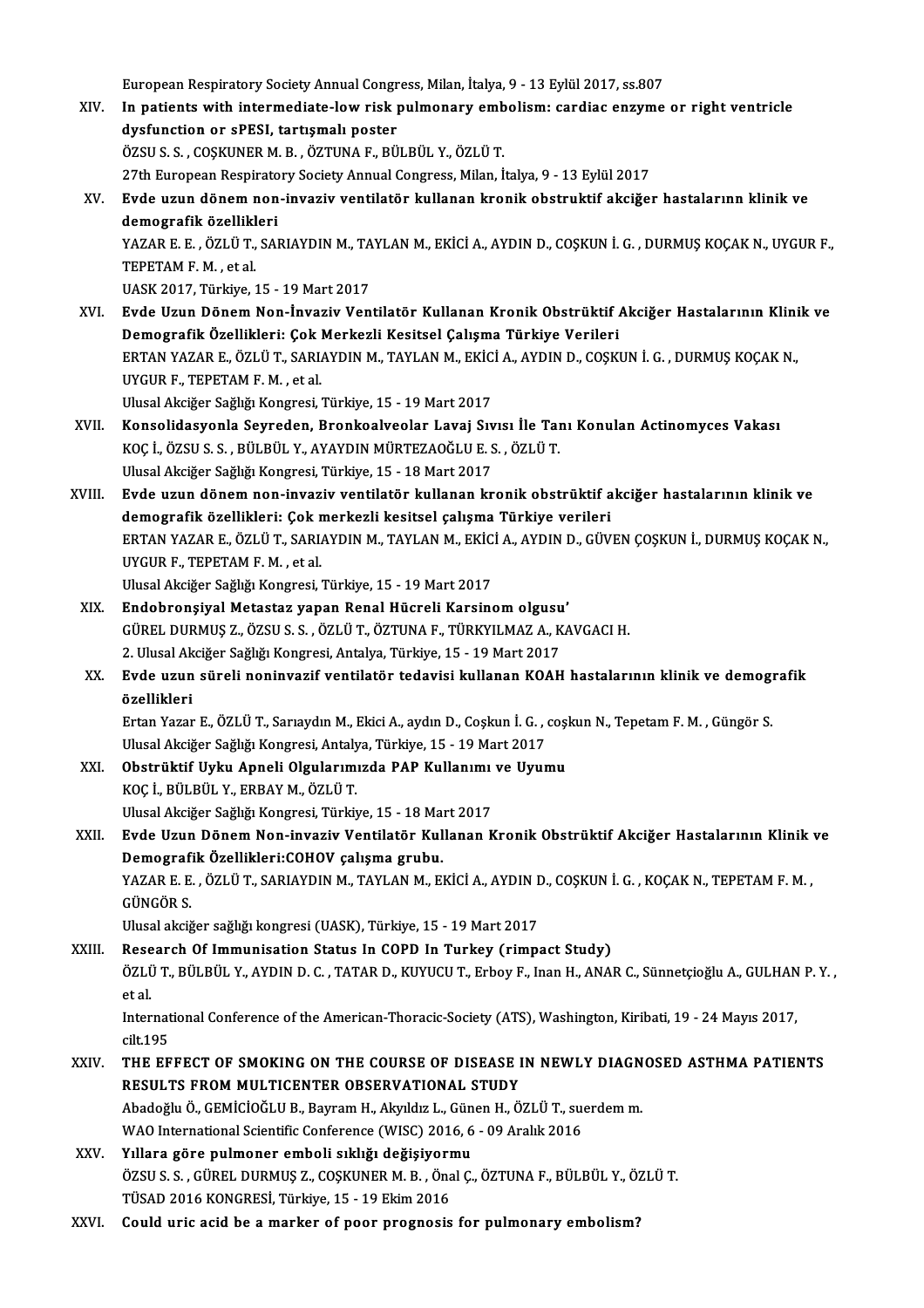European Respiratory Society Annual Congress, Milan, İtalya, 9 - 13 Eylül 2017, ss.807<br>In nationts with intermediate lew risk nulmonery embolismu sardias ensume

- European Respiratory Society Annual Congress, Milan, İtalya, 9 13 Eylül 2017, ss.807<br>XIV. In patients with intermediate-low risk pulmonary embolism: cardiac enzyme or right ventricle<br>dygfunation or ePESL tertiamely p European Respiratory Society Annual Congr<br>In patients with intermediate-low risk p<br>dysfunction or sPESI, tartışmalı poster<br>ÖZSUS S. COSKUNER M. B. ÖZTUNA E. PÜ In patients with intermediate-low risk pulmonary emb<br>dysfunction or sPESI, tartışmalı poster<br>ÖZSU S. S. , COŞKUNER M. B. , ÖZTUNA F., BÜLBÜL Y., ÖZLÜ T.<br>27th European Bespiratory Sosisty Annual Congress Milan İ. dysfunction or sPESI, tartışmalı poster<br>ÖZSU S. S. , COŞKUNER M. B. , ÖZTUNA F., BÜLBÜL Y., ÖZLÜ T.<br>27th European Respiratory Society Annual Congress, Milan, İtalya, 9 - 13 Eylül 2017<br>Eydo uzun dönem non inveziy ventiletör ÖZSU S. S. , COŞKUNER M. B. , ÖZTUNA F., BÜLBÜL Y., ÖZLÜ T.<br>27th European Respiratory Society Annual Congress, Milan, İtalya, 9 - 13 Eylül 2017<br>XV. Evde uzun dönem non-invaziv ventilatör kullanan kronik obstruktif akci 27th European Respirato<br><mark>Evde uzun dönem non</mark><br>demografik özellikleri<br><sup>VAZAR E E ÖZLÜT SAI</sub></sup> Evde uzun dönem non-invaziv ventilatör kullanan kronik obstruktif akciğer hastalarınn klinik ve<br>demografik özellikleri<br>YAZAR E. E. , ÖZLÜ T., SARIAYDIN M., TAYLAN M., EKİCİ A., AYDIN D., COŞKUN İ. G. , DURMUŞ KOÇAK N., UYG demografik özellikl<br>YAZAR E. E. , ÖZLÜ T.,<br>TEPETAM F. M. , et al.<br>UASK 2017. Türkiye 1 YAZAR E. E. , ÖZLÜ T., SARIAYDIN M., TA<br>TEPETAM F. M. , et al.<br>UASK 2017, Türkiye, 15 - 19 Mart 2017<br>Eyde Haun Dönem Nen-İnyaziy Ven TEPETAM F. M. , et al.<br>UASK 2017, Türkiye, 15 - 19 Mart 2017<br>XVI. Evde Uzun Dönem Non-İnvaziv Ventilatör Kullanan Kronik Obstrüktif Akciğer Hastalarının Klinik ve<br>Demografik Örellikleri: Cek Merkerli Kesitsel Celsame T UASK 2017, Türkiye, 15 - 19 Mart 2017<br>Evde Uzun Dönem Non-İnvaziv Ventilatör Kullanan Kronik Obstrüktif .<br>Demografik Özellikleri: Çok Merkezli Kesitsel Çalışma Türkiye Verileri<br>EPTAN YAZAR E. ÖZLÜ T. SARIAYDIN M. TAYLAN M. Evde Uzun Dönem Non-İnvaziv Ventilatör Kullanan Kronik Obstrüktif Akciğer Hastalarının Klini<br>Demografik Özellikleri: Çok Merkezli Kesitsel Çalışma Türkiye Verileri<br>ERTAN YAZAR E., ÖZLÜ T., SARIAYDIN M., TAYLAN M., EKİCİ A. Demografik Özellikleri: Çok |<br>ERTAN YAZAR E., ÖZLÜ T., SARL<br>UYGUR F., TEPETAM F. M. , et al.<br>Ulusal Aksižer Sežliž: Konsresi UYGUR F., TEPETAM F. M. , et al.<br>Ulusal Akciğer Sağlığı Kongresi, Türkiye, 15 - 19 Mart 2017 UYGUR F., TEPETAM F. M. , et al.<br>Ulusal Akciğer Sağlığı Kongresi, Türkiye, 15 - 19 Mart 2017<br>XVII. Konsolidasyonla Seyreden, Bronkoalveolar Lavaj Sıvısı İle Tanı Konulan Actinomyces Vakası<br>KOC İ. ÖZSU S. S. BÜLBÜL Y. A Ulusal Akciğer Sağlığı Kongresi, Türkiye, 15 - 19 Mart 2017<br>Konsolidasyonla Seyreden, Bronkoalveolar Lavaj Sıvısı İle Taı<br>KOÇ İ., ÖZSU S. S. , BÜLBÜL Y., AYAYDIN MÜRTEZAOĞLU E. S. , ÖZLÜ T.<br>Ulusal Aksiğar Sağlığı Kongresi, Konsolidasyonla Seyreden, Bronkoalveolar Lavaj Sıv<br>KOÇ İ., ÖZSU S. S. , BÜLBÜL Y., AYAYDIN MÜRTEZAOĞLU E. S<br>Ulusal Akciğer Sağlığı Kongresi, Türkiye, 15 - 18 Mart 2017<br>Evde uzun dönem nen invesiy ventiletör kullanan kr KOÇ İ., ÖZSU S. S. , BÜLBÜL Y., AYAYDIN MÜRTEZAOĞLU E. S. , ÖZLÜ T.<br>Ulusal Akciğer Sağlığı Kongresi, Türkiye, 15 - 18 Mart 2017<br>XVIII. Evde uzun dönem non-invaziv ventilatör kullanan kronik obstrüktif akciğer hastaları Ulusal Akciğer Sağlığı Kongresi, Türkiye, 15 - 18 Mart 2017<br><mark>Evde uzun dönem non-invaziv ventilatör kullanan kronik obstrüktif a</mark><br>demografik özellikleri: Çok merkezli kesitsel çalışma Türkiye verileri<br>FRTAN YAZAR E. ÖZLÜT, ERTAN YAZAR E., ÖZLÜ T., SARIAYDIN M., TAYLAN M., EKİCİ A., AYDIN D., GÜVEN ÇOŞKUN İ., DURMUŞ KOÇAK N.,<br>UYGUR F., TEPETAM F. M. , et al. demografik özellikleri: Çok r<br>ERTAN YAZAR E., ÖZLÜ T., SARL<br>UYGUR F., TEPETAM F. M. , et al.<br>Ulusal Aksižer Sažlıžı Konsresi Ulusal Akciğer Sağlığı Kongresi, Türkiye, 15 - 19 Mart 2017 UYGUR F., TEPETAM F. M. , et al.<br>Ulusal Akciğer Sağlığı Kongresi, Türkiye, 15 - 19 Mart 2017<br>XIX. Endobronşiyal Metastaz yapan Renal Hücreli Karsinom olgusu'<br>CÜREL NURMUS 7. ÖZSU S. S. ÖZLÜ T. ÖZTUNA E. TÜRKVU MAZ A. KA GÜRELDURMUŞ Z.,ÖZSUS.S. ,ÖZLÜT.,ÖZTUNAF.,TÜRKYILMAZA.,KAVGACIH. Endobronşiyal Metastaz yapan Renal Hücreli Karsinom olgusu<br>GÜREL DURMUŞ Z., ÖZSU S. S. , ÖZLÜ T., ÖZTUNA F., TÜRKYILMAZ A., K<br>2. Ulusal Akciğer Sağlığı Kongresi, Antalya, Türkiye, 15 - 19 Mart 2017<br>Eydə uzun sürəli nəninya XX. Evde uzun süreli noninvazif ventilatör tedavisi kullanan KOAH hastalarının klinik ve demografik<br>özellikleri 2. Ulusal Akciğer Sağlığı Kongresi, Antalya, Türkiye, 15 - 19 Mart 2017 Evde uzun süreli noninvazif ventilatör tedavisi kullanan KOAH hastalarının klinik ve demogi<br>özellikleri<br>Ertan Yazar E., ÖZLÜ T., Sarıaydın M., Ekici A., aydın D., Coşkun İ. G. , coşkun N., Tepetam F. M. , Güngör S.<br>Ulusel özellikleri<br>Ertan Yazar E., ÖZLÜ T., Sarıaydın M., Ekici A., aydın D., Coşkun İ. G. , (<br>Ulusal Akciğer Sağlığı Kongresi, Antalya, Türkiye, 15 - 19 Mart 2017<br>Obetrültif Urlu, Anneli Olsularımızda BAB Kullanımı ve Urur Ertan Yazar E., ÖZLÜ T., Sarıaydın M., Ekici A., aydın D., Coşkun İ. G. , coş.<br>Ulusal Akciğer Sağlığı Kongresi, Antalya, Türkiye, 15 - 19 Mart 2017<br>XXI. Obstrüktif Uyku Apneli Olgularımızda PAP Kullanımı ve Uyumu<br>KOC İ Ulusal Akciğer Sağlığı Kongresi, Antalya, Türkiye, 15 - 19 Mart 2017<br>Obstrüktif Uyku Apneli Olgularımızda PAP Kullanımı ve Uyumu<br>KOÇ İ., BÜLBÜL Y., ERBAY M., ÖZLÜ T. Ulusal Akciğer Sağlığı Kongresi, Türkiye, 15 - 18 Mart 2017 KOÇ İ., BÜLBÜL Y., ERBAY M., ÖZLÜ T.<br>Ulusal Akciğer Sağlığı Kongresi, Türkiye, 15 - 18 Mart 2017<br>XXII. Evde Uzun Dönem Non-invaziv Ventilatör Kullanan Kronik Obstrüktif Akciğer Hastalarının Klinik ve<br>Demestes<sup>fil</sup>i Öze Ulusal Akciğer Sağlığı Kongresi, Türkiye, 15 - 18 Ma<br>Evde Uzun Dönem Non-invaziv Ventilatör Kul<br>Demografik Özellikleri:COHOV çalışma grubu.<br>YAZAR E.E. ÖZLÜT SARIAYDIN M. TAYLAN M. El Evde Uzun Dönem Non-invaziv Ventilatör Kullanan Kronik Obstrüktif Akciğer Hastalarının Klinik<br>Demografik Özellikleri:COHOV çalışma grubu.<br>YAZAR E. E. , ÖZLÜ T., SARIAYDIN M., TAYLAN M., EKİCİ A., AYDIN D., COŞKUN İ. G. , K Demografik Özellikleri:COHOV çalışma grubu.<br>YAZAR E. E. , ÖZLÜ T., SARIAYDIN M., TAYLAN M., EKİCİ A., AYDIN D., COŞKUN İ. G. , KOÇAK N., TEPETAM F. M. ,<br>GÜNGÖR S. Ulusal akciğer sağlığı kongresi (UASK), Türkiye, 15 - 19 Mart 2017 GÜNGÖR S.<br>Ulusal akciğer sağlığı kongresi (UASK), Türkiye, 15 - 19 Mart 2017<br>XXIII. Research Of Immunisation Status In COPD In Turkey (rimpact Study)<br>ÖZLÜ T. PÜLPÜL V. AVDIN D. G. TATAP D. KUVUCU T. Erboy E. Jpan H. AN ÖZLÜ T., BÜLBÜL Y., AYDIN D. C. , TATAR D., KUYUCU T., Erboy F., Inan H., ANAR C., Sünnetçioğlu A., GULHAN P. Y. ,<br>et al. Rese<br>ÖZLİ<br>et al. ÖZLÜ T., BÜLBÜL Y., AYDIN D. C. , TATAR D., KUYUCU T., Erboy F., Inan H., ANAR C., Sünnetçioğlu A., GULHAN<br>et al.<br>International Conference of the American-Thoracic-Society (ATS), Washington, Kiribati, 19 - 24 Mayıs 2017,<br>c et al.<br>Internat<br>cilt.195<br>THE EE International Conference of the American-Thoracic-Society (ATS), Washington, Kiribati, 19 - 24 Mayıs 2017,<br>cilt.195<br>XXIV. THE EFFECT OF SMOKING ON THE COURSE OF DISEASE IN NEWLY DIAGNOSED ASTHMA PATIENTS cilt.195<br>THE EFFECT OF SMOKING ON THE COURSE OF DISEASE I<br>RESULTS FROM MULTICENTER OBSERVATIONAL STUDY<br>Abadeğlu Ö. CEMICIOČLU B. Boyram H. Alvulduz L. Cünen H. Ö. THE EFFECT OF SMOKING ON THE COURSE OF DISEASE IN NEWLY DIAGN<br>RESULTS FROM MULTICENTER OBSERVATIONAL STUDY<br>Abadoğlu Ö., GEMİCİOĞLU B., Bayram H., Akyıldız L., Günen H., ÖZLÜ T., suerdem m.<br>WAO International Scientific Conf RESULTS FROM MULTICENTER OBSERVATIONAL STUDY<br>Abadoğlu Ö., GEMİCİOĞLU B., Bayram H., Akyıldız L., Günen H., ÖZLÜ T., suerdem m.<br>WAO International Scientific Conference (WISC) 2016, 6 - 09 Aralık 2016 Abadoğlu Ö., GEMİCİOĞLU B., Bayram H., Akyıldız L., Gün<br>WAO International Scientific Conference (WISC) 2016, 6<br>XXV. Yıllara göre pulmoner emboli sıklığı değişiyormu<br>ÖZSU S. GÜDEL DUPMUS Z. COSKUNER M. B. ÖNALG ÖZSU S. S. , GÜREL DURMUŞ Z., COŞKUNER M. B. , Önal Ç., ÖZTUNA F., BÜLBÜL Y., ÖZLÜ T.<br>TÜSAD 2016 KONGRESİ, Türkiye, 15 - 19 Ekim 2016 Yıllara göre pulmoner emboli sıklığı değişiyorı<br>ÖZSU S. S. , GÜREL DURMUŞ Z., COŞKUNER M. B. , Öna<br>TÜSAD 2016 KONGRESİ, Türkiye, 15 - 19 Ekim 2016<br>Could unis asid baş markar of noor nusanasis
- XXVI. Could uric acid be amarker of poor prognosis for pulmonary embolism?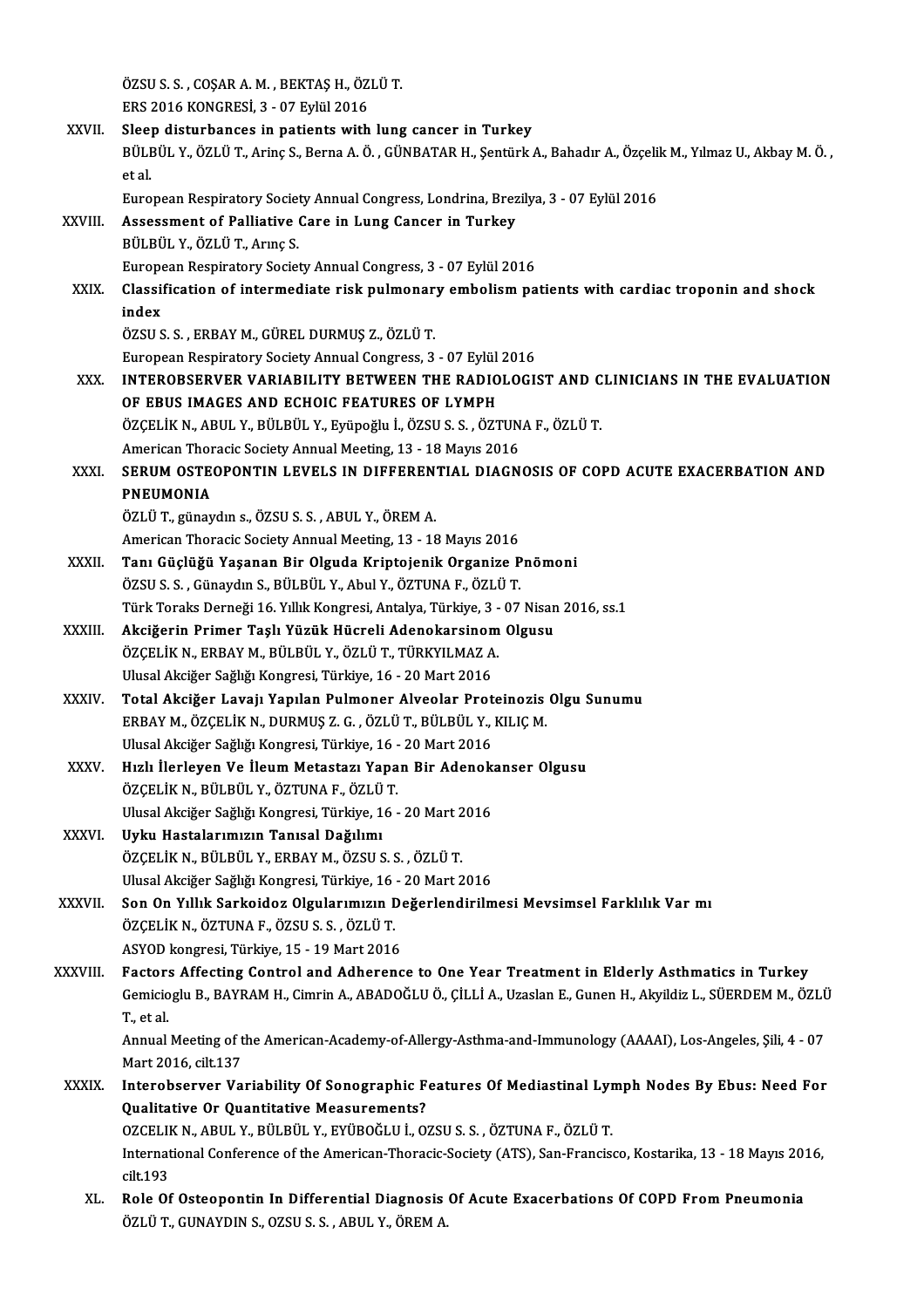ÖZSU S. S. , COŞAR A. M. , BEKTAŞ H., ÖZLÜ T.<br>EPS. 3016 KONCPESİ, 3., 07 Erlül 2016 ÖZSU S. S. , COŞAR A. M. , BEKTAŞ H., ÖZ.<br>ERS 2016 KONGRESİ, 3 - 07 Eylül 2016<br>Slaan diaturbanasa in nationta with ÖZSU S. S., COŞAR A. M., BEKTAŞ H., ÖZLÜ T.<br>ERS 2016 KONGRESİ, 3 - 07 Eylül 2016<br>XXVII. Sleep disturbances in patients with lung cancer in Turkey<br>PÜLPÜLY, ÖZLÜ T. Aring S. Borna A. Ö. CÜNBATAB H. Sontürk ERS 2016 KONGRESİ, 3 - 07 Eylül 2016<br>Sleep disturbances in patients with lung cancer in Turkey<br>BÜLBÜL Y., ÖZLÜ T., Arinç S., Berna A. Ö. , GÜNBATAR H., Şentürk A., Bahadır A., Özçelik M., Yılmaz U., Akbay M. Ö. , Slee<br>BÜLI<br>et al.<br>Euro BÜLBÜL Y., ÖZLÜ T., Arinç S., Berna A. Ö. , GÜNBATAR H., Şentürk A., Bahadır A., Özçelil<br>et al.<br>European Respiratory Society Annual Congress, Londrina, Brezilya, 3 - 07 Eylül 2016<br>Assessment of Balliative Care in Lung Cans XXVI I. Assessment of Pal iative Care in Lung Cancer in Turkey European Respiratory Societ<br>Assessment of Palliative<br>BÜLBÜL Y., ÖZLÜ T., Arınç S.<br>European Bespiratory Societ BÜLBÜL Y., ÖZLÜ T., Arınç S.<br>European Respiratory Society Annual Congress, 3 - 07 Eylül 2016 BÜLBÜL Y., ÖZLÜ T., Arınç S.<br>European Respiratory Society Annual Congress, 3 - 07 Eylül 2016<br>XXIX. Classification of intermediate risk pulmonary embolism patients with cardiac troponin and shock<br>index Europe<br>Classii<br>index<br>özsu s Classification of intermediate risk pulmonar<br>index<br>ÖZSU S. S. , ERBAY M., GÜREL DURMUŞ Z., ÖZLÜ T.<br>European Bespiratery Society Annual Consrees 3 index<br>ÖZSU S. S. , ERBAY M., GÜREL DURMUŞ Z., ÖZLÜ T.<br>European Respiratory Society Annual Congress, 3 - 07 Eylül 2016 ÖZSU S. S. , ERBAY M., GÜREL DURMUŞ Z., ÖZLÜ T.<br>European Respiratory Society Annual Congress, 3 - 07 Eylül 2016<br>XXX. INTEROBSERVER VARIABILITY BETWEEN THE RADIOLOGIST AND CLINICIANS IN THE EVALUATION<br>OF ERIIS IMACES AND EC European Respiratory Society Annual Congress, 3 - 07 Eylül<br>INTEROBSERVER VARIABILITY BETWEEN THE RADIO<br>OF EBUS IMAGES AND ECHOIC FEATURES OF LYMPH<br>ÖZCELİK N. APUL V. PÜLPÜL V. Erünoğlu İ. ÖZSU S. S. ÖZT INTEROBSERVER VARIABILITY BETWEEN THE RADIOLOGIST AND C<br>OF EBUS IMAGES AND ECHOIC FEATURES OF LYMPH<br>ÖZÇELİK N., ABUL Y., BÜLBÜL Y., Eyüpoğlu İ., ÖZSU S. S. , ÖZTUNA F., ÖZLÜ T.<br>American Theracis Seciety Annual Mesting 12 , OF EBUS IMAGES AND ECHOIC FEATURES OF LYMPH<br>ÖZÇELİK N., ABUL Y., BÜLBÜL Y., Eyüpoğlu İ., ÖZSU S. S. , ÖZTUN<br>American Thoracic Society Annual Meeting, 13 - 18 Mayıs 2016<br>SERIJM OSTEORONTIN I EVELS IN DIEEERENTIAL DIACN XXXI. SERUM OSTEOPONTIN LEVELS IN DIFFERENTIAL DIAGNOSIS OF COPD ACUTE EXACERBATION AND<br>PNEUMONIA American Thoracic Society Annual Meeting, 13 - 18 Mayıs 2016 ÖZLÜT.,günaydıns.,ÖZSUS.S. ,ABUL Y.,ÖREMA. American Thoracic Society Annual Meeting, 13 - 18 Mayıs 2016 XXXII. Tanı Güçlüğü Yaşanan Bir Olguda Kriptojenik Organize Pnömoni ÖZSUS.S., Günaydın S., BÜLBÜL Y., Abul Y., ÖZTUNA F., ÖZLÜ T. Tanı Güçlüğü Yaşanan Bir Olguda Kriptojenik Organize Pnömoni<br>ÖZSU S. S. , Günaydın S., BÜLBÜL Y., Abul Y., ÖZTUNA F., ÖZLÜ T.<br>Türk Toraks Derneği 16. Yıllık Kongresi, Antalya, Türkiye, 3 - 07 Nisan 2016, ss.1<br>Aksiğerin Pri ÖZSU S. S. , Günaydın S., BÜLBÜL Y., Abul Y., ÖZTUNA F., ÖZLÜ T.<br>Türk Toraks Derneği 16. Yıllık Kongresi, Antalya, Türkiye, 3 - 07 Nisan<br>XXXIII. Akciğerin Primer Taşlı Yüzük Hücreli Adenokarsinom Olgusu<br>ÖZCELİK N. ERRA Türk Toraks Derneği 16. Yıllık Kongresi, Antalya, Türkiye, 3 -<br><mark>Akciğerin Primer Taşlı Yüzük Hücreli Adenokarsinom</mark><br>ÖZÇELİK N., ERBAY M., BÜLBÜL Y., ÖZLÜ T., TÜRKYILMAZ A.<br>Ulusel Aksiğer Seğliğı Kongresi, Türkiye, 16., 20 Akciğerin Primer Taşlı Yüzük Hücreli Adenokarsinom Olgusu<br>ÖZÇELİK N., ERBAY M., BÜLBÜL Y., ÖZLÜ T., TÜRKYILMAZ A.<br>Ulusal Akciğer Sağlığı Kongresi, Türkiye, 16 - 20 Mart 2016 XXXIV. Total Akciğer Lavajı Yapılan Pulmoner Alveolar Proteinozis Olgu Sunumu Ulusal Akciğer Sağlığı Kongresi, Türkiye, 16 - 20 Mart 2016<br><mark>Total Akciğer Lavajı Yapılan Pulmoner Alveolar Proteinozis</mark><br>ERBAY M., ÖZÇELİK N., DURMUŞ Z. G. , ÖZLÜ T., BÜLBÜL Y., KILIÇ M.<br>Ulusal Aksiğar Sağlığı Kongresi, Tü Total Akciğer Lavajı Yapılan Pulmoner Alveolar Prot<br>ERBAY M., ÖZÇELİK N., DURMUŞ Z. G. , ÖZLÜ T., BÜLBÜL Y.,<br>Ulusal Akciğer Sağlığı Kongresi, Türkiye, 16 - 20 Mart 2016<br>Hırlı Harlayan Ve İlaum Matastarı Yanan Bir Adanakı ERBAY M., ÖZÇELİK N., DURMUŞ Z. G. , ÖZLÜ T., BÜLBÜL Y., KILIÇ M.<br>Ulusal Akciğer Sağlığı Kongresi, Türkiye, 16 - 20 Mart 2016<br>XXXV. Hızlı İlerleyen Ve İleum Metastazı Yapan Bir Adenokanser Olgusu<br>ÖZCELİK N. BÜLBÜL X. Ö Ulusal Akciğer Sağlığı Kongresi, Türkiye, 16 -<br>Hızlı İlerleyen Ve İleum Metastazı Yapa<br>ÖZÇELİK N., BÜLBÜL Y., ÖZTUNA F., ÖZLÜ T.<br>Ulusal Aksiğer Sağlığı Kongresi, Türkiye, 16 Hızlı İlerleyen Ve İleum Metastazı Yapan Bir Adenok:<br>ÖZÇELİK N., BÜLBÜL Y., ÖZTUNA F., ÖZLÜ T.<br>Ulusal Akciğer Sağlığı Kongresi, Türkiye, 16 - 20 Mart 2016<br>Urku Hastalanımının Tanısal Dağılımı ÖZÇELİK N., BÜLBÜL Y., ÖZTUNA F., ÖZLÜ<br>Ulusal Akciğer Sağlığı Kongresi, Türkiye, 1<br>XXXVI. Uyku Hastalarımızın Tanısal Dağılımı<br>ÖZCELİK N. BÜLBÜL Y. EPRAY M. ÖZSUS Ulusal Akciğer Sağlığı Kongresi, Türkiye, 16 - 20 Mart 2<br>**Uyku Hastalarımızın Tanısal Dağılımı**<br>ÖZÇELİK N., BÜLBÜL Y., ERBAY M., ÖZSU S. S. , ÖZLÜ T.<br>Ulusal Aksiğer Sağlığı Kongresi, Türkiye, 16 - 20 Mart 2 Uyku Hastalarımızın Tanısal Dağılımı<br>ÖZÇELİK N., BÜLBÜL Y., ERBAY M., ÖZSU S. S. , ÖZLÜ T.<br>Ulusal Akciğer Sağlığı Kongresi, Türkiye, 16 - 20 Mart 2016 XXXVII. Son On Yıllık Sarkoidoz Olgularımızın Değerlendirilmesi Mevsimsel Farklılık Var mı Ulusal Akciğer Sağlığı Kongresi, Türkiye, 16<br>Son On Yıllık Sarkoidoz Olgularımızın I<br>ÖZÇELİK N., ÖZTUNA F., ÖZSU S. S. , ÖZLÜ T.<br>ASVOD kongresi, Türkiye, 15 , 19 Mert 2016 Son On Yıllık Sarkoidoz Olgularımızın De<br>ÖZÇELİK N., ÖZTUNA F., ÖZSU S. S. , ÖZLÜ T.<br>ASYOD kongresi, Türkiye, 15 - 19 Mart 2016<br>Fastars Affesting Cantral and Adharans ASYOD kongresi, Türkiye, 15 - 19 Mart 2016<br>XXXVIII. Factors Affecting Control and Adherence to One Year Treatment in Elderly Asthmatics in Turkey ASYOD kongresi, Türkiye, 15 - 19 Mart 2016<br>Factors Affecting Control and Adherence to One Year Treatment in Elderly Asthmatics in Turkey<br>Gemicioglu B., BAYRAM H., Cimrin A., ABADOĞLU Ö., ÇİLLİ A., Uzaslan E., Gunen H., Aky Factor:<br>Gemicio<br>T., et al. Gemicioglu B., BAYRAM H., Cimrin A., ABADOĞLU Ö., ÇİLLİ A., Uzaslan E., Gunen H., Akyildiz L., SÜERDEM M., ÖZLÜ<br>T., et al.<br>Annual Meeting of the American-Academy-of-Allergy-Asthma-and-Immunology (AAAAI), Los-Angeles, Şili, T., et al.<br>Annual Meeting of the American-Academy-of-Allergy-Asthma-and-Immunology (AAAAI), Los-Angeles, Șili, 4 - 07<br>Mart 2016, cilt.137 Annual Meeting of the American-Academy-of-Allergy-Asthma-and-Immunology (AAAAI), Los-Angeles, Șili, 4 - 07<br>Mart 2016, cilt.137<br>XXXIX. Interobserver Variability Of Sonographic Features Of Mediastinal Lymph Nodes By Ebus: Ne Mart 2016, cilt.137<br>Interobserver Variability Of Sonographic F<br>Qualitative Or Quantitative Measurements?<br>OZCELIK N. APUL V. PÜLPÜL V. EVÜPOČLU L.O. Interobserver Variability Of Sonographic Features Of Mediastinal Lyr<br>Qualitative Or Quantitative Measurements?<br>OZCELIK N., ABUL Y., BÜLBÜL Y., EYÜBOĞLU İ., OZSU S. S. , ÖZTUNA F., ÖZLÜ T.<br>International Conference of the Am Qualitative Or Quantitative Measurements?<br>OZCELIK N., ABUL Y., BÜLBÜL Y., EYÜBOĞLU İ., OZSU S. S. , ÖZTUNA F., ÖZLÜ T.<br>International Conference of the American-Thoracic-Society (ATS), San-Francisco, Kostarika, 13 - 18 Mayı OZCELII<br>Internat<br>cilt.193 International Conference of the American-Thoracic-Society (ATS), San-Francisco, Kostarika, 13 - 18 Mayıs 20:<br>cilt.193<br>XL. Role Of Osteopontin In Differential Diagnosis Of Acute Exacerbations Of COPD From Pneumonia<br>ÖZLÜ T. cilt.193<br>Role Of Osteopontin In Differential Diagnosis Of Acute Exacerbations Of COPD From Pneumonia<br>ÖZLÜT., GUNAYDIN S., OZSU S. S. , ABUL Y., ÖREM A.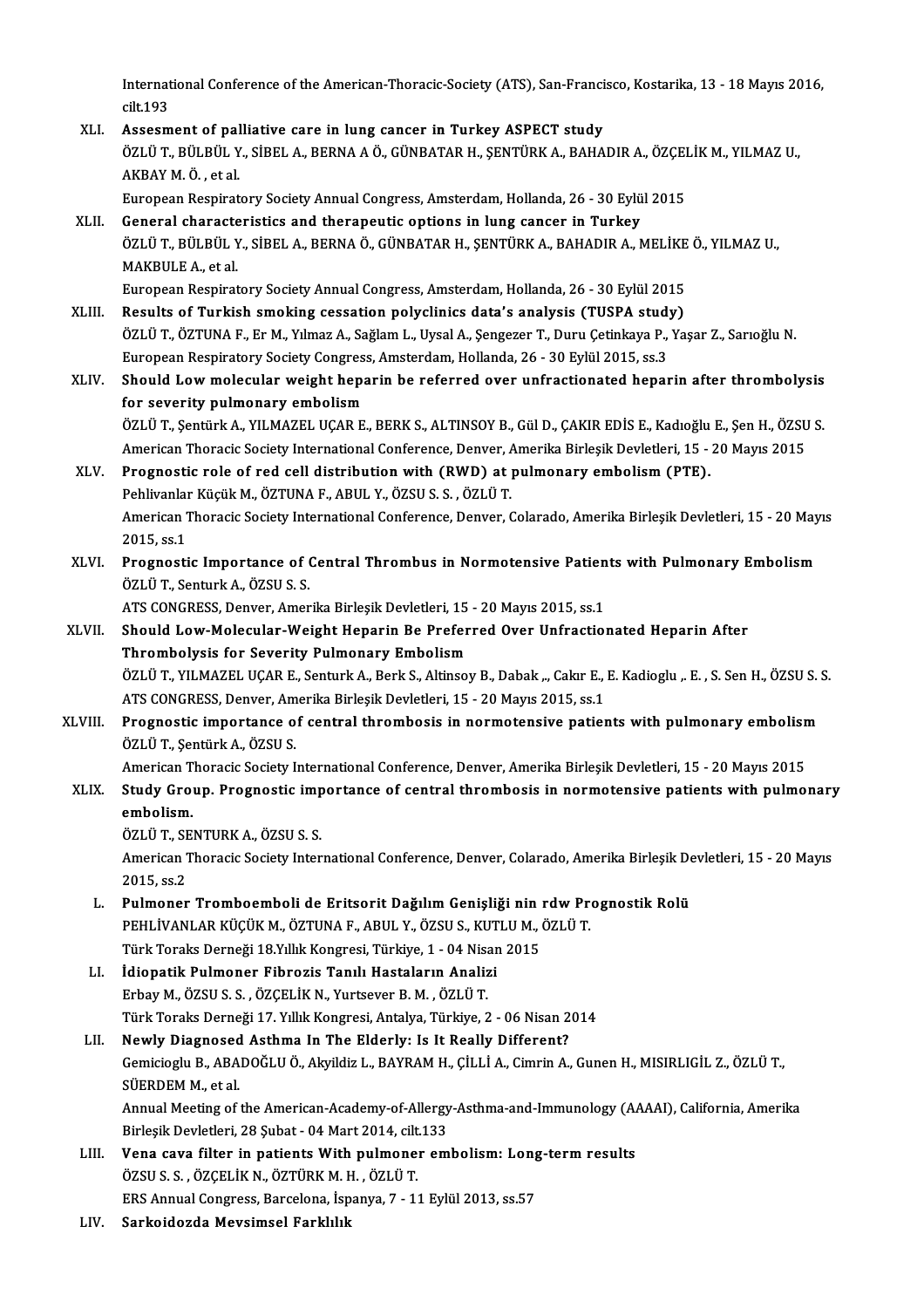International Conference of the American-Thoracic-Society (ATS), San-Francisco, Kostarika, 13 - 18 Mayıs 2016,<br>silt 193 Internat<br>cilt.193 International Conference of the American-Thoracic-Society (ATS), San-Franci<br>cilt.193<br>XLI. Assesment of palliative care in lung cancer in Turkey ASPECT study<br> $\frac{\partial zI}{\partial zI}$  it T. Pilt Pilt V. SipELA, PEPNA A Ö. CÜNRATAR H.

- cilt.193<br>Assesment of palliative care in lung cancer in Turkey ASPECT study<br>ÖZLÜ T., BÜLBÜL Y., SİBEL A., BERNA A Ö., GÜNBATAR H., ŞENTÜRK A., BAHADIR A., ÖZÇELİK M., YILMAZ U.,<br>AKRAY M Ö., et.al. Assesment of pal<br>ÖZLÜ T., BÜLBÜL Y<br>AKBAY M. Ö. , et al.<br>European Besnirat ÖZLÜ T., BÜLBÜL Y., SİBEL A., BERNA A Ö., GÜNBATAR H., ŞENTÜRK A., BAHADIR A., ÖZÇEI<br>AKBAY M. Ö. , et al.<br>European Respiratory Society Annual Congress, Amsterdam, Hollanda, 26 - 30 Eylül 2015<br>Conoral sharasteristiss and th AKBAY M. Ö. , et al.<br>European Respiratory Society Annual Congress, Amsterdam, Hollanda, 26 - 30 Eylü<br>XLII. General characteristics and therapeutic options in lung cancer in Turkey<br>ÖZLÜ T. PÜLPÜLY SİPELA, PEPNA Ö. CÜNPATAR
- European Respiratory Society Annual Congress, Amsterdam, Hollanda, 26 30 Eylül 2015<br>General characteristics and therapeutic options in lung cancer in Turkey<br>ÖZLÜ T., BÜLBÜL Y., SİBEL A., BERNA Ö., GÜNBATAR H., ŞENTÜRK A. **General characte<br>ÖZLÜ T., BÜLBÜL Y<br>MAKBULE A., et al.<br>Europeen Besnirat** ÖZLÜ T., BÜLBÜL Y., SİBEL A., BERNA Ö., GÜNBATAR H., ŞENTÜRK A., BAHADIR A., MELİKE<br>MAKBULE A., et al.<br>European Respiratory Society Annual Congress, Amsterdam, Hollanda, 26 - 30 Eylül 2015<br>Besults of Turkish smoking sessat

- MAKBULE A., et al.<br>European Respiratory Society Annual Congress, Amsterdam, Hollanda, 26 30 Eylül 2015<br>XLIII. Results of Turkish smoking cessation polyclinics data's analysis (TUSPA study)<br>ÖZLÜ T. ÖZTIINA E. Er M. Vılmaz European Respiratory Society Annual Congress, Amsterdam, Hollanda, 26 - 30 Eylül 2015<br>Results of Turkish smoking cessation polyclinics data's analysis (TUSPA study)<br>ÖZLÜ T., ÖZTUNA F., Er M., Yılmaz A., Sağlam L., Uysal A. Results of Turkish smoking cessation polyclinics data's analysis (TUSPA study<br>ÖZLÜ T., ÖZTUNA F., Er M., Yılmaz A., Sağlam L., Uysal A., Şengezer T., Duru Çetinkaya P.,<br>European Respiratory Society Congress, Amsterdam, Hol ÖZLÜ T., ÖZTUNA F., Er M., Yılmaz A., Sağlam L., Uysal A., Şengezer T., Duru Çetinkaya P., Yaşar Z., Sarıoğlu N.<br>European Respiratory Society Congress, Amsterdam, Hollanda, 26 - 30 Eylül 2015, ss.3<br>XLIV. Should Low molecul
- European Respiratory Society Congres:<br>Should Low molecular weight hepa<br>for severity pulmonary embolism<br>ÖZLÜ T. Sontürk A. VII MAZEL UCAR E Should Low molecular weight heparin be referred over unfractionated heparin after thrombolysis<br>for severity pulmonary embolism<br>ÖZLÜ T., Şentürk A., YILMAZEL UÇAR E., BERK S., ALTINSOY B., Gül D., ÇAKIR EDİS E., Kadıoğlu E. for severity pulmonary embolism<br>ÖZLÜ T., Şentürk A., YILMAZEL UÇAR E., BERK S., ALTINSOY B., Gül D., ÇAKIR EDİS E., Kadıoğlu E., Şen H., ÖZSU S

American Thoracic Society International Conference, Denver, Amerika Birleşik Devletleri, 15 - 20 Mayıs 2015

XLV. Prognostic role of red cell distribution with (RWD) at pulmonary embolism (PTE).<br>Pehlivanlar Küçük M., ÖZTUNA F., ABUL Y., ÖZSU S. S., ÖZLÜ T. Prognostic role of red cell distribution with (RWD) at pulmonary embolism (PTE).<br>Pehlivanlar Küçük M., ÖZTUNA F., ABUL Y., ÖZSU S. S. , ÖZLÜ T.<br>American Thoracic Society International Conference, Denver, Colarado, Amerika Pehlivanlai<br>American<br>2015, ss.1<br>Prognesti American Thoracic Society International Conference, Denver, Colarado, Amerika Birleşik Devletleri, 15 - 20 May<br>2015, ss.1<br>XLVI. Prognostic Importance of Central Thrombus in Normotensive Patients with Pulmonary Embolism<br>Ö<sup>7</sup>

2015, ss.1<br>Prognostic Importance of Central Thrombus in Normotensive Patients with Pulmonary Embolism<br>ÖZLÜT., Senturk A., ÖZSU S. S.

ATS CONGRESS, Denver, Amerika Birleşik Devletleri, 15 - 20 Mayıs 2015, ss.1

- ÖZLÜ T., Senturk A., ÖZSU S. S.<br>ATS CONGRESS, Denver, Amerika Birleşik Devletleri, 15 20 Mayıs 2015, ss.1<br>XLVII. Should Low-Molecular-Weight Heparin Be Preferred Over Unfractionated Heparin After<br>Thrombolysis for Soverit ATS CONGRESS, Denver, Amerika Birleşik Devletleri, 15<br>Should Low-Molecular-Weight Heparin Be Prefer<br>Thrombolysis for Severity Pulmonary Embolism<br>ÖZLÜT, VILMAZEL UCAR E, Sonturk A, Bork S, Altinsol Should Low-Molecular-Weight Heparin Be Preferred Over Unfractionated Heparin After<br>Thrombolysis for Severity Pulmonary Embolism<br>ÖZLÜ T., YILMAZEL UÇAR E., Senturk A., Berk S., Altinsoy B., Dabak ", Cakır E., E. Kadioglu " Thrombolysis for Severity Pulmonary Embolism<br>ÖZLÜ T., YILMAZEL UÇAR E., Senturk A., Berk S., Altinsoy B., Dabak ,., Cakır E., E. Kadioglu ,. E. , S. Sen H., ÖZSU S. S.<br>ATS CONGRESS, Denver, Amerika Birleşik Devletleri, 15
- ÖZLÜ T., YILMAZEL UÇAR E., Senturk A., Berk S., Altinsoy B., Dabak ,., Cakır E., E. Kadioglu ,. E. , S. Sen H., ÖZSU S. :<br>ATS CONGRESS, Denver, Amerika Birleşik Devletleri, 15 20 Mayıs 2015, ss.1<br>XLVIII. Prognostic impor ATS CONGRESS, Denver, Am<br>Prognostic importance o<br>ÖZLÜ T., Şentürk A., ÖZSU S.<br>American Theracis Seciety I. Prognostic importance of central thrombosis in normotensive patients with pulmonary embolism<br>ÖZLÜ T., Şentürk A., ÖZSU S.<br>American Thoracic Society International Conference, Denver, Amerika Birleşik Devletleri, 15 - 20 May

ÖZLÜ T., Şentürk A., ÖZSU S.<br>American Thoracic Society International Conference, Denver, Amerika Birleşik Devletleri, 15 - 20 Mayıs 2015<br>XLIX. Study Group. Prognostic importance of central thrombosis in normotensive patien American T<br><mark>Study Gro</mark><br>embolism.<br>ÖZLÜ T. SE Study Group. Prognostic imp<br>embolism.<br>ÖZLÜ T., SENTURK A., ÖZSU S. S.<br>American Theracic Seciety Inter

embolism.<br>ÖZLÜ T., SENTURK A., ÖZSU S. S.<br>American Thoracic Society International Conference, Denver, Colarado, Amerika Birleşik Devletleri, 15 - 20 Mayıs ÖZLÜ T., SI<br>American 1<br>2015, ss.2<br>Pulmanar American Thoracic Society International Conference, Denver, Colarado, Amerika Birleşik De<br>2015, ss.2<br>L. Pulmoner Tromboemboli de Eritsorit Dağılım Genişliği nin rdw Prognostik Rolü<br>PELLI İVANLAR KÜÇÜK M. ÖZTUNA E. ARIH Y.

- 2015, ss.2<br>Pulmoner Tromboemboli de Eritsorit Dağılım Genişliği nin rdw Pre<br>PEHLİVANLAR KÜÇÜK M., ÖZTUNA F., ABUL Y., ÖZSU S., KUTLU M., ÖZLÜ T.<br>Türk Toraks Derneği 19 Yıllık Kongresi Türkiye 1 04 Nisan 2015 Pulmoner Tromboemboli de Eritsorit Dağılım Genişliği nin :<br>PEHLİVANLAR KÜÇÜK M., ÖZTUNA F., ABUL Y., ÖZSU S., KUTLU M., (<br>Türk Toraks Derneği 18.Yıllık Kongresi, Türkiye, 1 - 04 Nisan 2015<br>İdionatik Bulmonar Eibrozis Tanıl PEHLİVANLAR KÜÇÜK M., ÖZTUNA F., ABUL Y., ÖZSU S., KUT<br>Türk Toraks Derneği 18.Yıllık Kongresi, Türkiye, 1 - 04 Nisar<br>LI. İdiopatik Pulmoner Fibrozis Tanılı Hastaların Analizi<br>Frhav M. ÖZSU S. S. ÖZCELİK N. Yurtequer B. M.
- Türk Toraks Derneği 18.Yıllık Kongresi, Türkiye, 1 04 Nisan 2015<br>LI. İdiopatik Pulmoner Fibrozis Tanılı Hastaların Analizi<br>Erbay M., ÖZSU S. S. , ÖZÇELİK N., Yurtsever B. M. , ÖZLÜ T. İdiopatik Pulmoner Fibrozis Tanılı Hastaların Analizi<br>Erbay M., ÖZSU S. S. , ÖZÇELİK N., Yurtsever B. M. , ÖZLÜ T.<br>Türk Toraks Derneği 17. Yıllık Kongresi, Antalya, Türkiye, 2 - 06 Nisan 2014<br>Navıly Diagnosed Asthma In The Erbay M., ÖZSU S. S. , ÖZÇELİK N., Yurtsever B. M. , ÖZLÜ T.<br>Türk Toraks Derneği 17. Yıllık Kongresi, Antalya, Türkiye, 2 - 06 Nisan 2<br>LII. Newly Diagnosed Asthma In The Elderly: Is It Really Different?<br>Comisiosly B. ABADQ

## Gemicioglu B., ABADOĞLU Ö., Akyildiz L., BAYRAM H., ÇİLLİ A., Cimrin A., Gunen H., MISIRLIGİL Z., ÖZLÜ T.,<br>SÜERDEM M., et al. Newly Diagnosed Asthma In The Elderly: Is It Really Different? Gemicioglu B., ABADOĞLU Ö., Akyildiz L., BAYRAM H., ÇİLLİ A., Cimrin A., Gunen H., MISIRLIGİL Z., ÖZLÜ T.,<br>SÜERDEM M., et al.<br>Annual Meeting of the American-Academy-of-Allergy-Asthma-and-Immunology (AAAAI), California, Ame SÜERDEM M., et al.<br>Annual Meeting of the American-Academy-of-Allergy<br>Birleşik Devletleri, 28 Şubat - 04 Mart 2014, cilt.133<br>Vena eave filter in patients With pulmener em

Annual Meeting of the American-Academy-of-Allergy-Asthma-and-Immunology (A)<br>Birleşik Devletleri, 28 Şubat - 04 Mart 2014, cilt.133<br>LIII. Vena cava filter in patients With pulmoner embolism: Long-term results<br>ÖZELLS S. ÖZCE

- Birleşik Devletleri, 28 Şubat 04 Mart 2014, cilt<br>Vena cava filter in patients With pulmone:<br>ÖZSU S. S. , ÖZÇELİK N., ÖZTÜRK M. H. , ÖZLÜ T.<br>EPS Annual Congress Barsalana İspanya 7, 11 Vena cava filter in patients With pulmoner embolism: Long<br>ÖZSU S. S. , ÖZÇELİK N., ÖZTÜRK M. H. , ÖZLÜ T.<br>ERS Annual Congress, Barcelona, İspanya, 7 - 11 Eylül 2013, ss.57<br>Sarkaidarda Mayaimaal Farklılık ÖZSU S. S. , ÖZÇELİK N., ÖZTÜRK M. H. , ÖZLÜ T.<br>ERS Annual Congress, Barcelona, İspanya, 7 - 11 Eylül 2013, ss.57<br>LIV. Sarkoidozda Mevsimsel Farklılık
-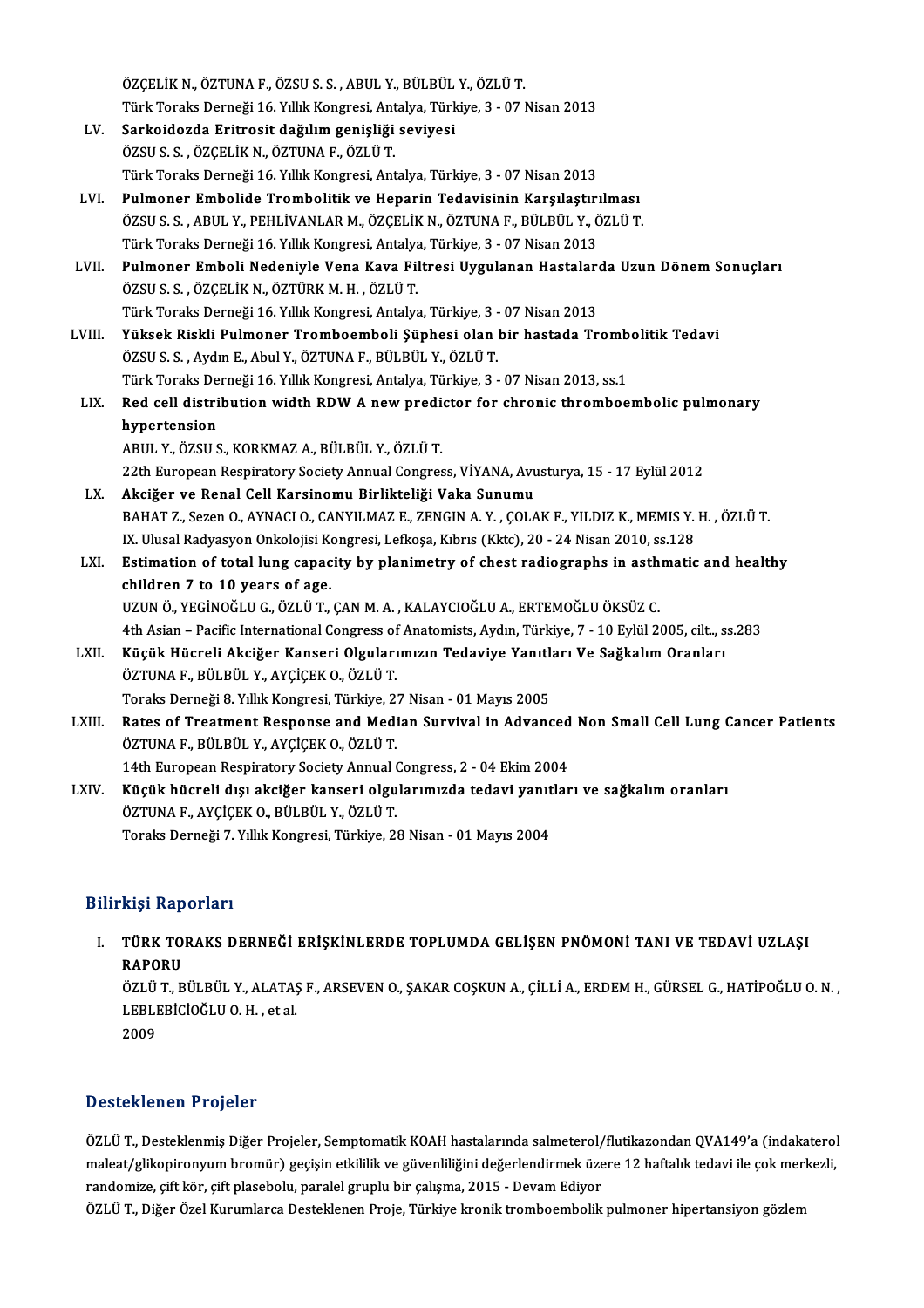|        | ÖZÇELİK N., ÖZTUNA F., ÖZSU S. S., ABUL Y., BÜLBÜL Y., ÖZLÜ T.                                             |
|--------|------------------------------------------------------------------------------------------------------------|
|        | Türk Toraks Derneği 16. Yıllık Kongresi, Antalya, Türkiye, 3 - 07 Nisan 2013                               |
| LV.    | Sarkoidozda Eritrosit dağılım genişliği seviyesi                                                           |
|        | ÖZSU S. S., ÖZÇELİK N., ÖZTUNA F., ÖZLÜ T.                                                                 |
|        | Türk Toraks Derneği 16. Yıllık Kongresi, Antalya, Türkiye, 3 - 07 Nisan 2013                               |
| LVI.   | Pulmoner Embolide Trombolitik ve Heparin Tedavisinin Karşılaştırılması                                     |
|        | ÖZSU S. S., ABUL Y., PEHLİVANLAR M., ÖZÇELİK N., ÖZTUNA F., BÜLBÜL Y., ÖZLÜ T.                             |
|        | Türk Toraks Derneği 16. Yıllık Kongresi, Antalya, Türkiye, 3 - 07 Nisan 2013                               |
| LVII.  | Pulmoner Emboli Nedeniyle Vena Kava Filtresi Uygulanan Hastalarda Uzun Dönem Sonuçları                     |
|        | ÖZSUS S, ÖZÇELİK N, ÖZTÜRK M.H., ÖZLÜ T.                                                                   |
|        | Türk Toraks Derneği 16. Yıllık Kongresi, Antalya, Türkiye, 3 - 07 Nisan 2013                               |
| LVIII. | Yüksek Riskli Pulmoner Tromboemboli Şüphesi olan bir hastada Trombolitik Tedavi                            |
|        | ÖZSU S. S., Aydın E., Abul Y., ÖZTUNA F., BÜLBÜL Y., ÖZLÜ T.                                               |
|        | Türk Toraks Derneği 16. Yıllık Kongresi, Antalya, Türkiye, 3 - 07 Nisan 2013, ss.1                         |
| LIX.   | Red cell distribution width RDW A new predictor for chronic thromboembolic pulmonary                       |
|        | hypertension                                                                                               |
|        | ABUL Y., ÖZSU S., KORKMAZ A., BÜLBÜL Y., ÖZLÜ T.                                                           |
|        | 22th European Respiratory Society Annual Congress, VİYANA, Avusturya, 15 - 17 Eylül 2012                   |
| LX.    | Akciğer ve Renal Cell Karsinomu Birlikteliği Vaka Sunumu                                                   |
|        | BAHAT Z., Sezen O., AYNACI O., CANYILMAZ E., ZENGIN A. Y., ÇOLAK F., YILDIZ K., MEMIS Y. H., ÖZLÜ T.       |
|        | IX. Ulusal Radyasyon Onkolojisi Kongresi, Lefkoşa, Kıbrıs (Kktc), 20 - 24 Nisan 2010, ss.128               |
| LXI.   | Estimation of total lung capacity by planimetry of chest radiographs in asthmatic and healthy              |
|        | children 7 to 10 years of age.                                                                             |
|        | UZUN Ö., YEGİNOĞLU G., ÖZLÜ T., ÇAN M. A., KALAYCIOĞLU A., ERTEMOĞLU ÖKSÜZ C.                              |
|        | 4th Asian - Pacific International Congress of Anatomists, Aydın, Türkiye, 7 - 10 Eylül 2005, cilt., ss.283 |
| LXII.  | Küçük Hücreli Akciğer Kanseri Olgularımızın Tedaviye Yanıtları Ve Sağkalım Oranları                        |
|        | ÖZTUNA F., BÜLBÜL Y., AYÇİÇEK O., ÖZLÜ T.                                                                  |
|        | Toraks Derneği 8. Yıllık Kongresi, Türkiye, 27 Nisan - 01 Mayıs 2005                                       |
| LXIII. | Rates of Treatment Response and Median Survival in Advanced Non Small Cell Lung Cancer Patients            |
|        | ÖZTUNA F., BÜLBÜL Y., AYÇİÇEK O., ÖZLÜ T.                                                                  |
|        | 14th European Respiratory Society Annual Congress, 2 - 04 Ekim 2004                                        |
| LXIV.  | Küçük hücreli dışı akciğer kanseri olgularımızda tedavi yanıtları ve sağkalım oranları                     |
|        | ÖZTUNA F., AYÇİÇEK O., BÜLBÜL Y., ÖZLÜ T.                                                                  |

### Bilirkişi Raporları

ilirkişi Raporları<br>I. TÜRK TORAKS DERNEĞİ ERİŞKİNLERDE TOPLUMDA GELİŞEN PNÖMONİ TANI VE TEDAVİ UZLAŞI<br>RAPORU niyi nap<br>Türk to:<br>RAPORU TÜRK TORAKS DERNEĞİ ERİŞKİNLERDE TOPLUMDA GELİŞEN PNÖMONİ TANI VE TEDAVİ UZLAŞI<br>RAPORU<br>ÖZLÜ T., BÜLBÜL Y., ALATAŞ F., ARSEVEN O., ŞAKAR COŞKUN A., ÇİLLİ A., ERDEM H., GÜRSEL G., HATİPOĞLU O. N. ,<br>LERLERİCİQĞLUO.H. , et al

Toraks Derneği 7. Yıllık Kongresi, Türkiye, 28 Nisan - 01 Mayıs 2004

RAPORU<br>ÖZLÜ T., BÜLBÜL Y., ALATAŞ<br>LEBLEBİCİOĞLU O. H. , et al.<br>2009 ÖZLÜ<br>LEBLI<br>2009

# Desteklenen Projeler

ÖZLÜ T., Desteklenmiş Diğer Projeler, Semptomatik KOAH hastalarında salmeterol/flutikazondan QVA149'a (indakaterol B estefironom in rejeter<br>ÖZLÜ T., Desteklenmiş Diğer Projeler, Semptomatik KOAH hastalarında salmeterol/flutikazondan QVA149'a (indakaterol<br>maleat/glikopironyum bromür) geçişin etkililik ve güvenliliğini değerlendirmek üze ÖZLÜ T., Desteklenmiş Diğer Projeler, Semptomatik KOAH hastalarında salmeterol/<br>maleat/glikopironyum bromür) geçişin etkililik ve güvenliliğini değerlendirmek üze<br>randomize, çift kör, çift plasebolu, paralel gruplu bir çal maleat/glikopironyum bromür) geçişin etkililik ve güvenliliğini değerlendirmek üzere 12 haftalık tedavi ile çok merl<br>randomize, çift kör, çift plasebolu, paralel gruplu bir çalışma, 2015 - Devam Ediyor<br>ÖZLÜ T., Diğer Özel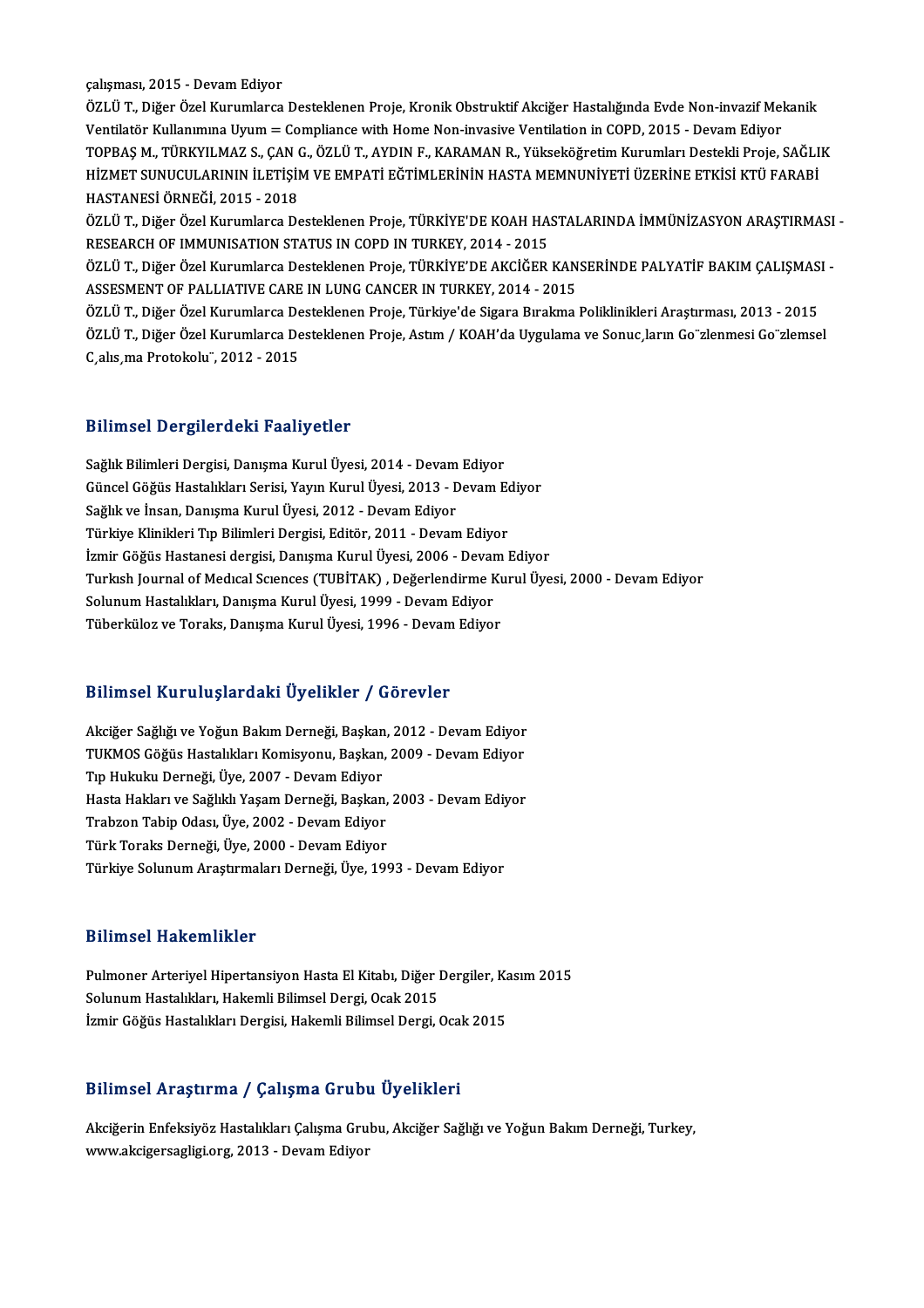çalışması, 2015 - Devam Ediyor

ÖZLÜ T., Diğer Özel Kurumlarca Desteklenen Proje, Kronik Obstruktif Akciğer Hastalığında Evde Non-invazif Mekanik Ventilatör Kullanımına Uyum = Compliance with Home Non-invasive Ventilation in COPD, 2015 - Devam Ediyor ÖZLÜ T., Diğer Özel Kurumlarca Desteklenen Proje, Kronik Obstruktif Akciğer Hastalığında Evde Non-invazif Mekanik<br>Ventilatör Kullanımına Uyum = Compliance with Home Non-invasive Ventilation in COPD, 2015 - Devam Ediyor<br>TOP Ventilatör Kullanımına Uyum = Compliance with Home Non-invasive Ventilation in COPD, 2015 - Devam Ediyor<br>TOPBAŞ M., TÜRKYILMAZ S., ÇAN G., ÖZLÜ T., AYDIN F., KARAMAN R., Yükseköğretim Kurumları Destekli Proje, SAĞLI<br>HASTAN TOPBAŞ M., TÜRKYILMAZ S., ÇAN (<br>HİZMET SUNUCULARININ İLETİŞİI<br>HASTANESİ ÖRNEĞİ, 2015 - 2018<br>ÖZLÜ T. Diğer Özel Kurumlarsa D. HİZMET SUNUCULARININ İLETİŞİM VE EMPATİ EĞTİMLERİNİN HASTA MEMNUNİYETİ ÜZERİNE ETKİSİ KTÜ FARABİ<br>HASTANESİ ÖRNEĞİ, 2015 - 2018<br>ÖZLÜ T., Diğer Özel Kurumlarca Desteklenen Proje, TÜRKİYE'DE KOAH HASTALARINDA İMMÜNİZASYON ARA

HASTANESİ ÖRNEĞİ, 2015 - 2018<br>ÖZLÜ T., Diğer Özel Kurumlarca Desteklenen Proje, TÜRKİYE'DE KOAH HA:<br>RESEARCH OF IMMUNISATION STATUS IN COPD IN TURKEY, 2014 - 2015<br>ÖZLÜ T. Diğer Özel Kurumlarca Desteklenen Proje, TÜRKİYE'DE ÖZLÜ T., Diğer Özel Kurumlarca Desteklenen Proje, TÜRKİYE'DE KOAH HASTALARINDA İMMÜNİZASYON ARAŞTIRMASI<br>RESEARCH OF IMMUNISATION STATUS IN COPD IN TURKEY, 2014 - 2015<br>ÖZLÜ T., Diğer Özel Kurumlarca Desteklenen Proje, TÜRKİ

RESEARCH OF IMMUNISATION STATUS IN COPD IN TURKEY, 2014 - 2015<br>ÖZLÜ T., Diğer Özel Kurumlarca Desteklenen Proje, TÜRKİYE'DE AKCİĞER KAN<br>ASSESMENT OF PALLIATIVE CARE IN LUNG CANCER IN TURKEY, 2014 - 2015<br>ÖZLÜ T. Diğer Özel ÖZLÜ T., Diğer Özel Kurumlarca Desteklenen Proje, TÜRKİYE'DE AKCİĞER KANSERİNDE PALYATİF BAKIM ÇALIŞMAS<br>ASSESMENT OF PALLIATIVE CARE IN LUNG CANCER IN TURKEY, 2014 - 2015<br>ÖZLÜ T., Diğer Özel Kurumlarca Desteklenen Proje, T

ASSESMENT OF PALLIATIVE CARE IN LUNG CANCER IN TURKEY, 2014 - 2015<br>ÖZLÜ T., Diğer Özel Kurumlarca Desteklenen Proje, Türkiye'de Sigara Bırakma Poliklinikleri Araştırması, 2013 - 2015<br>ÖZLÜ T., Diğer Özel Kurumlarca Destekle ÖZLÜ T., Diğer Özel Kurumlarca Desteklenen Proje, Türkiye'de Sigara Bırakma Poliklinikleri Araştırması, 2013 - 2015

#### Bilimsel Dergilerdeki Faaliyetler

Bilimsel Dergilerdeki Faaliyetler<br>Sağlık Bilimleri Dergisi, Danışma Kurul Üyesi, 2014 - Devam Ediyor<br>Güneel Göğüs Hastalıkları Serisi Yayın Kurul Üyesi 2012 - Devam E Biriniser Bergrier deni Tudriyetler<br>Sağlık Bilimleri Dergisi, Danışma Kurul Üyesi, 2014 - Devam Ediyor<br>Güncel Göğüs Hastalıkları Serisi, Yayın Kurul Üyesi, 2013 - Devam Ediyor<br>Sağlık ve İnsan Danısma Kurul Üyesi, 2012 - De Sağlık Bilimleri Dergisi, Danışma Kurul Üyesi, 2014 - Devam<br>Güncel Göğüs Hastalıkları Serisi, Yayın Kurul Üyesi, 2013 - D<br>Sağlık ve İnsan, Danışma Kurul Üyesi, 2012 - Devam Ediyor<br>Türkiye Klinikleri Tın Bilimleri Dergisi, Güncel Göğüs Hastalıkları Serisi, Yayın Kurul Üyesi, 2013 - Devam Ediyor<br>Sağlık ve İnsan, Danışma Kurul Üyesi, 2012 - Devam Ediyor<br>Türkiye Klinikleri Tıp Bilimleri Dergisi, Editör, 2011 - Devam Ediyor İzmir Göğüs Hastanesi dergisi, Danışma Kurul Üyesi, 2006 - Devam Ediyor Türkiye Klinikleri Tıp Bilimleri Dergisi, Editör, 2011 - Devam Ediyor<br>İzmir Göğüs Hastanesi dergisi, Danışma Kurul Üyesi, 2006 - Devam Ediyor<br>Turkısh Journal of Medical Sciences (TUBİTAK) , Değerlendirme Kurul Üyesi, 2000 İzmir Göğüs Hastanesi dergisi, Danışma Kurul Üyesi, 2006 - Devar<br>Turkısh Journal of Medical Sciences (TUBİTAK) , Değerlendirme k<br>Solunum Hastalıkları, Danışma Kurul Üyesi, 1999 - Devam Ediyor<br>Tüberküleg ve Tereke, Danışma Turkısh Journal of Medıcal Sciences (TUBİTAK) , Değerlendirme Kı<br>Solunum Hastalıkları, Danışma Kurul Üyesi, 1999 - Devam Ediyor<br>Tüberküloz ve Toraks, Danışma Kurul Üyesi, 1996 - Devam Ediyor Tüberküloz ve Toraks, Danışma Kurul Üyesi, 1996 - Devam Ediyor<br>Bilimsel Kuruluşlardaki Üyelikler / Görevler

Akciğer Sağlığı ve Yoğun Bakım Derneği, Başkan, 2012 - Devam Ediyor Dirinder Hur druğili dükr oy orinler 7 dörevler<br>Akciğer Sağlığı ve Yoğun Bakım Derneği, Başkan, 2012 - Devam Ediyor<br>TUKMOS Göğüs Hastalıkları Komisyonu, Başkan, 2009 - Devam Ediyor Akciğer Sağlığı ve Yoğun Bakım Derneği, Başkan<br>TUKMOS Göğüs Hastalıkları Komisyonu, Başkan,<br>Tıp Hukuku Derneği, Üye, 2007 - Devam Ediyor<br>Hasta Hakları ve Sağlıklı Yasam Derneği, Başkan TUKMOS Göğüs Hastalıkları Komisyonu, Başkan, 2009 - Devam Ediyor<br>Tıp Hukuku Derneği, Üye, 2007 - Devam Ediyor<br>Hasta Hakları ve Sağlıklı Yaşam Derneği, Başkan, 2003 - Devam Ediyor<br>Trabron Tabin Odası Üye 2002 - Devam Ediyor Tıp Hukuku Derneği, Üye, 2007 - Devam Ediyor<br>Hasta Hakları ve Sağlıklı Yaşam Derneği, Başkan,<br>Trabzon Tabip Odası, Üye, 2002 - Devam Ediyor<br>Türk Toraka Derneği, Üye, 2000 - Devam Ediyor Hasta Hakları ve Sağlıklı Yaşam Derneği, Başkan,<br>Trabzon Tabip Odası, Üye, 2002 - Devam Ediyor<br>TürkToraks Derneği, Üye, 2000 - Devam Ediyor<br>Türkiye Solunum Arastırmaları Derneği, Üye, 199 Türk Toraks Derneği, Üye, 2000 - Devam Ediyor<br>Türkiye Solunum Araştırmaları Derneği, Üye, 1993 - Devam Ediyor

#### Bilimsel Hakemlikler

Bilimsel Hakemlikler<br>Pulmoner Arteriyel Hipertansiyon Hasta El Kitabı, Diğer Dergiler, Kasım 2015<br>Selunum Hastalıkları, Hakamli Bilimsel Dargi, Qaak 2015 Saannoof aruhoanaansa<br>Pulmoner Arteriyel Hipertansiyon Hasta El Kitabı, Diğer I<br>Solunum Hastalıkları, Hakemli Bilimsel Dergi, Ocak 2015<br>İsmir Göğüs Hestalıkları Dergisi, Hakemli Bilimsel Dergi, ( Pulmoner Arteriyel Hipertansiyon Hasta El Kitabı, Diğer Dergiler, Ka<br>Solunum Hastalıkları, Hakemli Bilimsel Dergi, Ocak 2015<br>İzmir Göğüs Hastalıkları Dergisi, Hakemli Bilimsel Dergi, Ocak 2015

## İzmir Göğüs Hastalıkları Dergisi, Hakemli Bilimsel Dergi, Ocak 2015<br>Bilimsel Araştırma / Çalışma Grubu Üyelikleri

Bilimsel Araştırma / Çalışma Grubu Üyelikleri<br>Akciğerin Enfeksiyöz Hastalıkları Çalışma Grubu, Akciğer Sağlığı ve Yoğun Bakım Derneği, Turkey,<br>Yanıy aksigersasligi era 2013 - Devem Ediyer www.akcigersagligi.org, 2013 - Devam Ediyor<br>Akcigerin Enfeksiyöz Hastalıkları Çalışma Gru<br>www.akcigersagligi.org, 2013 - Devam Ediyor